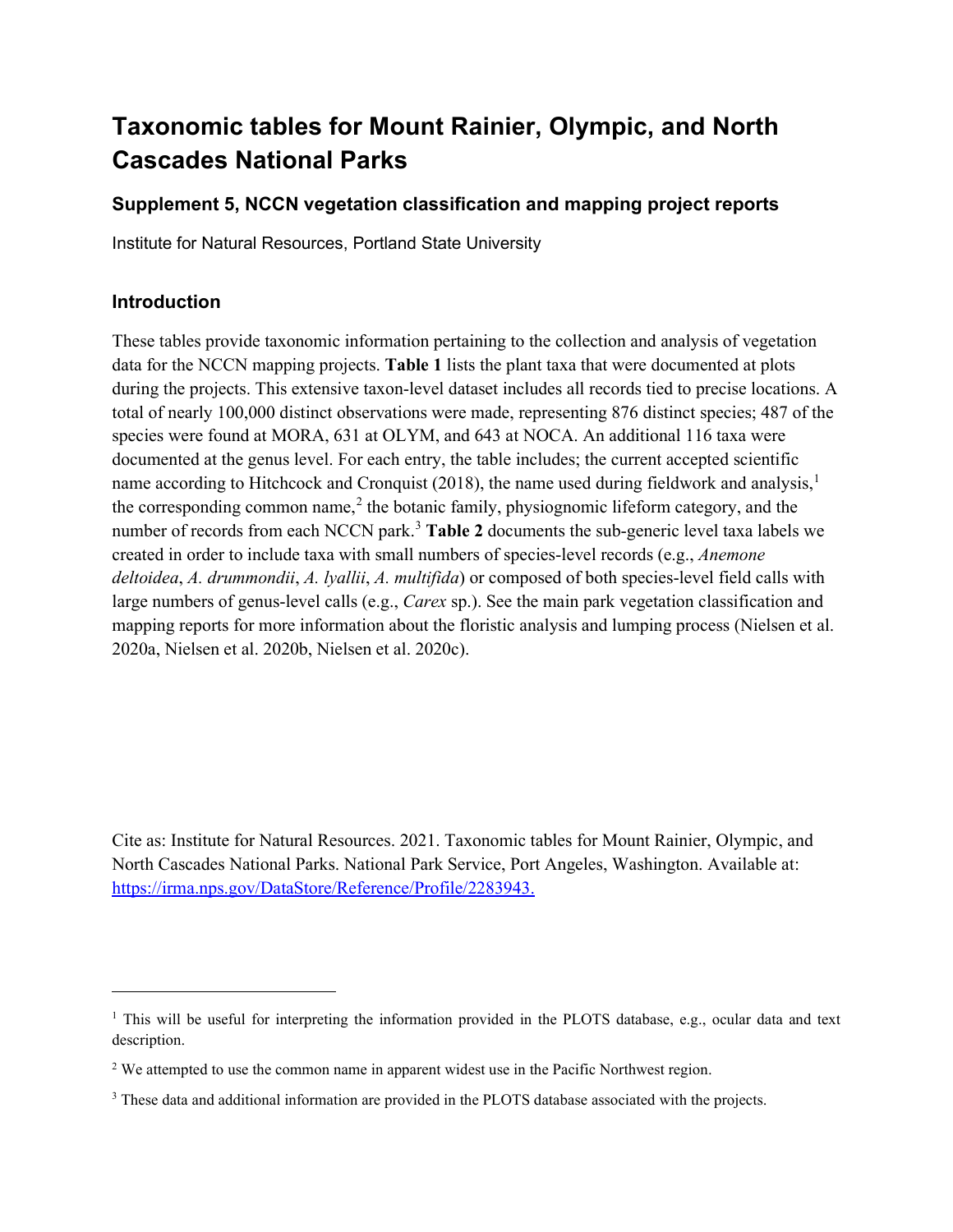## **Taxonomic tables for Mount Rainier, Olympic, and North Cascades National Parks**

## **Supplement 5, NCCN vegetation classification and mapping project reports**

Institute for Natural Resources, Portland State University

## **Introduction**

These tables provide taxonomic information pertaining to the collection and analysis of vegetation data for the NCCN mapping projects. **Table 1** lists the plant taxa that were documented at plots during the projects. This extensive taxon-level dataset includes all records tied to precise locations. A total of nearly 100,000 distinct observations were made, representing 876 distinct species; 487 of the species were found at MORA, 631 at OLYM, and 643 at NOCA. An additional 116 taxa were documented at the genus level. For each entry, the table includes; the current accepted scientific name according to Hitchcock and Cronquist (20[1](#page-0-0)8), the name used during fieldwork and analysis,<sup>1</sup> the corresponding common name,<sup>[2](#page-0-1)</sup> the botanic family, physiognomic lifeform category, and the number of records from each NCCN park.[3](#page-0-2) **Table 2** documents the sub-generic level taxa labels we created in order to include taxa with small numbers of species-level records (e.g., *Anemone deltoidea*, *A. drummondii*, *A. lyallii*, *A. multifida*) or composed of both species-level field calls with large numbers of genus-level calls (e.g., *Carex* sp.). See the main park vegetation classification and mapping reports for more information about the floristic analysis and lumping process (Nielsen et al. 2020a, Nielsen et al. 2020b, Nielsen et al. 2020c).

Cite as: Institute for Natural Resources. 2021. Taxonomic tables for Mount Rainier, Olympic, and North Cascades National Parks. National Park Service, Port Angeles, Washington. Available at: [https://irma.nps.gov/DataStore/Reference/Profile/2283943.](https://irma.nps.gov/DataStore/Reference/Profile/2283943)

<span id="page-0-0"></span><sup>&</sup>lt;sup>1</sup> This will be useful for interpreting the information provided in the PLOTS database, e.g., ocular data and text description.

<span id="page-0-1"></span> $2$  We attempted to use the common name in apparent widest use in the Pacific Northwest region.

<span id="page-0-2"></span><sup>&</sup>lt;sup>3</sup> These data and additional information are provided in the PLOTS database associated with the projects.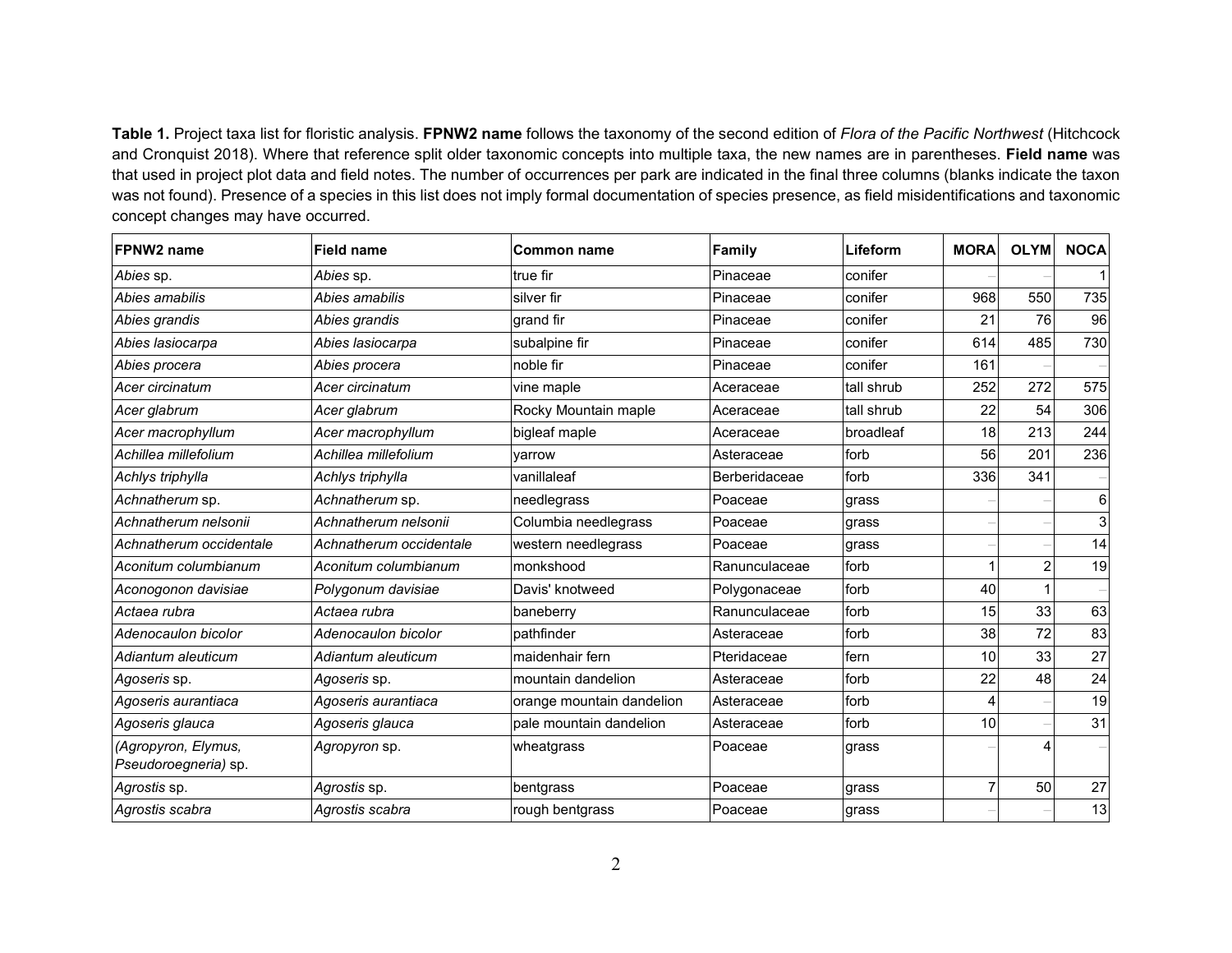**Table 1.** Project taxa list for floristic analysis. **FPNW2 name** follows the taxonomy of the second edition of *Flora of the Pacific Northwest* (Hitchcock and Cronquist 2018). Where that reference split older taxonomic concepts into multiple taxa, the new names are in parentheses. **Field name** was that used in project plot data and field notes. The number of occurrences per park are indicated in the final three columns (blanks indicate the taxon was not found). Presence of a species in this list does not imply formal documentation of species presence, as field misidentifications and taxonomic concept changes may have occurred.

| FPNW2 name                                  | <b>Field name</b>       | <b>Common name</b>        | Family        | Lifeform   | <b>MORA</b>    | <b>OLYM</b>    | <b>NOCA</b> |
|---------------------------------------------|-------------------------|---------------------------|---------------|------------|----------------|----------------|-------------|
| Abies sp.                                   | Abies sp.               | true fir                  | Pinaceae      | conifer    |                |                |             |
| Abies amabilis                              | Abies amabilis          | silver fir                | Pinaceae      | conifer    | 968            | 550            | 735         |
| Abies grandis                               | Abies grandis           | grand fir                 | Pinaceae      | conifer    | 21             | 76             | 96          |
| Abies lasiocarpa                            | Abies lasiocarpa        | subalpine fir             | Pinaceae      | conifer    | 614            | 485            | 730         |
| Abies procera                               | Abies procera           | noble fir                 | Pinaceae      | conifer    | 161            |                |             |
| Acer circinatum                             | Acer circinatum         | vine maple                | Aceraceae     | tall shrub | 252            | 272            | 575         |
| Acer glabrum                                | Acer glabrum            | Rocky Mountain maple      | Aceraceae     | tall shrub | 22             | 54             | 306         |
| Acer macrophyllum                           | Acer macrophyllum       | bigleaf maple             | Aceraceae     | broadleaf  | 18             | 213            | 244         |
| Achillea millefolium                        | Achillea millefolium    | varrow                    | Asteraceae    | forb       | 56             | 201            | 236         |
| Achlys triphylla                            | Achlys triphylla        | vanillaleaf               | Berberidaceae | forb       | 336            | 341            |             |
| Achnatherum sp.                             | Achnatherum sp.         | needlegrass               | Poaceae       | grass      |                |                | 6           |
| Achnatherum nelsonii                        | Achnatherum nelsonii    | Columbia needlegrass      | Poaceae       | grass      |                |                | 3           |
| Achnatherum occidentale                     | Achnatherum occidentale | western needlegrass       | Poaceae       | grass      |                |                | 14          |
| Aconitum columbianum                        | Aconitum columbianum    | monkshood                 | Ranunculaceae | forb       |                | $\overline{a}$ | 19          |
| Aconogonon davisiae                         | Polygonum davisiae      | Davis' knotweed           | Polygonaceae  | forb       | 40             |                |             |
| Actaea rubra                                | Actaea rubra            | baneberry                 | Ranunculaceae | forb       | 15             | 33             | 63          |
| Adenocaulon bicolor                         | Adenocaulon bicolor     | pathfinder                | Asteraceae    | forb       | 38             | 72             | 83          |
| Adiantum aleuticum                          | Adiantum aleuticum      | maidenhair fern           | Pteridaceae   | fern       | 10             | 33             | 27          |
| Agoseris sp.                                | Agoseris sp.            | mountain dandelion        | Asteraceae    | forb       | 22             | 48             | 24          |
| Agoseris aurantiaca                         | Agoseris aurantiaca     | orange mountain dandelion | Asteraceae    | forb       | Δ              |                | 19          |
| Agoseris glauca                             | Agoseris glauca         | pale mountain dandelion   | Asteraceae    | forb       | 10             |                | 31          |
| (Agropyron, Elymus,<br>Pseudoroegneria) sp. | Agropyron sp.           | wheatgrass                | Poaceae       | grass      |                |                |             |
| Agrostis sp.                                | Agrostis sp.            | bentgrass                 | Poaceae       | grass      | $\overline{7}$ | 50             | 27          |
| Agrostis scabra                             | Agrostis scabra         | rough bentgrass           | Poaceae       | grass      |                |                | 13          |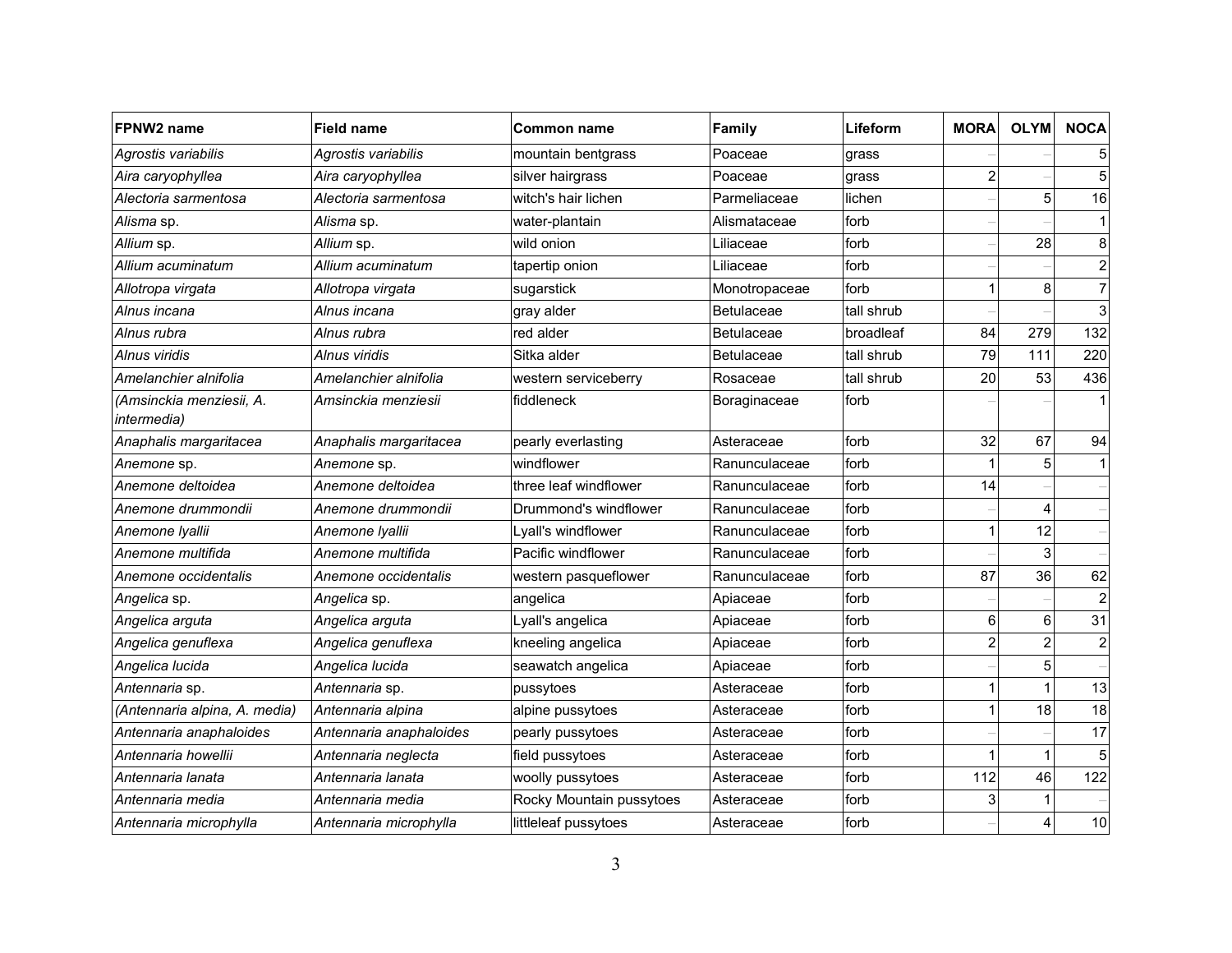| FPNW2 name                                      | <b>Field name</b>       | <b>Common name</b>       | Family            | Lifeform   | <b>MORA</b>    | <b>OLYM</b>    | <b>NOCA</b>             |
|-------------------------------------------------|-------------------------|--------------------------|-------------------|------------|----------------|----------------|-------------------------|
| Agrostis variabilis                             | Agrostis variabilis     | mountain bentgrass       | Poaceae           | grass      |                |                | 5                       |
| Aira caryophyllea                               | Aira caryophyllea       | silver hairgrass         | Poaceae           | grass      | $\overline{2}$ |                | 5                       |
| Alectoria sarmentosa                            | Alectoria sarmentosa    | witch's hair lichen      | Parmeliaceae      | lichen     |                | 5              | 16                      |
| Alisma sp.                                      | Alisma sp.              | water-plantain           | Alismataceae      | forb       |                |                | $\mathbf 1$             |
| Allium sp.                                      | Allium sp.              | wild onion               | Liliaceae         | forb       |                | 28             | 8                       |
| Allium acuminatum                               | Allium acuminatum       | tapertip onion           | Liliaceae         | forb       |                |                | $\overline{\mathbf{c}}$ |
| Allotropa virgata                               | Allotropa virgata       | sugarstick               | Monotropaceae     | forb       |                | 8 <sup>1</sup> | $\overline{7}$          |
| Alnus incana                                    | Alnus incana            | gray alder               | <b>Betulaceae</b> | tall shrub |                |                | $\mathsf 3$             |
| Alnus rubra                                     | Alnus rubra             | red alder                | <b>Betulaceae</b> | broadleaf  | 84             | 279            | 132                     |
| Alnus viridis                                   | Alnus viridis           | Sitka alder              | <b>Betulaceae</b> | tall shrub | 79             | 111            | 220                     |
| Amelanchier alnifolia                           | Amelanchier alnifolia   | western serviceberry     | Rosaceae          | tall shrub | 20             | 53             | 436                     |
| (Amsinckia menziesii, A.<br><i>intermedia</i> ) | Amsinckia menziesii     | fiddleneck               | Boraginaceae      | forb       |                |                |                         |
| Anaphalis margaritacea                          | Anaphalis margaritacea  | pearly everlasting       | Asteraceae        | forb       | 32             | 67             | 94                      |
| Anemone sp.                                     | Anemone sp.             | windflower               | Ranunculaceae     | forb       |                | 5              | $\mathbf{1}$            |
| Anemone deltoidea                               | Anemone deltoidea       | three leaf windflower    | Ranunculaceae     | forb       | 14             |                |                         |
| Anemone drummondii                              | Anemone drummondii      | Drummond's windflower    | Ranunculaceae     | forb       |                | 4              |                         |
| Anemone Iyallii                                 | Anemone Iyallii         | Lyall's windflower       | Ranunculaceae     | forb       |                | 12             |                         |
| Anemone multifida                               | Anemone multifida       | Pacific windflower       | Ranunculaceae     | forb       |                | 3              |                         |
| Anemone occidentalis                            | Anemone occidentalis    | western pasqueflower     | Ranunculaceae     | forb       | 87             | 36             | 62                      |
| Angelica sp.                                    | Angelica sp.            | angelica                 | Apiaceae          | forb       |                |                | $\overline{c}$          |
| Angelica arguta                                 | Angelica arguta         | Lyall's angelica         | Apiaceae          | forb       | 6              | $\,6$          | 31                      |
| Angelica genuflexa                              | Angelica genuflexa      | kneeling angelica        | Apiaceae          | forb       | $\overline{2}$ | $\overline{c}$ | $\overline{2}$          |
| Angelica lucida                                 | Angelica lucida         | seawatch angelica        | Apiaceae          | forb       |                | 5              |                         |
| Antennaria sp.                                  | Antennaria sp.          | pussytoes                | Asteraceae        | forb       | 1              |                | 13                      |
| (Antennaria alpina, A. media)                   | Antennaria alpina       | alpine pussytoes         | Asteraceae        | forb       |                | 18             | 18                      |
| Antennaria anaphaloides                         | Antennaria anaphaloides | pearly pussytoes         | Asteraceae        | forb       |                |                | 17                      |
| Antennaria howellii                             | Antennaria neglecta     | field pussytoes          | Asteraceae        | forb       |                | 1              | 5                       |
| Antennaria lanata                               | Antennaria lanata       | woolly pussytoes         | Asteraceae        | forb       | 112            | 46             | 122                     |
| Antennaria media                                | Antennaria media        | Rocky Mountain pussytoes | Asteraceae        | forb       | 3              |                |                         |
| Antennaria microphylla                          | Antennaria microphylla  | littleleaf pussytoes     | Asteraceae        | forb       |                | 4              | 10                      |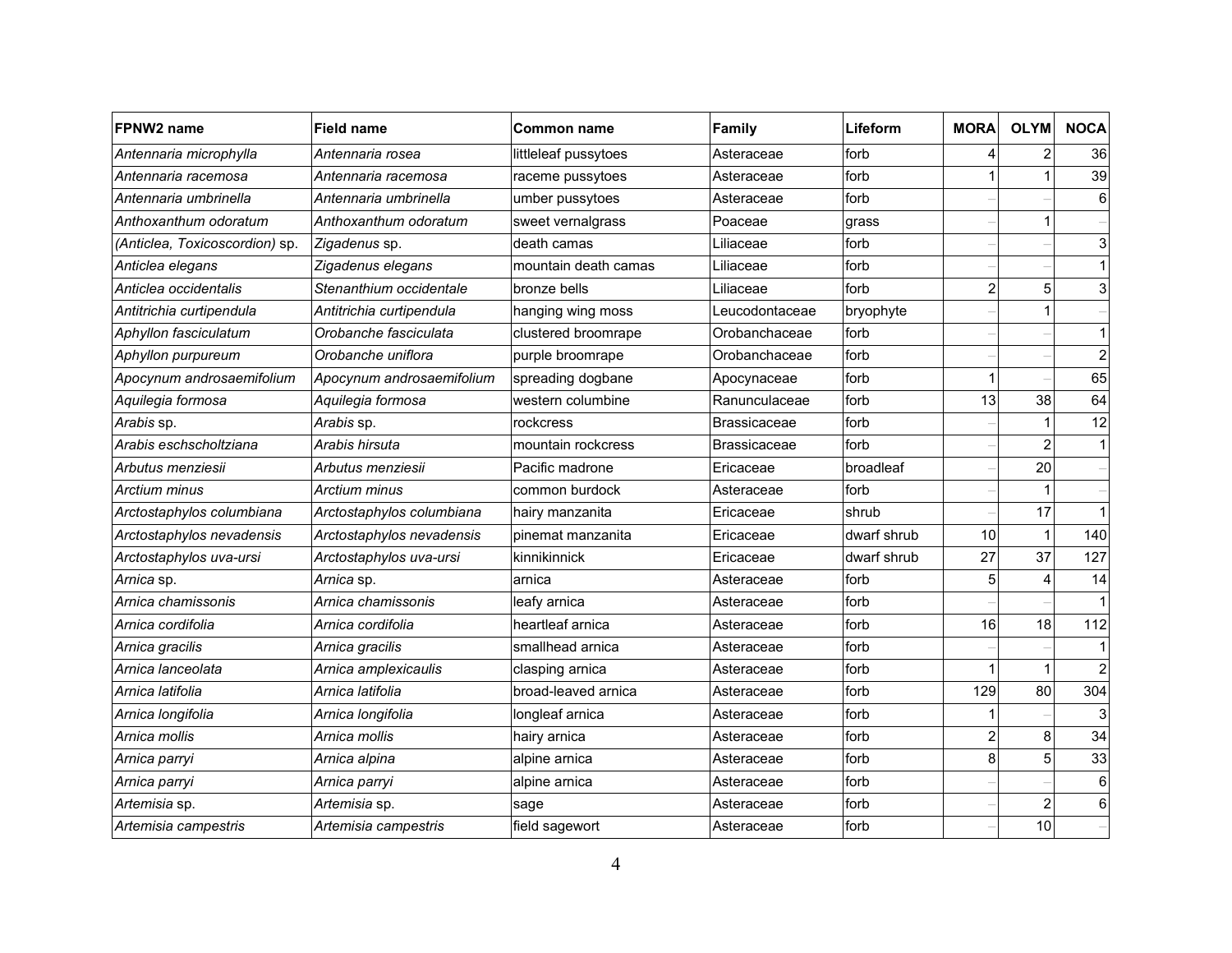| FPNW2 name                     | <b>Field name</b>         | <b>Common name</b>   | Family               | Lifeform    | <b>MORA</b>    | <b>OLYM</b>    | <b>NOCA</b>    |
|--------------------------------|---------------------------|----------------------|----------------------|-------------|----------------|----------------|----------------|
| Antennaria microphylla         | Antennaria rosea          | littleleaf pussytoes | Asteraceae           | forb        | Δ              | 2              | 36             |
| Antennaria racemosa            | Antennaria racemosa       | raceme pussytoes     | Asteraceae           | forb        |                | 1              | 39             |
| Antennaria umbrinella          | Antennaria umbrinella     | umber pussytoes      | Asteraceae           | forb        |                |                | 6              |
| Anthoxanthum odoratum          | Anthoxanthum odoratum     | sweet vernalgrass    | <b>Poaceae</b>       | grass       |                | 1              |                |
| (Anticlea, Toxicoscordion) sp. | Zigadenus sp.             | death camas          | Liliaceae            | forb        |                |                | 3              |
| Anticlea elegans               | Zigadenus elegans         | mountain death camas | Liliaceae            | forb        |                |                | $\mathbf{1}$   |
| Anticlea occidentalis          | Stenanthium occidentale   | bronze bells         | Liliaceae            | forb        | $\overline{2}$ | 5              | 3              |
| Antitrichia curtipendula       | Antitrichia curtipendula  | hanging wing moss    | Leucodontaceae       | bryophyte   |                | 1              |                |
| Aphyllon fasciculatum          | Orobanche fasciculata     | clustered broomrape  | Orobanchaceae        | forb        |                |                | $\mathbf 1$    |
| Aphyllon purpureum             | Orobanche uniflora        | purple broomrape     | Orobanchaceae        | forb        |                |                | $\overline{c}$ |
| Apocynum androsaemifolium      | Apocynum androsaemifolium | spreading dogbane    | Apocynaceae          | forb        |                |                | 65             |
| Aquilegia formosa              | Aquilegia formosa         | western columbine    | IRanunculaceae       | forb        | 13             | 38             | 64             |
| Arabis sp.                     | Arabis sp.                | rockcress            | Brassicaceae         | forb        |                |                | 12             |
| Arabis eschscholtziana         | Arabis hirsuta            | mountain rockcress   | <b>IBrassicaceae</b> | forb        |                | $\overline{2}$ | $\mathbf{1}$   |
| Arbutus menziesii              | Arbutus menziesii         | Pacific madrone      | Ericaceae            | broadleaf   |                | 20             |                |
| Arctium minus                  | Arctium minus             | common burdock       | Asteraceae           | forb        |                |                |                |
| Arctostaphylos columbiana      | Arctostaphylos columbiana | hairy manzanita      | IEricaceae           | shrub       |                | 17             | 1              |
| Arctostaphylos nevadensis      | Arctostaphylos nevadensis | pinemat manzanita    | Ericaceae            | dwarf shrub | 10             |                | 140            |
| Arctostaphylos uva-ursi        | Arctostaphylos uva-ursi   | kinnikinnick         | Ericaceae            | dwarf shrub | 27             | 37             | 127            |
| Arnica sp.                     | Arnica sp.                | arnica               | Asteraceae           | forb        | 5              | 4              | 14             |
| Arnica chamissonis             | Arnica chamissonis        | leafy arnica         | Asteraceae           | forb        |                |                | $\mathbf 1$    |
| Arnica cordifolia              | Arnica cordifolia         | heartleaf arnica     | Asteraceae           | forb        | 16             | 18             | 112            |
| Arnica gracilis                | Arnica gracilis           | smallhead arnica     | Asteraceae           | forb        |                |                |                |
| Arnica lanceolata              | Arnica amplexicaulis      | clasping arnica      | Asteraceae           | forb        |                | 1              | $\overline{2}$ |
| Arnica latifolia               | Arnica latifolia          | broad-leaved arnica  | Asteraceae           | forb        | 129            | 80             | 304            |
| Arnica longifolia              | Arnica longifolia         | longleaf arnica      | Asteraceae           | forb        |                |                | 3              |
| Arnica mollis                  | Arnica mollis             | hairy arnica         | Asteraceae           | forb        | $\overline{c}$ | 8              | 34             |
| Arnica parryi                  | Arnica alpina             | alpine arnica        | Asteraceae           | forb        | 8              | 5              | 33             |
| Arnica parryi                  | Arnica parryi             | alpine arnica        | Asteraceae           | forb        |                |                | 6              |
| Artemisia sp.                  | Artemisia sp.             | sage                 | Asteraceae           | forb        |                | $\overline{c}$ | 6              |
| Artemisia campestris           | Artemisia campestris      | field sagewort       | lAsteraceae          | forb        |                | 10             |                |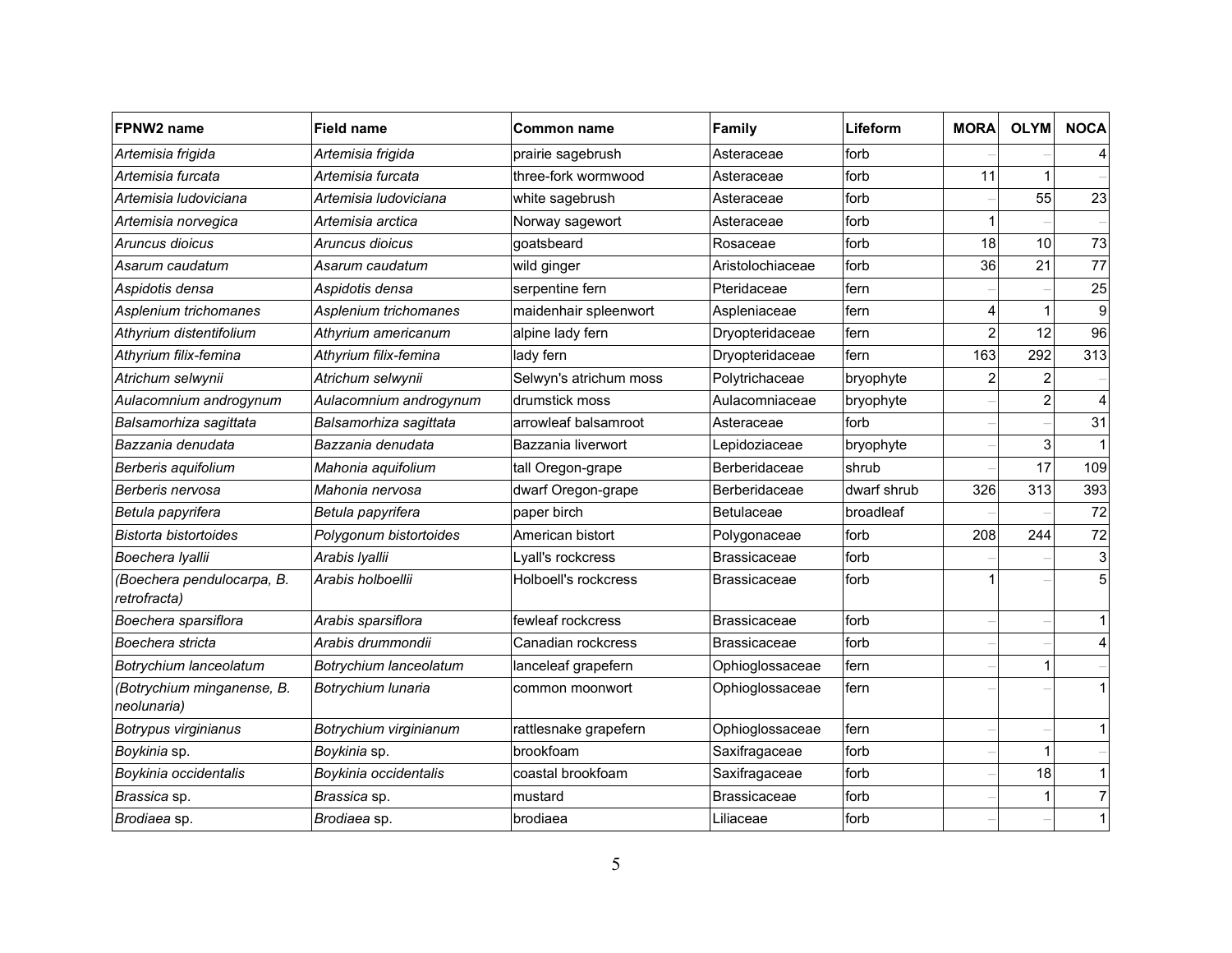| FPNW2 name                                 | <b>Field name</b>      | <b>Common name</b>     | Family              | Lifeform    | <b>MORA</b>    | <b>OLYM</b>    | <b>NOCA</b>               |
|--------------------------------------------|------------------------|------------------------|---------------------|-------------|----------------|----------------|---------------------------|
| Artemisia frigida                          | Artemisia frigida      | prairie sagebrush      | Asteraceae          | forb        |                |                | 4                         |
| Artemisia furcata                          | Artemisia furcata      | three-fork wormwood    | Asteraceae          | forb        | 11             |                |                           |
| Artemisia Iudoviciana                      | Artemisia Iudoviciana  | white sagebrush        | Asteraceae          | forb        |                | 55             | 23                        |
| Artemisia norvegica                        | Artemisia arctica      | Norway sagewort        | Asteraceae          | forb        |                |                |                           |
| Aruncus dioicus                            | Aruncus dioicus        | goatsbeard             | Rosaceae            | forb        | 18             | 10             | 73                        |
| Asarum caudatum                            | Asarum caudatum        | wild ginger            | Aristolochiaceae    | forb        | 36             | 21             | 77                        |
| Aspidotis densa                            | Aspidotis densa        | serpentine fern        | Pteridaceae         | fern        |                |                | 25                        |
| Asplenium trichomanes                      | Asplenium trichomanes  | maidenhair spleenwort  | Aspleniaceae        | fern        | 4              | 1              | 9                         |
| Athyrium distentifolium                    | Athyrium americanum    | alpine lady fern       | Dryopteridaceae     | fern        | $\overline{2}$ | 12             | 96                        |
| Athyrium filix-femina                      | Athyrium filix-femina  | lady fern              | Dryopteridaceae     | fern        | 163            | 292            | 313                       |
| Atrichum selwynii                          | Atrichum selwynii      | Selwyn's atrichum moss | Polytrichaceae      | bryophyte   | $\overline{2}$ | $\overline{c}$ |                           |
| Aulacomnium androgynum                     | Aulacomnium androgynum | drumstick moss         | Aulacomniaceae      | bryophyte   |                | 2              | $\overline{4}$            |
| Balsamorhiza sagittata                     | Balsamorhiza sagittata | arrowleaf balsamroot   | Asteraceae          | forb        |                |                | 31                        |
| Bazzania denudata                          | Bazzania denudata      | Bazzania liverwort     | Lepidoziaceae       | bryophyte   |                | $\overline{3}$ | $\mathbf{1}$              |
| Berberis aquifolium                        | Mahonia aquifolium     | tall Oregon-grape      | Berberidaceae       | shrub       |                | 17             | 109                       |
| Berberis nervosa                           | Mahonia nervosa        | dwarf Oregon-grape     | Berberidaceae       | dwarf shrub | 326            | 313            | 393                       |
| Betula papyrifera                          | Betula papyrifera      | paper birch            | Betulaceae          | broadleaf   |                |                | 72                        |
| Bistorta bistortoides                      | Polygonum bistortoides | American bistort       | Polygonaceae        | forb        | 208            | 244            | 72                        |
| Boechera Iyallii                           | Arabis Iyallii         | Lyall's rockcress      | Brassicaceae        | forb        |                |                | $\ensuremath{\mathsf{3}}$ |
| (Boechera pendulocarpa, B.<br>retrofracta) | Arabis holboellii      | Holboell's rockcress   | <b>Brassicaceae</b> | forb        |                |                | 5                         |
| Boechera sparsiflora                       | Arabis sparsiflora     | fewleaf rockcress      | <b>Brassicaceae</b> | forb        |                |                | 1                         |
| Boechera stricta                           | Arabis drummondii      | Canadian rockcress     | Brassicaceae        | forb        |                |                | 4                         |
| Botrychium lanceolatum                     | Botrychium lanceolatum | lanceleaf grapefern    | Ophioglossaceae     | fern        |                | 1              |                           |
| (Botrychium minganense, B.<br>neolunaria)  | Botrychium lunaria     | common moonwort        | Ophioglossaceae     | fern        |                |                | 1                         |
| Botrypus virginianus                       | Botrychium virginianum | rattlesnake grapefern  | Ophioglossaceae     | fern        |                |                | 1                         |
| Boykinia sp.                               | Boykinia sp.           | brookfoam              | Saxifragaceae       | forb        |                | 1              |                           |
| Boykinia occidentalis                      | Boykinia occidentalis  | coastal brookfoam      | Saxifragaceae       | forb        |                | 18             | 1                         |
| Brassica sp.                               | Brassica sp.           | mustard                | Brassicaceae        | forb        |                |                | 7                         |
| Brodiaea sp.                               | Brodiaea sp.           | brodiaea               | Liliaceae           | forb        |                |                | 1                         |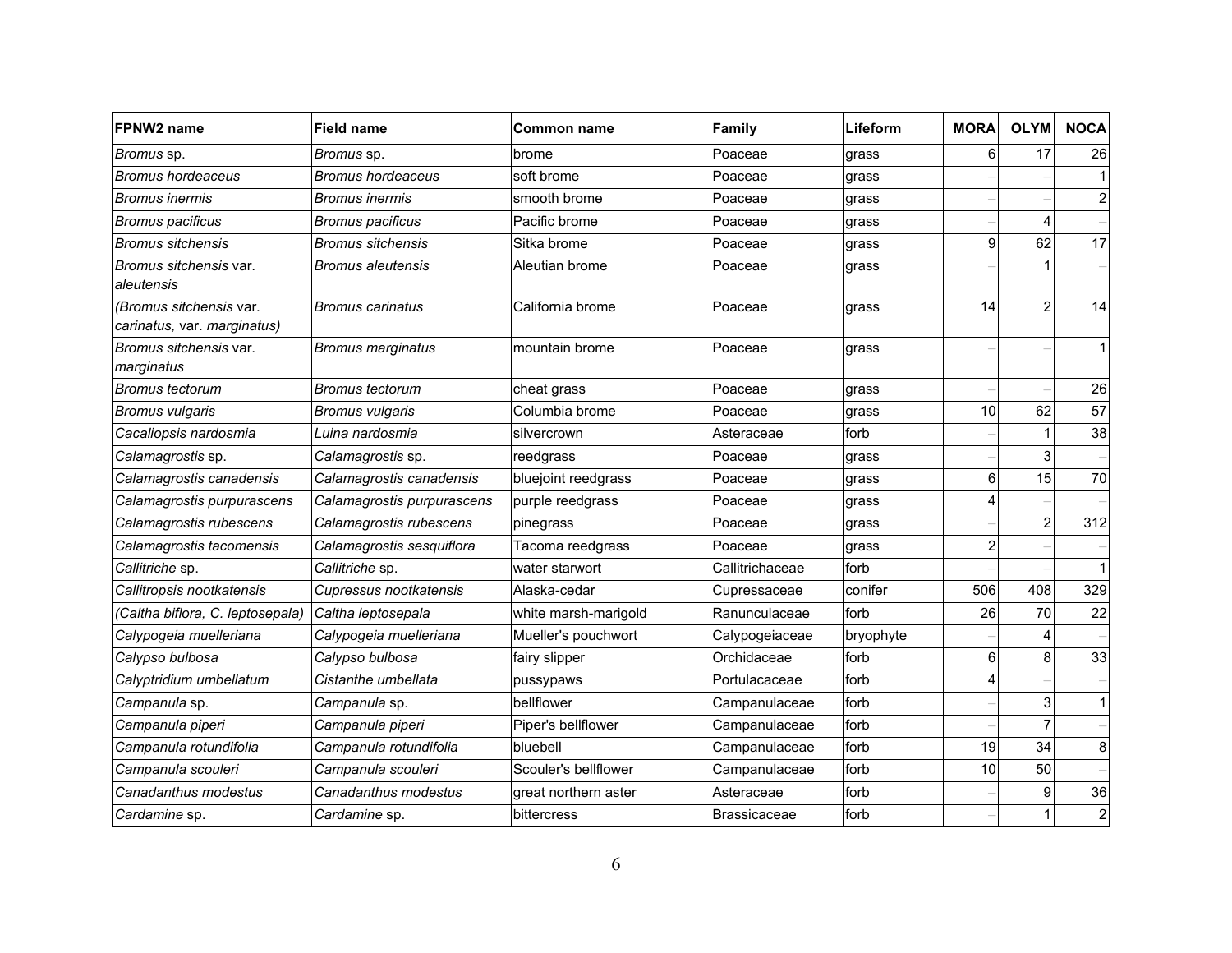| FPNW2 name                                             | <b>Field name</b>          | <b>Common name</b>   | Family                 | Lifeform  | <b>MORA</b>    | <b>OLYM</b>    | <b>NOCA</b>    |
|--------------------------------------------------------|----------------------------|----------------------|------------------------|-----------|----------------|----------------|----------------|
| Bromus sp.                                             | Bromus sp.                 | brome                | <b>Poaceae</b>         | grass     | 6              | 17             | 26             |
| Bromus hordeaceus                                      | <b>Bromus hordeaceus</b>   | soft brome           | Poaceae                | grass     |                |                | $\mathbf{1}$   |
| Bromus inermis                                         | <i>Bromus inermis</i>      | smooth brome         | Poaceae                | grass     |                |                | $\overline{c}$ |
| <b>Bromus pacificus</b>                                | <b>Bromus pacificus</b>    | Pacific brome        | Poaceae                | grass     |                | 4              |                |
| <b>Bromus sitchensis</b>                               | <b>Bromus sitchensis</b>   | Sitka brome          | Poaceae                | grass     | 9              | 62             | 17             |
| Bromus sitchensis var.<br>aleutensis                   | <b>Bromus aleutensis</b>   | Aleutian brome       | Poaceae                | grass     |                |                |                |
| (Bromus sitchensis var.<br>carinatus, var. marginatus) | <b>Bromus carinatus</b>    | California brome     | Poaceae                | grass     | 14             | 2              | 14             |
| Bromus sitchensis var.<br>marginatus                   | <b>Bromus marginatus</b>   | mountain brome       | Poaceae                | grass     |                |                | 1              |
| Bromus tectorum                                        | Bromus tectorum            | cheat grass          | Poaceae                | grass     |                |                | 26             |
| <b>Bromus vulgaris</b>                                 | <b>Bromus vulgaris</b>     | Columbia brome       | Poaceae                | grass     | 10             | 62             | 57             |
| Cacaliopsis nardosmia                                  | Luina nardosmia            | silvercrown          | Asteraceae             | forb      |                |                | 38             |
| Calamagrostis sp.                                      | Calamagrostis sp.          | reedgrass            | Poaceae                | grass     |                | 3              |                |
| Calamagrostis canadensis                               | Calamagrostis canadensis   | bluejoint reedgrass  | Poaceae                | grass     | $6 \mid$       | 15             | 70             |
| Calamagrostis purpurascens                             | Calamagrostis purpurascens | purple reedgrass     | <b>Poaceae</b>         | grass     |                |                |                |
| Calamagrostis rubescens                                | Calamagrostis rubescens    | pinegrass            | Poaceae                | grass     |                | $\overline{c}$ | 312            |
| Calamagrostis tacomensis                               | Calamagrostis sesquiflora  | Tacoma reedgrass     | Poaceae                | grass     | $\overline{a}$ |                |                |
| Callitriche sp.                                        | Callitriche sp.            | water starwort       | <b>Callitrichaceae</b> | forb      |                |                | 1              |
| Callitropsis nootkatensis                              | Cupressus nootkatensis     | Alaska-cedar         | Cupressaceae           | conifer   | 506            | 408            | 329            |
| (Caltha biflora, C. leptosepala)                       | Caltha leptosepala         | white marsh-marigold | Ranunculaceae          | forb      | 26             | 70             | 22             |
| Calypogeia muelleriana                                 | Calypogeia muelleriana     | Mueller's pouchwort  | Calypogeiaceae         | bryophyte |                | 4              |                |
| Calypso bulbosa                                        | Calypso bulbosa            | fairy slipper        | Orchidaceae            | forb      | 6              | 8              | 33             |
| Calyptridium umbellatum                                | Cistanthe umbellata        | pussypaws            | Portulacaceae          | forb      | 4              |                |                |
| Campanula sp.                                          | <i>Campanula</i> sp.       | bellflower           | Campanulaceae          | forb      |                | 3              | $\mathbf 1$    |
| Campanula piperi                                       | Campanula piperi           | Piper's bellflower   | Campanulaceae          | forb      |                | 7              |                |
| Campanula rotundifolia                                 | Campanula rotundifolia     | bluebell             | Campanulaceae          | forb      | 19             | 34             | 8              |
| Campanula scouleri                                     | Campanula scouleri         | Scouler's bellflower | Campanulaceae          | forb      | 10             | 50             |                |
| Canadanthus modestus                                   | Canadanthus modestus       | great northern aster | Asteraceae             | forb      |                | 9              | 36             |
| Cardamine sp.                                          | Cardamine sp.              | bittercress          | IBrassicaceae          | forb      |                |                | $\overline{c}$ |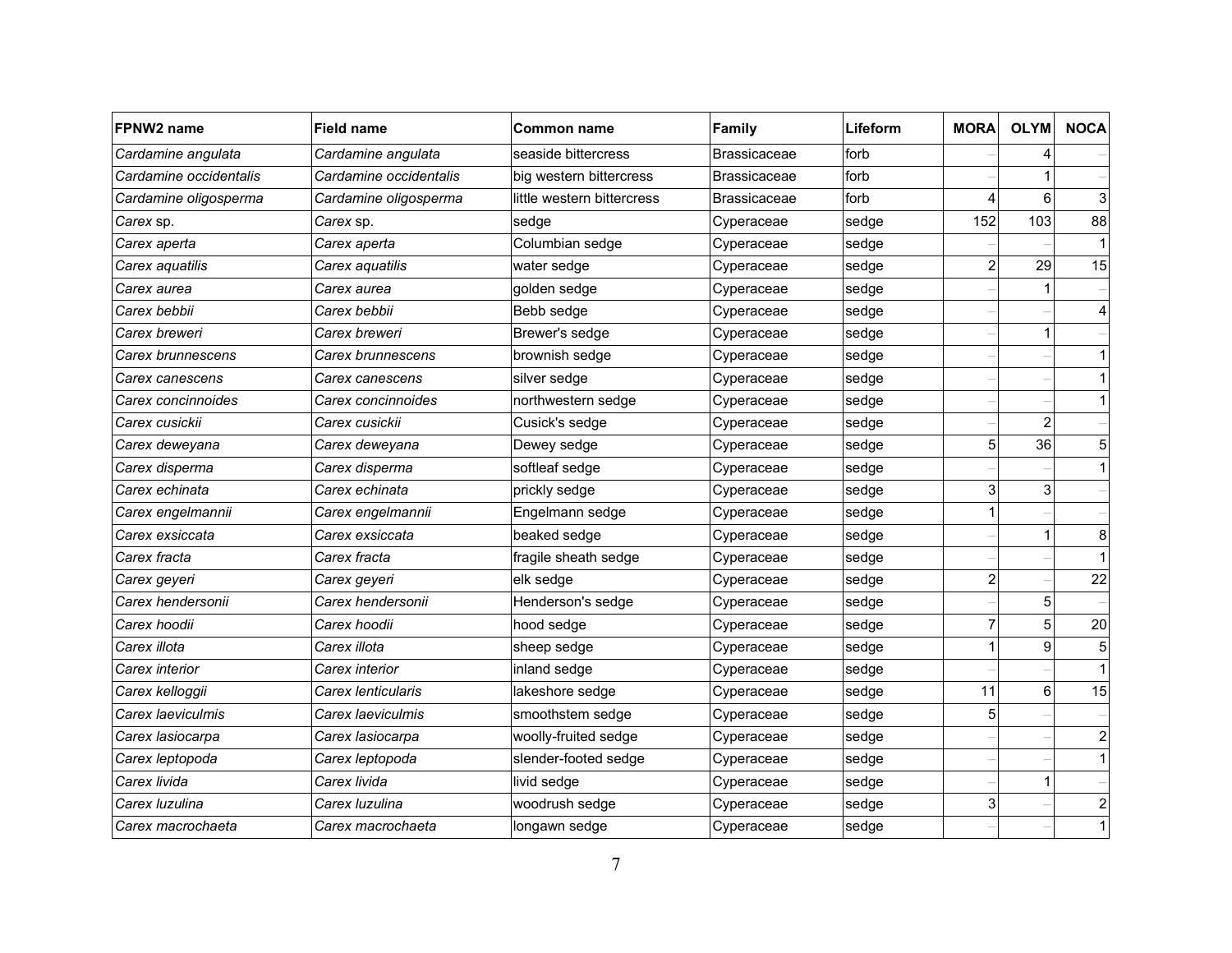| FPNW2 name             | <b>Field name</b>      | <b>Common name</b>         | Family              | Lifeform | <b>MORA</b>    | <b>OLYM</b>    | <b>NOCA</b>             |
|------------------------|------------------------|----------------------------|---------------------|----------|----------------|----------------|-------------------------|
| Cardamine angulata     | Cardamine angulata     | seaside bittercress        | <b>Brassicaceae</b> | forb     |                |                |                         |
| Cardamine occidentalis | Cardamine occidentalis | big western bittercress    | <b>Brassicaceae</b> | forb     |                |                |                         |
| Cardamine oligosperma  | Cardamine oligosperma  | little western bittercress | <b>Brassicaceae</b> | forb     |                | 6              | 3                       |
| Carex sp.              | Carex sp.              | sedge                      | Cyperaceae          | sedge    | 152            | 103            | 88                      |
| Carex aperta           | Carex aperta           | Columbian sedge            | Cyperaceae          | sedge    |                |                |                         |
| Carex aquatilis        | Carex aquatilis        | water sedge                | Cyperaceae          | sedge    | $\overline{2}$ | 29             | 15                      |
| Carex aurea            | Carex aurea            | golden sedge               | Cyperaceae          | sedge    |                |                |                         |
| Carex bebbii           | Carex bebbii           | Bebb sedge                 | Cyperaceae          | sedge    |                |                | 4                       |
| Carex breweri          | Carex breweri          | Brewer's sedge             | Cyperaceae          | sedge    |                |                |                         |
| Carex brunnescens      | Carex brunnescens      | brownish sedge             | Cyperaceae          | sedge    |                |                | 1                       |
| Carex canescens        | Carex canescens        | silver sedge               | Cyperaceae          | sedge    |                |                | $\mathbf 1$             |
| Carex concinnoides     | Carex concinnoides     | northwestern sedge         | Cyperaceae          | sedge    |                |                | $\mathbf{1}$            |
| Carex cusickii         | Carex cusickii         | Cusick's sedge             | Cyperaceae          | sedge    |                | $\overline{c}$ |                         |
| Carex deweyana         | Carex deweyana         | Dewey sedge                | Cyperaceae          | sedge    | 5 <sup>1</sup> | 36             | $\mathbf 5$             |
| Carex disperma         | Carex disperma         | softleaf sedge             | Cyperaceae          | sedge    |                |                | $\mathbf{1}$            |
| Carex echinata         | Carex echinata         | prickly sedge              | Cyperaceae          | sedge    | 3              | 3              |                         |
| Carex engelmannii      | Carex engelmannii      | Engelmann sedge            | Cyperaceae          | sedge    |                |                |                         |
| Carex exsiccata        | Carex exsiccata        | beaked sedge               | Cyperaceae          | sedge    |                |                | 8                       |
| Carex fracta           | Carex fracta           | fragile sheath sedge       | Cyperaceae          | sedge    |                |                |                         |
| Carex geyeri           | Carex geyeri           | elk sedge                  | Cyperaceae          | sedge    | $\overline{2}$ |                | 22                      |
| Carex hendersonii      | Carex hendersonii      | Henderson's sedge          | Cyperaceae          | sedge    |                | 5              |                         |
| Carex hoodii           | Carex hoodii           | hood sedge                 | Cyperaceae          | sedge    | $\overline{7}$ | 5              | 20                      |
| Carex illota           | Carex illota           | sheep sedge                | Cyperaceae          | sedge    |                | 9              | 5                       |
| Carex interior         | Carex interior         | inland sedge               | Cyperaceae          | sedge    |                |                | $\mathbf{1}$            |
| Carex kelloggii        | Carex lenticularis     | lakeshore sedge            | Cyperaceae          | sedge    | 11             | 6              | 15                      |
| Carex laeviculmis      | Carex laeviculmis      | smoothstem sedge           | Cyperaceae          | sedge    | 5              |                |                         |
| Carex lasiocarpa       | Carex lasiocarpa       | woolly-fruited sedge       | Cyperaceae          | sedge    |                |                | $\boldsymbol{2}$        |
| Carex leptopoda        | Carex leptopoda        | slender-footed sedge       | Cyperaceae          | sedge    |                |                | $\mathbf{1}$            |
| Carex livida           | Carex livida           | livid sedge                | Cyperaceae          | sedge    |                | 1              |                         |
| Carex Iuzulina         | Carex Iuzulina         | woodrush sedge             | Cyperaceae          | sedge    | 3              |                | $\overline{\mathbf{c}}$ |
| Carex macrochaeta      | Carex macrochaeta      | longawn sedge              | Cyperaceae          | sedge    |                |                | $\mathbf{1}$            |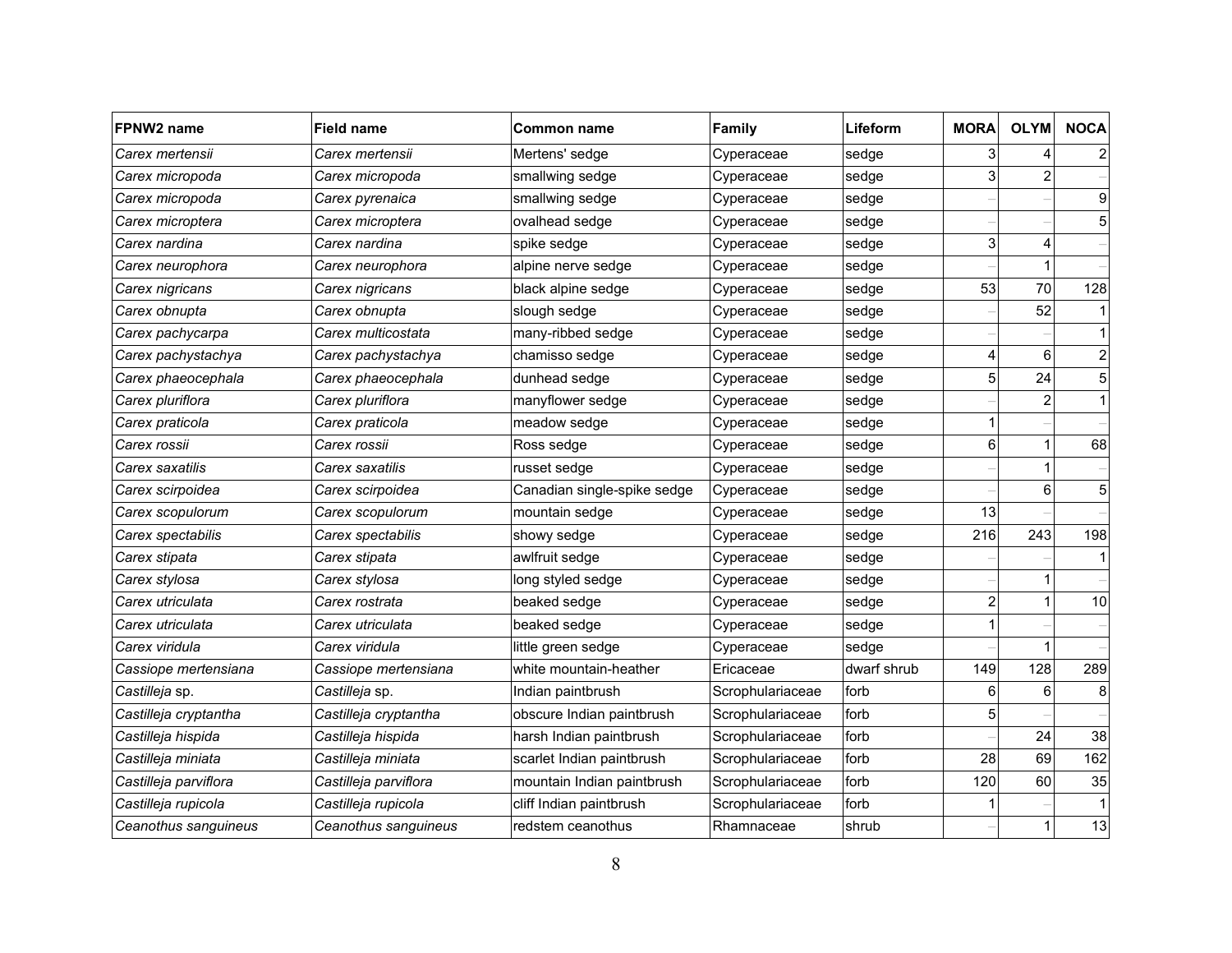| FPNW2 name            | <b>Field name</b>     | <b>Common name</b>          | Family           | Lifeform    | <b>MORA</b>    | <b>OLYM</b>    | <b>NOCA</b>    |
|-----------------------|-----------------------|-----------------------------|------------------|-------------|----------------|----------------|----------------|
| Carex mertensii       | Carex mertensii       | Mertens' sedge              | Cyperaceae       | sedge       | 3              |                | 2              |
| Carex micropoda       | Carex micropoda       | smallwing sedge             | Cyperaceae       | sedge       | 3              | 2              |                |
| Carex micropoda       | Carex pyrenaica       | smallwing sedge             | Cyperaceae       | sedge       |                |                | 9              |
| Carex microptera      | Carex microptera      | ovalhead sedge              | Cyperaceae       | sedge       |                |                | 5              |
| Carex nardina         | Carex nardina         | spike sedge                 | Cyperaceae       | sedge       | $\overline{3}$ | 4              |                |
| Carex neurophora      | Carex neurophora      | alpine nerve sedge          | Cyperaceae       | sedge       |                |                |                |
| Carex nigricans       | Carex nigricans       | black alpine sedge          | Cyperaceae       | sedge       | 53             | 70             | 128            |
| Carex obnupta         | Carex obnupta         | slough sedge                | Cyperaceae       | sedge       |                | 52             | $\mathbf{1}$   |
| Carex pachycarpa      | Carex multicostata    | many-ribbed sedge           | Cyperaceae       | sedge       |                |                | $\mathbf 1$    |
| Carex pachystachya    | Carex pachystachya    | chamisso sedge              | Cyperaceae       | sedge       | 4              | 6              | $\overline{c}$ |
| Carex phaeocephala    | Carex phaeocephala    | dunhead sedge               | Cyperaceae       | sedge       | 5              | 24             | $\mathbf 5$    |
| Carex pluriflora      | Carex pluriflora      | manyflower sedge            | Cyperaceae       | sedge       |                | $\overline{2}$ | $\mathbf{1}$   |
| Carex praticola       | Carex praticola       | meadow sedge                | Cyperaceae       | sedge       |                |                |                |
| Carex rossii          | Carex rossii          | Ross sedge                  | Cyperaceae       | sedge       | $6 \mid$       | 1              | 68             |
| Carex saxatilis       | Carex saxatilis       | russet sedge                | Cyperaceae       | sedge       |                | 1              |                |
| Carex scirpoidea      | Carex scirpoidea      | Canadian single-spike sedge | Cyperaceae       | sedge       |                | 6              | 5              |
| Carex scopulorum      | Carex scopulorum      | mountain sedge              | Cvperaceae       | sedge       | 13             |                |                |
| Carex spectabilis     | Carex spectabilis     | showy sedge                 | Cyperaceae       | sedge       | 216            | 243            | 198            |
| Carex stipata         | Carex stipata         | awlfruit sedge              | Cyperaceae       | sedge       |                |                |                |
| Carex stylosa         | Carex stylosa         | long styled sedge           | Cyperaceae       | sedge       |                |                |                |
| Carex utriculata      | Carex rostrata        | beaked sedge                | Cyperaceae       | sedge       | $\overline{a}$ | 1              | 10             |
| Carex utriculata      | Carex utriculata      | beaked sedge                | Cyperaceae       | sedge       |                |                |                |
| Carex viridula        | Carex viridula        | little green sedge          | Cyperaceae       | sedge       |                |                |                |
| Cassiope mertensiana  | Cassiope mertensiana  | white mountain-heather      | Ericaceae        | dwarf shrub | 149            | 128            | 289            |
| Castilleja sp.        | Castilleja sp.        | Indian paintbrush           | Scrophulariaceae | forb        | 6              | 6              | 8              |
| Castilleja cryptantha | Castilleja cryptantha | obscure Indian paintbrush   | Scrophulariaceae | forb        | 5 <sup>1</sup> |                |                |
| Castilleja hispida    | Castilleja hispida    | harsh Indian paintbrush     | Scrophulariaceae | forb        |                | 24             | 38             |
| Castilleja miniata    | Castilleja miniata    | scarlet Indian paintbrush   | Scrophulariaceae | forb        | 28             | 69             | 162            |
| Castilleja parviflora | Castilleja parviflora | mountain Indian paintbrush  | Scrophulariaceae | forb        | 120            | 60             | 35             |
| Castilleja rupicola   | Castilleja rupicola   | cliff Indian paintbrush     | Scrophulariaceae | forb        |                |                | $\mathbf{1}$   |
| Ceanothus sanguineus  | Ceanothus sanguineus  | redstem ceanothus           | Rhamnaceae       | shrub       |                |                | 13             |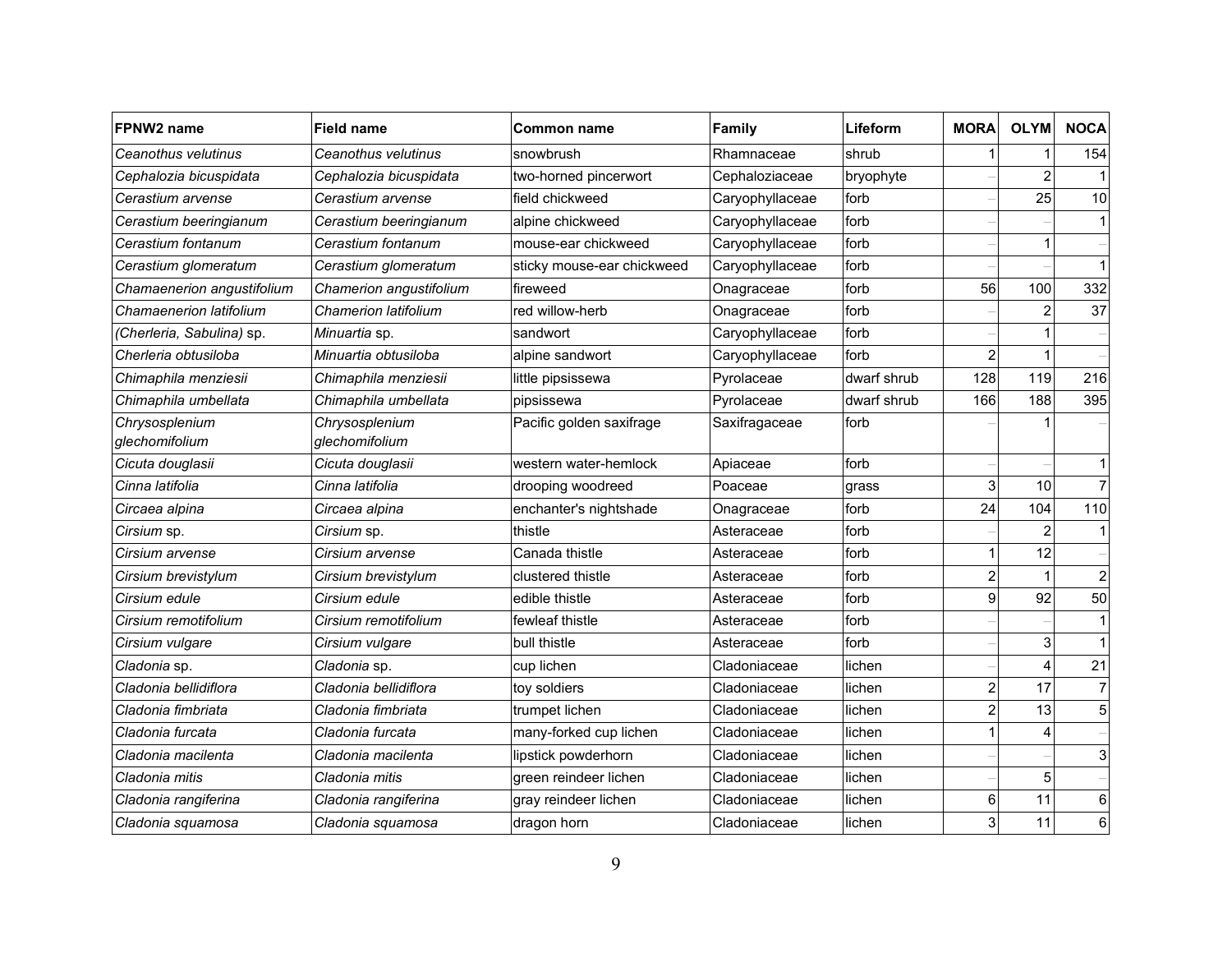| FPNW2 name                 | <b>Field name</b>       | Common name                | Family          | Lifeform    | <b>MORA</b>    | <b>OLYM</b> | <b>NOCA</b>     |
|----------------------------|-------------------------|----------------------------|-----------------|-------------|----------------|-------------|-----------------|
| Ceanothus velutinus        | Ceanothus velutinus     | snowbrush                  | Rhamnaceae      | shrub       |                |             | 154             |
| Cephalozia bicuspidata     | Cephalozia bicuspidata  | two-horned pincerwort      | Cephaloziaceae  | bryophyte   |                |             |                 |
| Cerastium arvense          | Cerastium arvense       | field chickweed            | Caryophyllaceae | forb        |                | 25          | 10              |
| Cerastium beeringianum     | Cerastium beeringianum  | alpine chickweed           | Caryophyllaceae | forb        |                |             |                 |
| Cerastium fontanum         | Cerastium fontanum      | mouse-ear chickweed        | Caryophyllaceae | forb        |                |             |                 |
| Cerastium glomeratum       | Cerastium glomeratum    | sticky mouse-ear chickweed | Caryophyllaceae | forb        |                |             |                 |
| Chamaenerion angustifolium | Chamerion angustifolium | fireweed                   | Onagraceae      | forb        | 56             | 100         | 332             |
| Chamaenerion latifolium    | Chamerion latifolium    | red willow-herb            | Onagraceae      | forb        |                |             | 37              |
| (Cherleria, Sabulina) sp.  | <i>Minuartia</i> sp.    | sandwort                   | Caryophyllaceae | forb        |                |             |                 |
| Cherleria obtusiloba       | Minuartia obtusiloba    | alpine sandwort            | Caryophyllaceae | forb        | $\mathfrak{p}$ |             |                 |
| Chimaphila menziesii       | Chimaphila menziesii    | little pipsissewa          | Pyrolaceae      | dwarf shrub | 128            | 119         | 216             |
| Chimaphila umbellata       | Chimaphila umbellata    | pipsissewa                 | Pyrolaceae      | dwarf shrub | 166            | 188         | 395             |
| Chrysosplenium             | Chrysosplenium          | Pacific golden saxifrage   | Saxifragaceae   | forb        |                |             |                 |
| glechomifolium             | glechomifolium          |                            |                 |             |                |             |                 |
| Cicuta douglasii           | Cicuta douglasii        | western water-hemlock      | Apiaceae        | forb        |                |             |                 |
| Cinna latifolia            | Cinna latifolia         | drooping woodreed          | Poaceae         | grass       | 3              | 10          | $\overline{7}$  |
| Circaea alpina             | Circaea alpina          | enchanter's nightshade     | Onagraceae      | forb        | 24             | 104         | 110             |
| Cirsium sp.                | <i>Cirsium</i> sp.      | thistle                    | Asteraceae      | forb        |                |             |                 |
| Cirsium arvense            | Cirsium arvense         | Canada thistle             | Asteraceae      | forb        |                | 12          |                 |
| Cirsium brevistylum        | Cirsium brevistylum     | clustered thistle          | Asteraceae      | forb        | $\overline{2}$ |             |                 |
| Cirsium edule              | Cirsium edule           | edible thistle             | Asteraceae      | forb        | 9              | 92          | 50              |
| Cirsium remotifolium       | Cirsium remotifolium    | fewleaf thistle            | Asteraceae      | forb        |                |             |                 |
| Cirsium vulgare            | Cirsium vulgare         | bull thistle               | Asteraceae      | forb        |                | 3           |                 |
| Cladonia sp.               | Cladonia sp.            | cup lichen                 | Cladoniaceae    | lichen      |                | 4           | 21              |
| Cladonia bellidiflora      | Cladonia bellidiflora   | toy soldiers               | Cladoniaceae    | lichen      | 2              | 17          | 7               |
| Cladonia fimbriata         | Cladonia fimbriata      | trumpet lichen             | Cladoniaceae    | lichen      | 2              | 13          | 5               |
| Cladonia furcata           | Cladonia furcata        | many-forked cup lichen     | Cladoniaceae    | lichen      |                | 4           |                 |
| Cladonia macilenta         | Cladonia macilenta      | lipstick powderhorn        | Cladoniaceae    | lichen      |                |             | 3               |
| Cladonia mitis             | Cladonia mitis          | green reindeer lichen      | Cladoniaceae    | lichen      |                | 5           |                 |
| Cladonia rangiferina       | Cladonia rangiferina    | gray reindeer lichen       | Cladoniaceae    | lichen      | 6              | 11          | 6               |
| Cladonia squamosa          | Cladonia squamosa       | dragon horn                | Cladoniaceae    | lichen      | 3              | 11          | $6\phantom{1}6$ |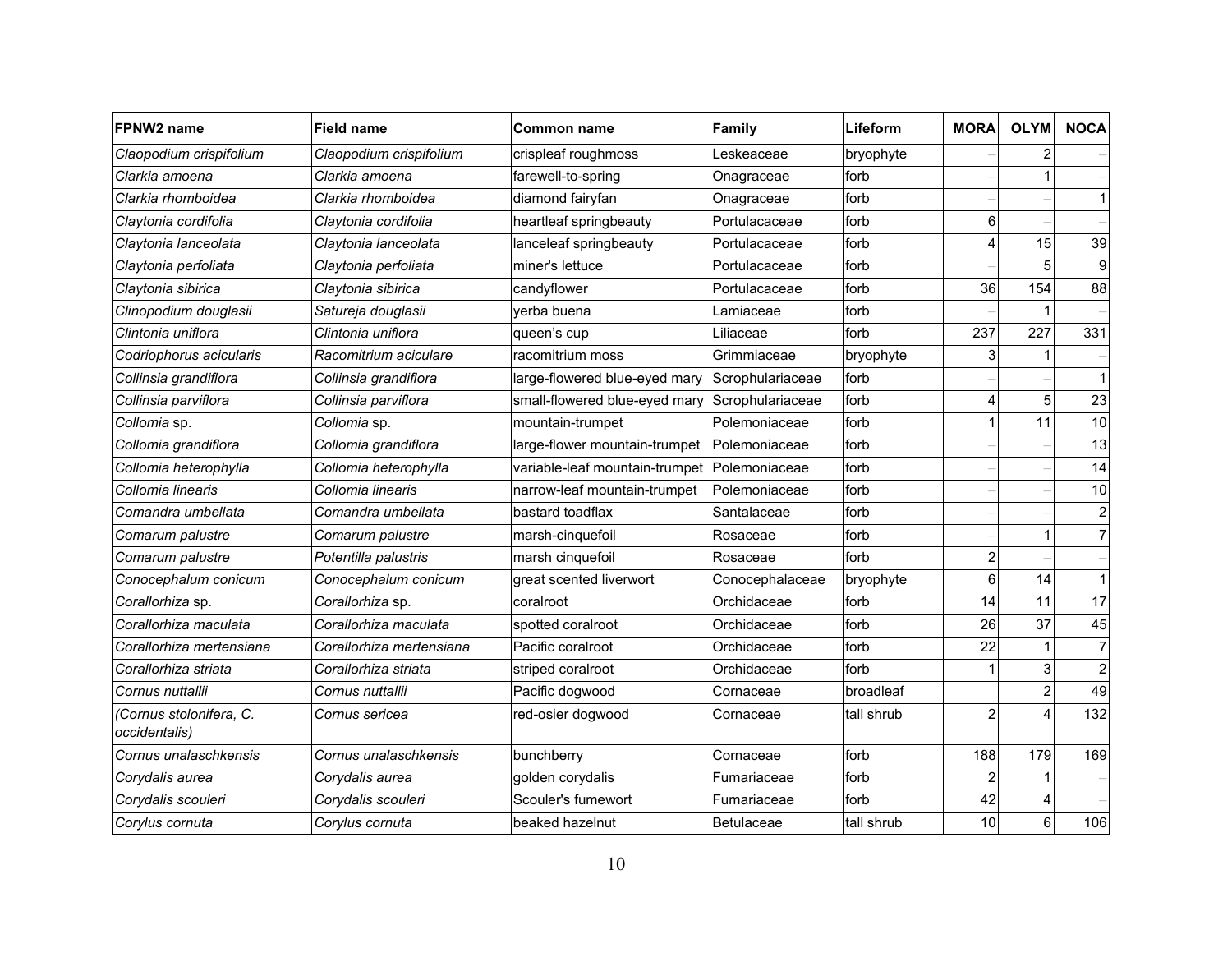| FPNW2 name                               | <b>Field name</b>        | Common name                    | Family           | Lifeform   | <b>MORA</b>    | <b>OLYM</b> | <b>NOCA</b>    |
|------------------------------------------|--------------------------|--------------------------------|------------------|------------|----------------|-------------|----------------|
| Claopodium crispifolium                  | Claopodium crispifolium  | crispleaf roughmoss            | Leskeaceae       | bryophyte  |                |             |                |
| Clarkia amoena                           | Clarkia amoena           | farewell-to-spring             | Onagraceae       | forb       |                |             |                |
| Clarkia rhomboidea                       | Clarkia rhomboidea       | diamond fairyfan               | Onagraceae       | forb       |                |             |                |
| Claytonia cordifolia                     | Claytonia cordifolia     | heartleaf springbeauty         | Portulacaceae    | forb       | 6              |             |                |
| Claytonia lanceolata                     | Claytonia lanceolata     | lanceleaf springbeauty         | Portulacaceae    | forb       | 4              | 15          | 39             |
| Claytonia perfoliata                     | Claytonia perfoliata     | miner's lettuce                | Portulacaceae    | forb       |                |             | 9              |
| Claytonia sibirica                       | Claytonia sibirica       | candyflower                    | Portulacaceae    | forb       | 36             | 154         | 88             |
| Clinopodium douglasii                    | Satureja douglasii       | verba buena                    | Lamiaceae        | forb       |                |             |                |
| Clintonia uniflora                       | Clintonia uniflora       | queen's cup                    | Liliaceae        | forb       | 237            | 227         | 331            |
| Codriophorus acicularis                  | Racomitrium aciculare    | racomitrium moss               | Grimmiaceae      | bryophyte  | 3              |             |                |
| Collinsia grandiflora                    | Collinsia grandiflora    | large-flowered blue-eyed mary  | Scrophulariaceae | forb       |                |             |                |
| Collinsia parviflora                     | Collinsia parviflora     | small-flowered blue-eyed mary  | Scrophulariaceae | forb       |                | 5           | 23             |
| Collomia sp.                             | Collomia sp.             | mountain-trumpet               | Polemoniaceae    | forb       |                | 11          | 10             |
| Collomia grandiflora                     | Collomia grandiflora     | large-flower mountain-trumpet  | Polemoniaceae    | forb       |                |             | 13             |
| Collomia heterophylla                    | Collomia heterophylla    | variable-leaf mountain-trumpet | Polemoniaceae    | forb       |                |             | 14             |
| Collomia linearis                        | Collomia linearis        | narrow-leaf mountain-trumpet   | Polemoniaceae    | forb       |                |             | 10             |
| Comandra umbellata                       | Comandra umbellata       | bastard toadflax               | Santalaceae      | forb       |                |             | $\overline{c}$ |
| Comarum palustre                         | Comarum palustre         | marsh-cinquefoil               | Rosaceae         | forb       |                |             | $\overline{7}$ |
| Comarum palustre                         | Potentilla palustris     | marsh cinquefoil               | Rosaceae         | forb       | $\overline{2}$ |             |                |
| Conocephalum conicum                     | Conocephalum conicum     | great scented liverwort        | Conocephalaceae  | bryophyte  | 6              | 14          |                |
| Corallorhiza sp.                         | Corallorhiza sp.         | coralroot                      | Orchidaceae      | forb       | 14             | 11          | 17             |
| Corallorhiza maculata                    | Corallorhiza maculata    | spotted coralroot              | Orchidaceae      | forb       | 26             | 37          | 45             |
| Corallorhiza mertensiana                 | Corallorhiza mertensiana | Pacific coralroot              | Orchidaceae      | forb       | 22             |             | 7              |
| Corallorhiza striata                     | Corallorhiza striata     | striped coralroot              | Orchidaceae      | forb       |                | 3           | $\overline{2}$ |
| Cornus nuttallii                         | Cornus nuttallii         | Pacific dogwood                | Cornaceae        | broadleaf  |                | 2           | 49             |
| (Cornus stolonifera, C.<br>occidentalis) | Cornus sericea           | red-osier dogwood              | Cornaceae        | tall shrub | $\mathfrak{p}$ | 4           | 132            |
| Cornus unalaschkensis                    | Cornus unalaschkensis    | bunchberry                     | Cornaceae        | forb       | 188            | 179         | 169            |
| Corydalis aurea                          | Corydalis aurea          | golden corydalis               | Fumariaceae      | forb       |                |             |                |
| Corydalis scouleri                       | Corydalis scouleri       | Scouler's fumewort             | Fumariaceae      | forb       | 42             | 4           |                |
| Corylus cornuta                          | Corylus cornuta          | beaked hazelnut                | Betulaceae       | tall shrub | 10             | 6           | 106            |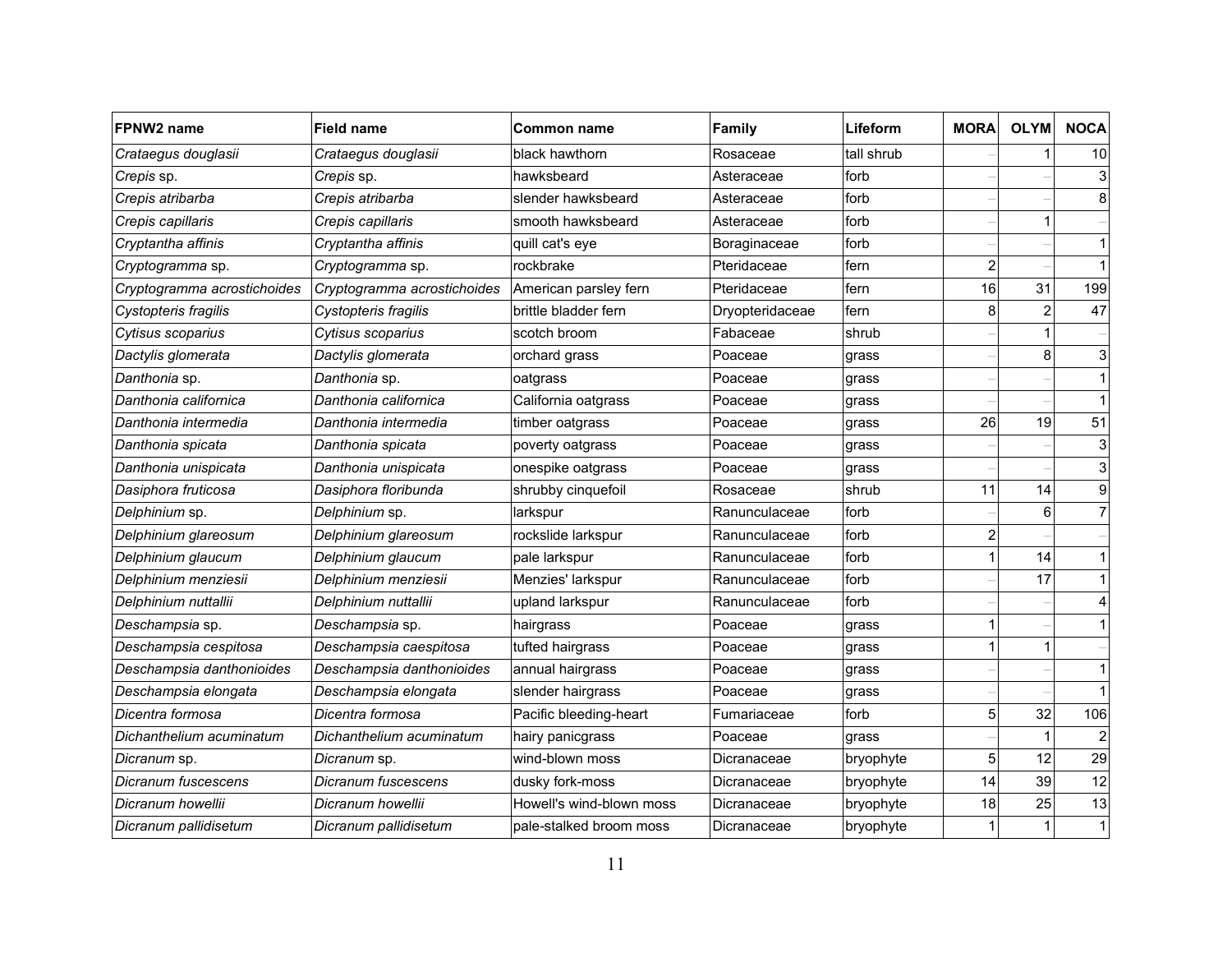| FPNW2 name                  | <b>Field name</b>           | <b>Common name</b>       | Family          | Lifeform   | <b>MORA</b>    | <b>OLYM</b>             | <b>NOCA</b>      |
|-----------------------------|-----------------------------|--------------------------|-----------------|------------|----------------|-------------------------|------------------|
| Crataegus douglasii         | Crataegus douglasii         | black hawthorn           | Rosaceae        | tall shrub |                |                         | 10               |
| Crepis sp.                  | Crepis sp.                  | hawksbeard               | Asteraceae      | forb       |                |                         | 3                |
| Crepis atribarba            | Crepis atribarba            | slender hawksbeard       | Asteraceae      | forb       |                |                         | 8                |
| Crepis capillaris           | Crepis capillaris           | smooth hawksbeard        | Asteraceae      | forb       |                | 1                       |                  |
| Cryptantha affinis          | Cryptantha affinis          | quill cat's eye          | Boraginaceae    | forb       |                |                         | 1                |
| Cryptogramma sp.            | Cryptogramma sp.            | rockbrake                | Pteridaceae     | fern       | $\overline{2}$ |                         | $\mathbf{1}$     |
| Cryptogramma acrostichoides | Cryptogramma acrostichoides | American parsley fern    | Pteridaceae     | fern       | 16             | 31                      | 199              |
| Cystopteris fragilis        | Cystopteris fragilis        | brittle bladder fern     | Dryopteridaceae | fern       | 8              | $\overline{\mathbf{c}}$ | 47               |
| Cytisus scoparius           | Cytisus scoparius           | scotch broom             | Fabaceae        | shrub      |                | 1                       |                  |
| Dactylis glomerata          | Dactylis glomerata          | orchard grass            | Poaceae         | grass      |                | 8                       | 3                |
| Danthonia sp.               | Danthonia sp.               | oatgrass                 | Poaceae         | grass      |                |                         | $\mathbf{1}$     |
| Danthonia californica       | Danthonia californica       | California oatgrass      | Poaceae         | grass      |                |                         | $\mathbf 1$      |
| Danthonia intermedia        | Danthonia intermedia        | timber oatgrass          | Poaceae         | grass      | 26             | 19                      | 51               |
| Danthonia spicata           | Danthonia spicata           | poverty oatgrass         | Poaceae         | grass      |                |                         | 3                |
| Danthonia unispicata        | Danthonia unispicata        | onespike oatgrass        | Poaceae         | grass      |                |                         | 3                |
| Dasiphora fruticosa         | Dasiphora floribunda        | shrubby cinquefoil       | Rosaceae        | shrub      | 11             | 14                      | 9                |
| Delphinium sp.              | Delphinium sp.              | larkspur                 | Ranunculaceae   | forb       |                | 6                       | $\overline{7}$   |
| Delphinium glareosum        | Delphinium glareosum        | rockslide larkspur       | Ranunculaceae   | forb       | $\overline{a}$ |                         |                  |
| Delphinium glaucum          | Delphinium glaucum          | pale larkspur            | Ranunculaceae   | forb       |                | 14                      | 1                |
| Delphinium menziesii        | Delphinium menziesii        | Menzies' larkspur        | Ranunculaceae   | forb       |                | 17                      | 1                |
| Delphinium nuttallii        | Delphinium nuttallii        | upland larkspur          | Ranunculaceae   | forb       |                |                         | 4                |
| Deschampsia sp.             | Deschampsia sp.             | hairgrass                | Poaceae         | grass      |                |                         | $\mathbf{1}$     |
| Deschampsia cespitosa       | Deschampsia caespitosa      | tufted hairgrass         | Poaceae         | grass      |                |                         |                  |
| Deschampsia danthonioides   | Deschampsia danthonioides   | annual hairgrass         | Poaceae         | grass      |                |                         | $\mathbf{1}$     |
| Deschampsia elongata        | Deschampsia elongata        | slender hairgrass        | Poaceae         | grass      |                |                         | $\mathbf 1$      |
| Dicentra formosa            | Dicentra formosa            | Pacific bleeding-heart   | Fumariaceae     | forb       | 5              | 32                      | 106              |
| Dichanthelium acuminatum    | Dichanthelium acuminatum    | hairy panicgrass         | Poaceae         | grass      |                |                         | $\boldsymbol{2}$ |
| Dicranum sp.                | Dicranum sp.                | wind-blown moss          | Dicranaceae     | bryophyte  | 5 <sup>1</sup> | 12                      | 29               |
| Dicranum fuscescens         | Dicranum fuscescens         | dusky fork-moss          | Dicranaceae     | bryophyte  | 14             | 39                      | 12               |
| Dicranum howellii           | Dicranum howellii           | Howell's wind-blown moss | Dicranaceae     | bryophyte  | 18             | 25                      | 13               |
| Dicranum pallidisetum       | Dicranum pallidisetum       | pale-stalked broom moss  | Dicranaceae     | bryophyte  |                | 1                       | 1                |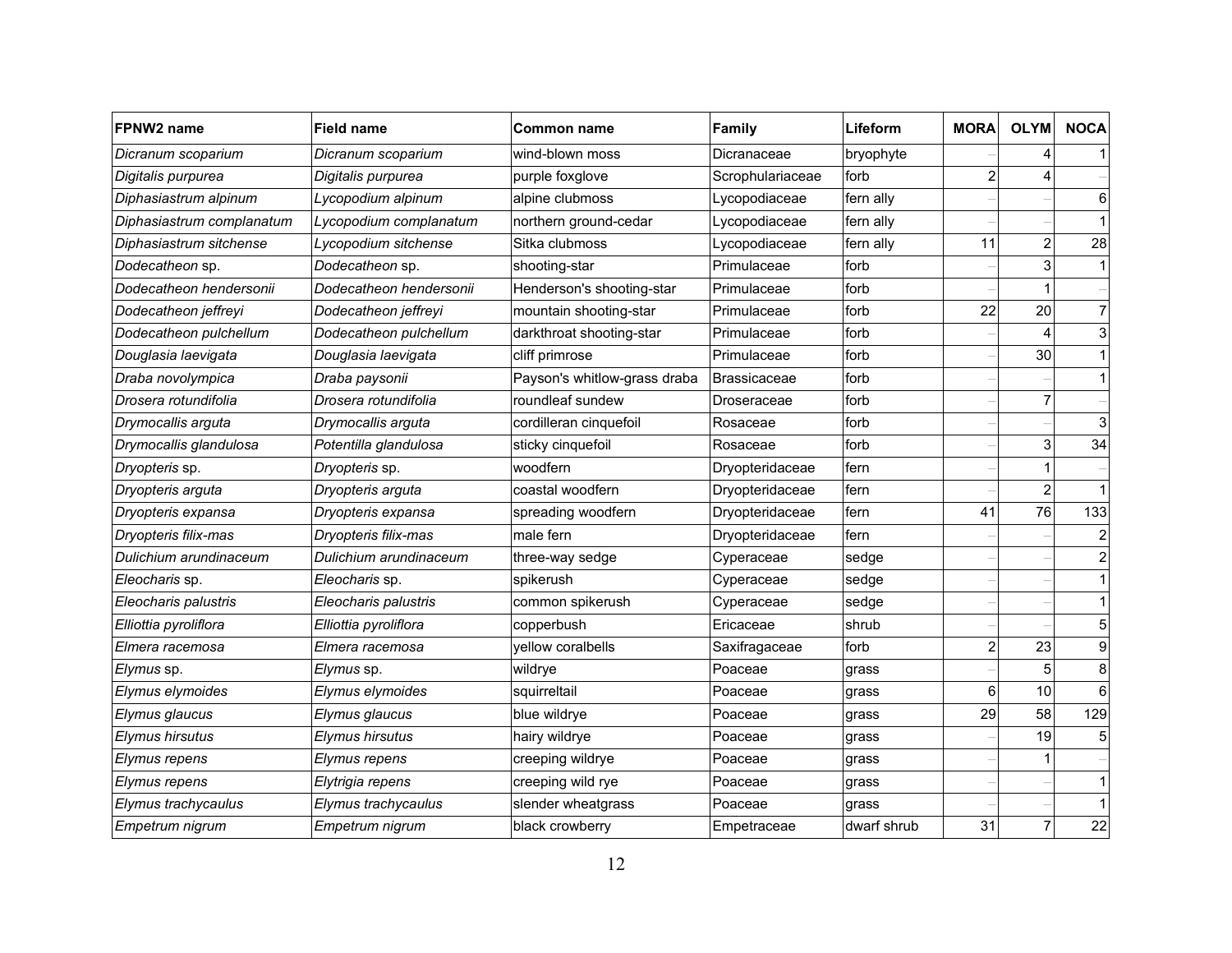| FPNW2 name                | <b>Field name</b>       | Common name                  | <b>Family</b>       | Lifeform    | <b>MORA</b>    | <b>OLYM</b>    | <b>NOCA</b>      |
|---------------------------|-------------------------|------------------------------|---------------------|-------------|----------------|----------------|------------------|
| Dicranum scoparium        | Dicranum scoparium      | wind-blown moss              | Dicranaceae         | bryophyte   |                |                |                  |
| Digitalis purpurea        | Digitalis purpurea      | purple foxglove              | Scrophulariaceae    | forb        | $\overline{2}$ |                |                  |
| Diphasiastrum alpinum     | Lycopodium alpinum      | alpine clubmoss              | Lycopodiaceae       | fern ally   |                |                | 6                |
| Diphasiastrum complanatum | Lycopodium complanatum  | northern ground-cedar        | Lycopodiaceae       | fern ally   |                |                | $\mathbf 1$      |
| Diphasiastrum sitchense   | Lycopodium sitchense    | Sitka clubmoss               | Lycopodiaceae       | fern ally   | 11             | $\overline{c}$ | 28               |
| Dodecatheon sp.           | Dodecatheon sp.         | shooting-star                | Primulaceae         | forb        |                | $\overline{3}$ | 1                |
| Dodecatheon hendersonii   | Dodecatheon hendersonii | Henderson's shooting-star    | Primulaceae         | forb        |                |                |                  |
| Dodecatheon jeffreyi      | Dodecatheon jeffreyi    | mountain shooting-star       | Primulaceae         | forb        | 22             | 20             | $\overline{7}$   |
| Dodecatheon pulchellum    | Dodecatheon pulchellum  | darkthroat shooting-star     | Primulaceae         | forb        |                |                | 3                |
| Douglasia laevigata       | Douglasia laevigata     | cliff primrose               | Primulaceae         | forb        |                | 30             | 1                |
| Draba novolympica         | Draba paysonii          | Payson's whitlow-grass draba | <b>Brassicaceae</b> | forb        |                |                | 1                |
| Drosera rotundifolia      | Drosera rotundifolia    | roundleaf sundew             | Droseraceae         | forb        |                | 7              |                  |
| Drymocallis arguta        | Drymocallis arguta      | cordilleran cinquefoil       | Rosaceae            | forb        |                |                | 3                |
| Drymocallis glandulosa    | Potentilla glandulosa   | sticky cinquefoil            | Rosaceae            | forb        |                | 3              | 34               |
| Dryopteris sp.            | Dryopteris sp.          | woodfern                     | Dryopteridaceae     | fern        |                | 1              |                  |
| Dryopteris arguta         | Dryopteris arguta       | coastal woodfern             | Dryopteridaceae     | fern        |                | $\overline{2}$ | $\mathbf{1}$     |
| Dryopteris expansa        | Dryopteris expansa      | spreading woodfern           | Dryopteridaceae     | fern        | 41             | 76             | 133              |
| Dryopteris filix-mas      | Dryopteris filix-mas    | male fern                    | Dryopteridaceae     | fern        |                |                | $\overline{c}$   |
| Dulichium arundinaceum    | Dulichium arundinaceum  | three-way sedge              | Cyperaceae          | sedge       |                |                | $\boldsymbol{2}$ |
| Eleocharis sp.            | Eleocharis sp.          | spikerush                    | Cyperaceae          | sedge       |                |                | $\mathbf{1}$     |
| Eleocharis palustris      | Eleocharis palustris    | common spikerush             | Cyperaceae          | sedge       |                |                | $\mathbf{1}$     |
| Elliottia pyroliflora     | Elliottia pyroliflora   | copperbush                   | Ericaceae           | shrub       |                |                | 5                |
| Elmera racemosa           | Elmera racemosa         | yellow coralbells            | Saxifragaceae       | forb        | $\overline{c}$ | 23             | $\boldsymbol{9}$ |
| Elymus sp.                | Elymus sp.              | wildrye                      | Poaceae             | grass       |                | 5              | 8                |
| Elymus elymoides          | Elymus elymoides        | squirreltail                 | Poaceae             | grass       | 6              | 10             | $6\phantom{1}$   |
| Elymus glaucus            | Elymus glaucus          | blue wildrye                 | Poaceae             | grass       | 29             | 58             | 129              |
| Elymus hirsutus           | Elymus hirsutus         | hairy wildrye                | Poaceae             | grass       |                | 19             | $\mathbf 5$      |
| Elymus repens             | Elymus repens           | creeping wildrye             | Poaceae             | grass       |                |                |                  |
| Elymus repens             | Elytrigia repens        | creeping wild rye            | Poaceae             | grass       |                |                | 1                |
| Elymus trachycaulus       | Elymus trachycaulus     | slender wheatgrass           | Poaceae             | grass       |                |                |                  |
| Empetrum nigrum           | Empetrum nigrum         | black crowberry              | Empetraceae         | dwarf shrub | 31             | 7              | 22               |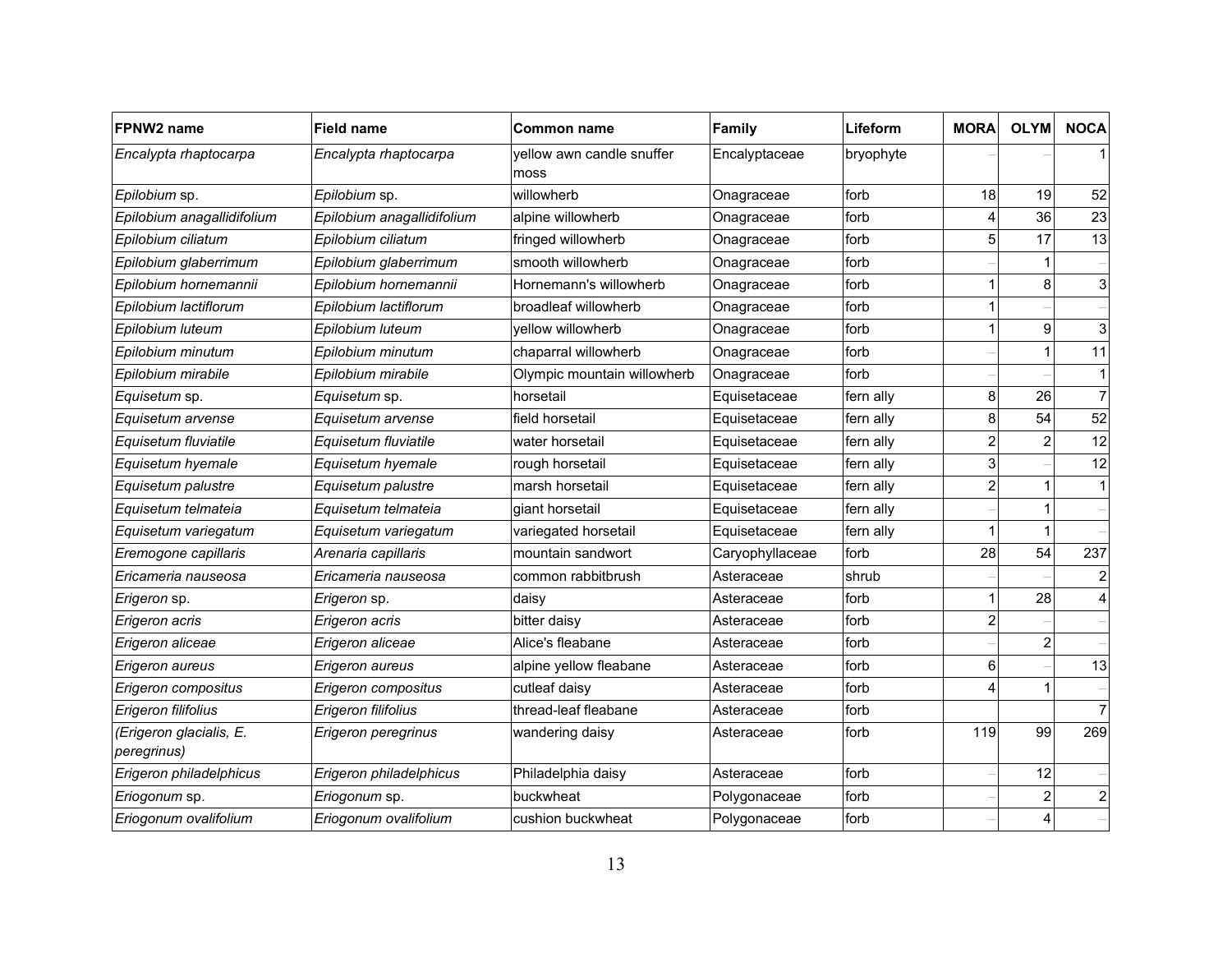| <b>FPNW2</b> name                      | <b>Field name</b>          | <b>Common name</b>                | Family          | Lifeform  | <b>MORA</b>              | <b>OLYM</b>      | <b>NOCA</b>    |
|----------------------------------------|----------------------------|-----------------------------------|-----------------|-----------|--------------------------|------------------|----------------|
| Encalypta rhaptocarpa                  | Encalypta rhaptocarpa      | yellow awn candle snuffer<br>moss | Encalyptaceae   | bryophyte |                          |                  | 11             |
| Epilobium sp.                          | Epilobium sp.              | willowherb                        | Onagraceae      | forb      | 18                       | 19               | 52             |
| Epilobium anagallidifolium             | Epilobium anagallidifolium | alpine willowherb                 | Onagraceae      | forb      |                          | 36               | 23             |
| Epilobium ciliatum                     | Epilobium ciliatum         | fringed willowherb                | Onagraceae      | forb      | 5                        | 17               | 13             |
| Epilobium glaberrimum                  | Epilobium glaberrimum      | smooth willowherb                 | Onagraceae      | forb      |                          |                  |                |
| Epilobium hornemannii                  | Epilobium hornemannii      | Hornemann's willowherb            | Onagraceae      | forb      |                          | 8                | $\mathsf 3$    |
| Epilobium lactiflorum                  | Epilobium lactiflorum      | broadleaf willowherb              | Onagraceae      | forb      |                          |                  |                |
| Epilobium luteum                       | Epilobium luteum           | yellow willowherb                 | Onagraceae      | forb      |                          | $\boldsymbol{9}$ | 3              |
| Epilobium minutum                      | Epilobium minutum          | chaparral willowherb              | Onagraceae      | forb      |                          |                  | 11             |
| Epilobium mirabile                     | Epilobium mirabile         | Olympic mountain willowherb       | Onagraceae      | forb      |                          |                  | $\mathbf{1}$   |
| Equisetum sp.                          | Equisetum sp.              | horsetail                         | Equisetaceae    | fern ally | 8                        | 26               | 7              |
| Equisetum arvense                      | Equisetum arvense          | field horsetail                   | Equisetaceae    | fern ally | 8                        | 54               | 52             |
| Equisetum fluviatile                   | Equisetum fluviatile       | water horsetail                   | Equisetaceae    | fern ally | $\overline{2}$           | 2                | 12             |
| Equisetum hyemale                      | Equisetum hyemale          | rough horsetail                   | Equisetaceae    | fern ally | 3                        |                  | 12             |
| Equisetum palustre                     | Equisetum palustre         | marsh horsetail                   | Equisetaceae    | fern ally | $\overline{\mathcal{L}}$ |                  | 1              |
| Equisetum telmateia                    | Equisetum telmateia        | giant horsetail                   | Equisetaceae    | fern ally |                          |                  |                |
| Equisetum variegatum                   | Equisetum variegatum       | variegated horsetail              | Equisetaceae    | fern ally |                          |                  |                |
| Eremogone capillaris                   | Arenaria capillaris        | mountain sandwort                 | Caryophyllaceae | forb      | 28                       | 54               | 237            |
| Ericameria nauseosa                    | Ericameria nauseosa        | common rabbitbrush                | Asteraceae      | shrub     |                          |                  | 2              |
| Erigeron sp.                           | Erigeron sp.               | daisy                             | Asteraceae      | forb      |                          | 28               | 4              |
| Erigeron acris                         | Erigeron acris             | bitter daisy                      | Asteraceae      | forb      |                          |                  |                |
| Erigeron aliceae                       | Erigeron aliceae           | Alice's fleabane                  | Asteraceae      | forb      |                          | $\overline{c}$   |                |
| Erigeron aureus                        | Erigeron aureus            | alpine yellow fleabane            | Asteraceae      | forb      | 6                        |                  | 13             |
| Erigeron compositus                    | Erigeron compositus        | cutleaf daisy                     | Asteraceae      | forb      | Δ                        |                  |                |
| Erigeron filifolius                    | Erigeron filifolius        | thread-leaf fleabane              | Asteraceae      | forb      |                          |                  | $\overline{7}$ |
| (Erigeron glacialis, E.<br>peregrinus) | Erigeron peregrinus        | wandering daisy                   | Asteraceae      | forb      | 119                      | 99               | 269            |
| Erigeron philadelphicus                | Erigeron philadelphicus    | Philadelphia daisy                | Asteraceae      | forb      |                          | 12               |                |
| Eriogonum sp.                          | Eriogonum sp.              | buckwheat                         | Polygonaceae    | forb      |                          | $\overline{c}$   | $\mathbf{2}$   |
| Eriogonum ovalifolium                  | Eriogonum ovalifolium      | cushion buckwheat                 | Polygonaceae    | forb      |                          | 4                |                |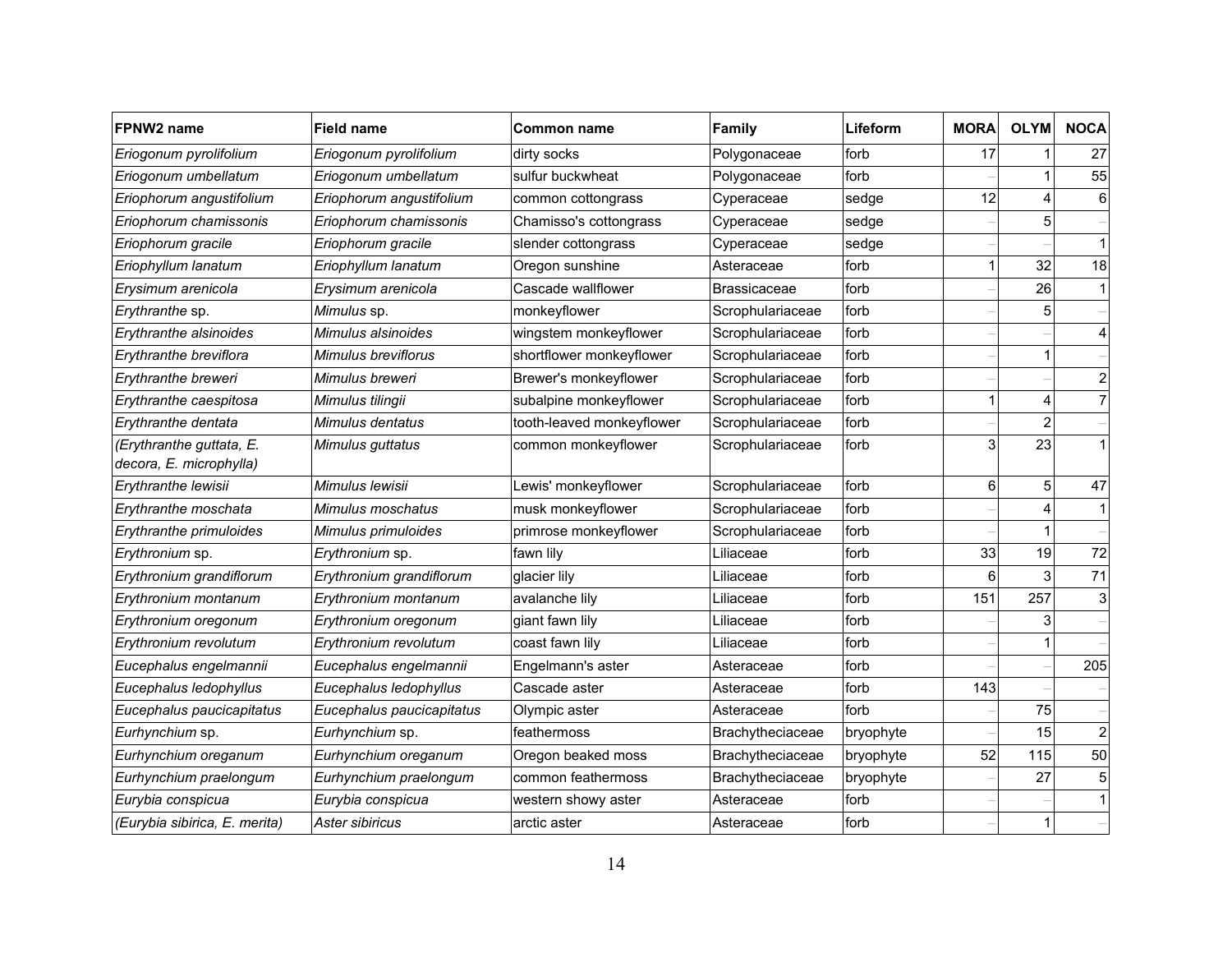| FPNW2 name                                          | <b>Field name</b>          | <b>Common name</b>        | <b>Family</b>         | Lifeform  | <b>MORA</b> | <b>OLYM</b>    | <b>NOCA</b>    |
|-----------------------------------------------------|----------------------------|---------------------------|-----------------------|-----------|-------------|----------------|----------------|
| Eriogonum pyrolifolium                              | Eriogonum pyrolifolium     | dirty socks               | Polygonaceae          | forb      | 17          |                | 27             |
| Eriogonum umbellatum                                | Eriogonum umbellatum       | sulfur buckwheat          | Polygonaceae          | forb      |             |                | 55             |
| Eriophorum angustifolium                            | Eriophorum angustifolium   | common cottongrass        | Cyperaceae            | sedge     | 12          | 4              | 6              |
| Eriophorum chamissonis                              | Eriophorum chamissonis     | Chamisso's cottongrass    | Cyperaceae            | sedge     |             | 5              |                |
| Eriophorum gracile                                  | Eriophorum gracile         | slender cottongrass       | Cyperaceae            | sedge     |             |                |                |
| Eriophyllum lanatum                                 | Eriophyllum lanatum        | Oregon sunshine           | Asteraceae            | forb      |             | 32             | 18             |
| Erysimum arenicola                                  | Erysimum arenicola         | Cascade wallflower        | Brassicaceae          | forb      |             | 26             |                |
| Erythranthe sp.                                     | Mimulus sp.                | monkeyflower              | Scrophulariaceae      | forb      |             | 5              |                |
| Erythranthe alsinoides                              | Mimulus alsinoides         | wingstem monkeyflower     | Scrophulariaceae      | forb      |             |                |                |
| Erythranthe breviflora                              | <b>Mimulus breviflorus</b> | shortflower monkeyflower  | Scrophulariaceae      | forb      |             |                |                |
| Erythranthe breweri                                 | Mimulus breweri            | Brewer's monkeyflower     | Scrophulariaceae      | forb      |             |                | $\overline{c}$ |
| Erythranthe caespitosa                              | Mimulus tilingii           | subalpine monkeyflower    | Scrophulariaceae      | forb      |             | 4              | 7              |
| Erythranthe dentata                                 | Mimulus dentatus           | tooth-leaved monkeyflower | Scrophulariaceae      | forb      |             | $\overline{2}$ |                |
| (Erythranthe guttata, E.<br>decora, E. microphylla) | Mimulus guttatus           | common monkeyflower       | Scrophulariaceae      | forb      | 3           | 23             |                |
| Erythranthe lewisii                                 | Mimulus lewisii            | Lewis' monkeyflower       | Scrophulariaceae      | forb      | 6           | 5              | 47             |
| Erythranthe moschata                                | Mimulus moschatus          | musk monkeyflower         | Scrophulariaceae      | forb      |             | 4              |                |
| Erythranthe primuloides                             | Mimulus primuloides        | primrose monkeyflower     | Scrophulariaceae      | forb      |             |                |                |
| Erythronium sp.                                     | Erythronium sp.            | fawn lily                 | Liliaceae             | forb      | 33          | 19             | 72             |
| Erythronium grandiflorum                            | Erythronium grandiflorum   | glacier lily              | <sub>-</sub> iliaceae | forb      | 6           | 3              | 71             |
| Erythronium montanum                                | Erythronium montanum       | avalanche lily            | Liliaceae             | forb      | 151         | 257            | 3              |
| Erythronium oregonum                                | Erythronium oregonum       | giant fawn lily           | _iliaceae             | forb      |             |                |                |
| Erythronium revolutum                               | Erythronium revolutum      | coast fawn lily           | _iliaceae             | forb      |             |                |                |
| Eucephalus engelmannii                              | Eucephalus engelmannii     | Engelmann's aster         | Asteraceae            | forb      |             |                | 205            |
| Eucephalus ledophyllus                              | Eucephalus ledophyllus     | Cascade aster             | Asteraceae            | forb      | 143         |                |                |
| Eucephalus paucicapitatus                           | Eucephalus paucicapitatus  | Olympic aster             | Asteraceae            | forb      |             | 75             |                |
| Eurhynchium sp.                                     | Eurhynchium sp.            | feathermoss               | Brachytheciaceae      | bryophyte |             | 15             | $\overline{2}$ |
| Eurhynchium oreganum                                | Eurhynchium oreganum       | Oregon beaked moss        | Brachytheciaceae      | bryophyte | 52          | 115            | 50             |
| Eurhynchium praelongum                              | Eurhynchium praelongum     | common feathermoss        | Brachytheciaceae      | bryophyte |             | 27             | 5              |
| Eurybia conspicua                                   | Eurybia conspicua          | western showy aster       | Asteraceae            | forb      |             |                |                |
| (Eurybia sibirica, E. merita)                       | Aster sibiricus            | arctic aster              | Asteraceae            | forb      |             |                |                |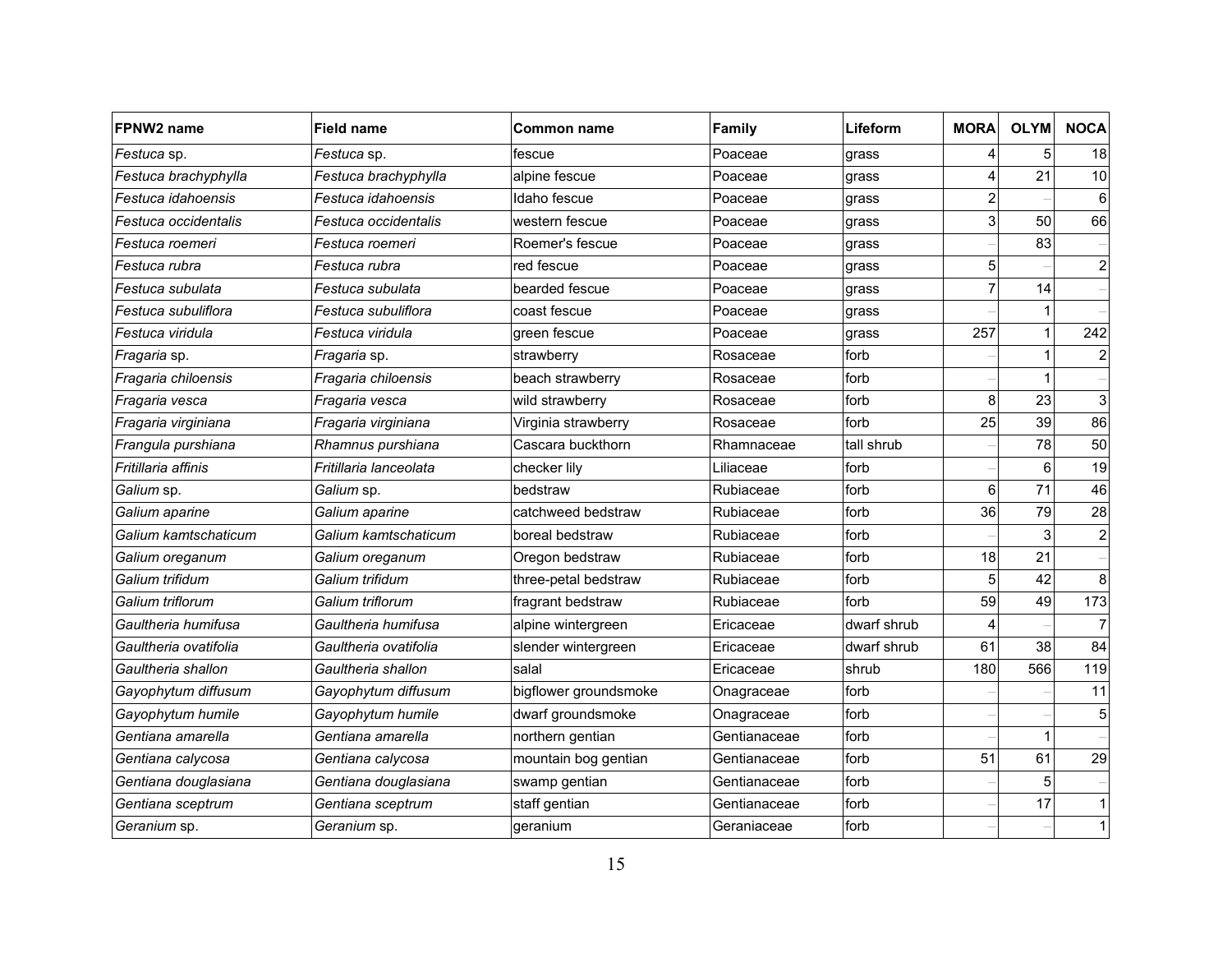| FPNW2 name            | <b>Field name</b>      | <b>Common name</b>    | Family       | Lifeform    | <b>MORA</b>    | <b>OLYM</b>  | <b>NOCA</b>      |
|-----------------------|------------------------|-----------------------|--------------|-------------|----------------|--------------|------------------|
| Festuca sp.           | Festuca sp.            | fescue                | Poaceae      | grass       | Δ              | 5            | 18               |
| Festuca brachyphylla  | Festuca brachyphylla   | alpine fescue         | Poaceae      | grass       | 4              | 21           | 10               |
| Festuca idahoensis    | Festuca idahoensis     | Idaho fescue          | Poaceae      | grass       | $\overline{a}$ |              | 6                |
| Festuca occidentalis  | Festuca occidentalis   | western fescue        | Poaceae      | grass       | 3              | 50           | 66               |
| Festuca roemeri       | Festuca roemeri        | Roemer's fescue       | Poaceae      | grass       |                | 83           |                  |
| Festuca rubra         | Festuca rubra          | red fescue            | Poaceae      | grass       | 5 <sup>1</sup> |              | $\boldsymbol{2}$ |
| Festuca subulata      | Festuca subulata       | bearded fescue        | Poaceae      | grass       | $\overline{7}$ | 14           |                  |
| Festuca subuliflora   | Festuca subuliflora    | coast fescue          | Poaceae      | grass       |                | 1            |                  |
| Festuca viridula      | Festuca viridula       | green fescue          | Poaceae      | grass       | 257            | $\mathbf{1}$ | 242              |
| <i>Fragaria</i> sp.   | Fragaria sp.           | strawberry            | Rosaceae     | forb        |                | 1            | $\overline{c}$   |
| Fragaria chiloensis   | Fragaria chiloensis    | beach strawberry      | Rosaceae     | forb        |                | 1            |                  |
| Fragaria vesca        | Fragaria vesca         | wild strawberry       | Rosaceae     | forb        | 8              | 23           | 3                |
| Fragaria virginiana   | Fragaria virginiana    | Virginia strawberry   | Rosaceae     | forb        | 25             | 39           | 86               |
| Frangula purshiana    | Rhamnus purshiana      | Cascara buckthorn     | Rhamnaceae   | tall shrub  |                | 78           | 50               |
| Fritillaria affinis   | Fritillaria lanceolata | checker lily          | Liliaceae    | forb        |                | 6            | 19               |
| Galium sp.            | Galium sp.             | bedstraw              | Rubiaceae    | forb        | $6 \mid$       | 71           | 46               |
| Galium aparine        | Galium aparine         | catchweed bedstraw    | Rubiaceae    | forb        | 36             | 79           | 28               |
| Galium kamtschaticum  | Galium kamtschaticum   | boreal bedstraw       | Rubiaceae    | forb        |                | 3            | $\overline{c}$   |
| Galium oreganum       | Galium oreganum        | Oregon bedstraw       | Rubiaceae    | forb        | 18             | 21           |                  |
| Galium trifidum       | Galium trifidum        | three-petal bedstraw  | Rubiaceae    | forb        | 5              | 42           | 8                |
| Galium triflorum      | Galium triflorum       | fragrant bedstraw     | Rubiaceae    | forb        | 59             | 49           | 173              |
| Gaultheria humifusa   | Gaultheria humifusa    | alpine wintergreen    | Ericaceae    | dwarf shrub |                |              | $\overline{7}$   |
| Gaultheria ovatifolia | Gaultheria ovatifolia  | slender wintergreen   | Ericaceae    | dwarf shrub | 61             | 38           | 84               |
| Gaultheria shallon    | Gaultheria shallon     | salal                 | Ericaceae    | shrub       | 180            | 566          | 119              |
| Gayophytum diffusum   | Gayophytum diffusum    | bigflower groundsmoke | Onagraceae   | forb        |                |              | 11               |
| Gayophytum humile     | Gayophytum humile      | dwarf groundsmoke     | Onagraceae   | forb        |                |              | 5                |
| Gentiana amarella     | Gentiana amarella      | northern gentian      | Gentianaceae | forb        |                | 1            |                  |
| Gentiana calycosa     | Gentiana calycosa      | mountain bog gentian  | Gentianaceae | forb        | 51             | 61           | 29               |
| Gentiana douglasiana  | Gentiana douglasiana   | swamp gentian         | Gentianaceae | forb        |                | 5            |                  |
| Gentiana sceptrum     | Gentiana sceptrum      | staff gentian         | Gentianaceae | forb        |                | 17           | $\mathbf{1}$     |
| Geranium sp.          | Geranium sp.           | geranium              | Geraniaceae  | forb        |                |              | $\mathbf{1}$     |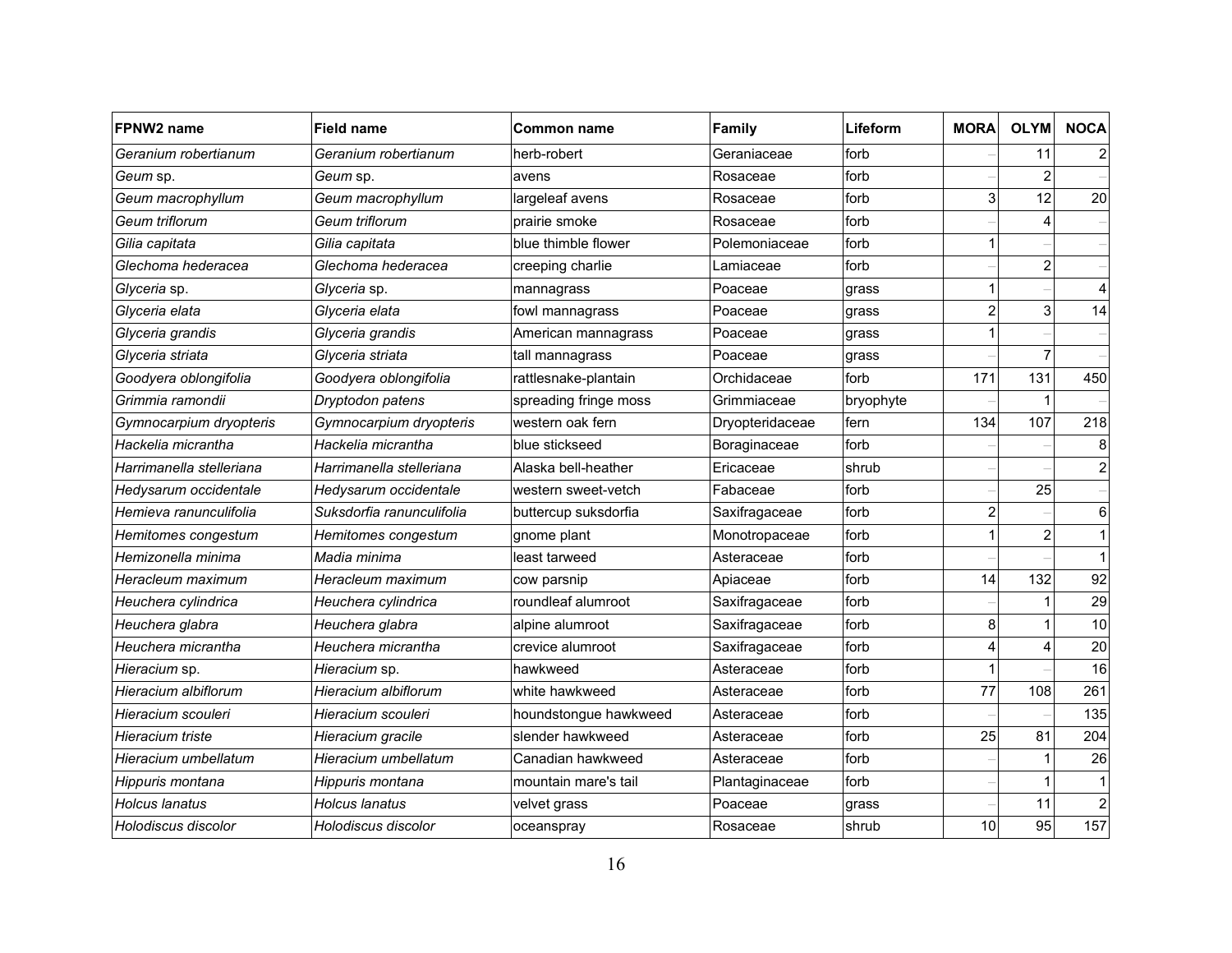| FPNW2 name               | <b>Field name</b>         | Common name           | Family                | Lifeform  | <b>MORA</b>              | <b>OLYM</b>    | <b>NOCA</b>             |
|--------------------------|---------------------------|-----------------------|-----------------------|-----------|--------------------------|----------------|-------------------------|
| Geranium robertianum     | Geranium robertianum      | herb-robert           | Geraniaceae           | forb      |                          | 11             | 2                       |
| Geum sp.                 | Geum sp.                  | avens                 | Rosaceae              | forb      |                          |                |                         |
| Geum macrophyllum        | Geum macrophyllum         | largeleaf avens       | Rosaceae              | forb      | 3                        | 12             | 20                      |
| Geum triflorum           | Geum triflorum            | prairie smoke         | Rosaceae              | forb      |                          | 4              |                         |
| Gilia capitata           | Gilia capitata            | blue thimble flower   | Polemoniaceae         | forb      |                          |                |                         |
| Glechoma hederacea       | Glechoma hederacea        | creeping charlie      | <sub>-</sub> amiaceae | forb      |                          | $\overline{c}$ |                         |
| Glyceria sp.             | Glyceria sp.              | mannagrass            | Poaceae               | grass     |                          |                | 4                       |
| Glyceria elata           | Glyceria elata            | fowl mannagrass       | Poaceae               | grass     | $\overline{\mathcal{L}}$ | 3              | 14                      |
| Glyceria grandis         | Glyceria grandis          | American mannagrass   | Poaceae               | grass     |                          |                |                         |
| Glyceria striata         | Glyceria striata          | tall mannagrass       | Poaceae               | grass     |                          | 7              |                         |
| Goodyera oblongifolia    | Goodyera oblongifolia     | rattlesnake-plantain  | Orchidaceae           | forb      | 171                      | 131            | 450                     |
| Grimmia ramondii         | Dryptodon patens          | spreading fringe moss | Grimmiaceae           | bryophyte |                          |                |                         |
| Gymnocarpium dryopteris  | Gymnocarpium dryopteris   | western oak fern      | Dryopteridaceae       | fern      | 134                      | 107            | 218                     |
| Hackelia micrantha       | Hackelia micrantha        | blue stickseed        | Boraginaceae          | forb      |                          |                | 8                       |
| Harrimanella stelleriana | Harrimanella stelleriana  | Alaska bell-heather   | Ericaceae             | shrub     |                          |                | $\overline{\mathbf{c}}$ |
| Hedysarum occidentale    | Hedysarum occidentale     | western sweet-vetch   | Fabaceae              | forb      |                          | 25             |                         |
| Hemieva ranunculifolia   | Suksdorfia ranunculifolia | buttercup suksdorfia  | Saxifragaceae         | forb      | 2                        |                | 6                       |
| Hemitomes congestum      | Hemitomes congestum       | gnome plant           | Monotropaceae         | forb      |                          | $\overline{c}$ | $\mathbf{1}$            |
| Hemizonella minima       | Madia minima              | least tarweed         | Asteraceae            | forb      |                          |                | 1                       |
| Heracleum maximum        | Heracleum maximum         | cow parsnip           | Apiaceae              | forb      | 14                       | 132            | 92                      |
| Heuchera cylindrica      | Heuchera cylindrica       | roundleaf alumroot    | Saxifragaceae         | forb      |                          |                | 29                      |
| Heuchera glabra          | Heuchera glabra           | alpine alumroot       | Saxifragaceae         | forb      | 8                        |                | 10                      |
| Heuchera micrantha       | Heuchera micrantha        | crevice alumroot      | Saxifragaceae         | forb      | Δ                        | 4              | 20                      |
| Hieracium sp.            | Hieracium sp.             | hawkweed              | Asteraceae            | forb      |                          |                | 16                      |
| Hieracium albiflorum     | Hieracium albiflorum      | white hawkweed        | Asteraceae            | forb      | 77                       | 108            | 261                     |
| Hieracium scouleri       | Hieracium scouleri        | houndstongue hawkweed | Asteraceae            | forb      |                          |                | 135                     |
| Hieracium triste         | Hieracium gracile         | slender hawkweed      | Asteraceae            | forb      | 25                       | 81             | 204                     |
| Hieracium umbellatum     | Hieracium umbellatum      | Canadian hawkweed     | Asteraceae            | forb      |                          |                | 26                      |
| Hippuris montana         | Hippuris montana          | mountain mare's tail  | Plantaginaceae        | forb      |                          |                | 1                       |
| Holcus Ianatus           | Holcus Ianatus            | velvet grass          | Poaceae               | grass     |                          | 11             | $\overline{a}$          |
| Holodiscus discolor      | Holodiscus discolor       | oceanspray            | Rosaceae              | shrub     | 10                       | 95             | 157                     |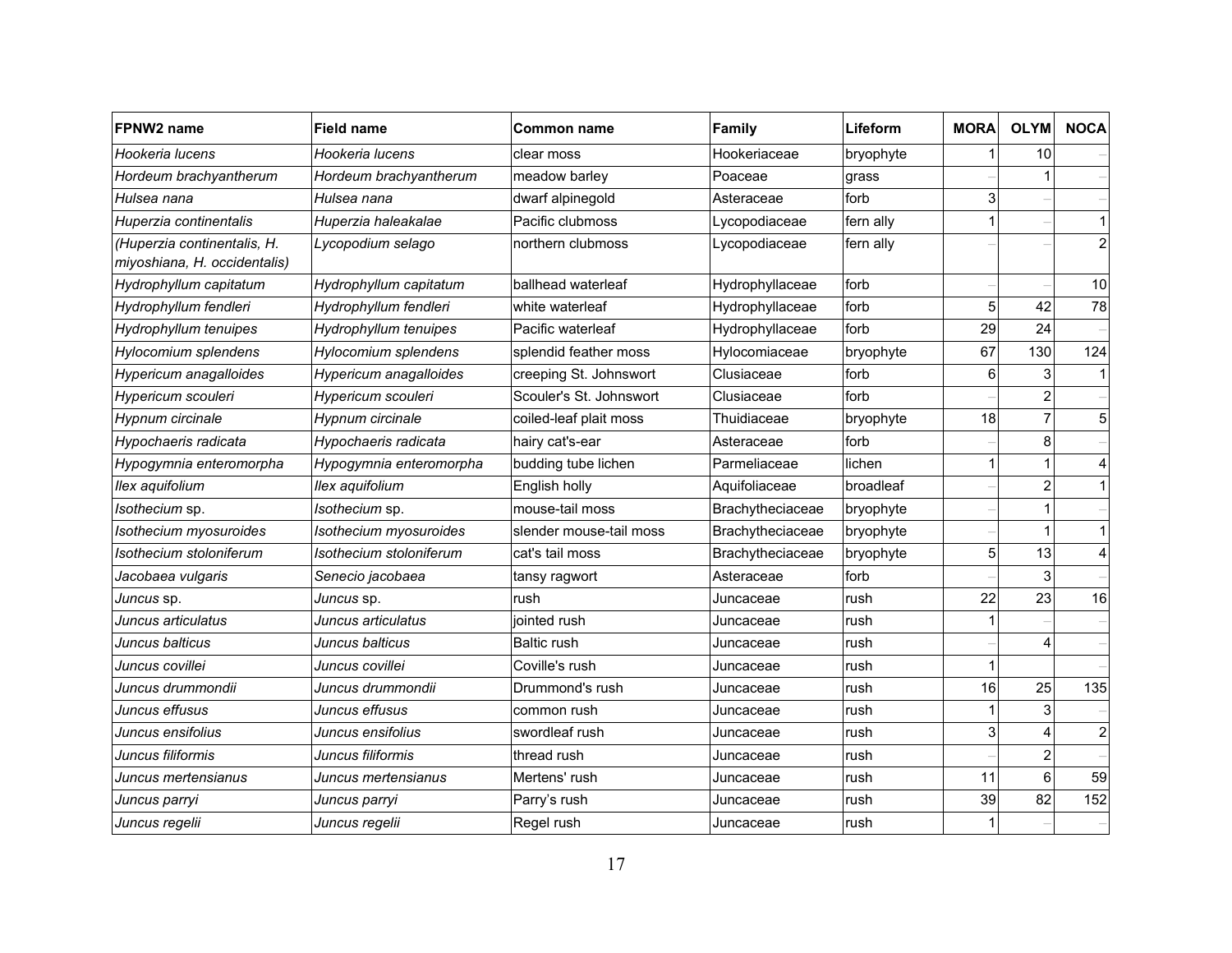| FPNW2 name                                                  | <b>Field name</b>       | <b>Common name</b>      | <b>Family</b>    | Lifeform  | <b>MORA</b>    | <b>OLYM</b>    | <b>NOCA</b>    |
|-------------------------------------------------------------|-------------------------|-------------------------|------------------|-----------|----------------|----------------|----------------|
| Hookeria lucens                                             | Hookeria lucens         | clear moss              | IHookeriaceae    | bryophyte |                | 10             |                |
| Hordeum brachyantherum                                      | Hordeum brachyantherum  | meadow barley           | Poaceae          | grass     |                |                |                |
| Hulsea nana                                                 | Hulsea nana             | dwarf alpinegold        | Asteraceae       | forb      | 3              |                |                |
| Huperzia continentalis                                      | Huperzia haleakalae     | Pacific clubmoss        | Lycopodiaceae    | fern ally |                |                | 1              |
| (Huperzia continentalis, H.<br>miyoshiana, H. occidentalis) | Lycopodium selago       | northern clubmoss       | Lycopodiaceae    | fern ally |                |                | $\overline{c}$ |
| Hydrophyllum capitatum                                      | Hydrophyllum capitatum  | ballhead waterleaf      | Hydrophyllaceae  | forb      |                |                | 10             |
| Hydrophyllum fendleri                                       | Hydrophyllum fendleri   | white waterleaf         | Hydrophyllaceae  | forb      | 5              | 42             | 78             |
| Hydrophyllum tenuipes                                       | Hydrophyllum tenuipes   | Pacific waterleaf       | Hydrophyllaceae  | forb      | 29             | 24             |                |
| Hylocomium splendens                                        | Hylocomium splendens    | splendid feather moss   | Hylocomiaceae    | bryophyte | 67             | 130            | 124            |
| Hypericum anagalloides                                      | Hypericum anagalloides  | creeping St. Johnswort  | Clusiaceae       | forb      | 6              | 3              |                |
| Hypericum scouleri                                          | Hypericum scouleri      | Scouler's St. Johnswort | Clusiaceae       | forb      |                | $\overline{2}$ |                |
| Hypnum circinale                                            | Hypnum circinale        | coiled-leaf plait moss  | Thuidiaceae      | bryophyte | 18             | $\overline{7}$ | 5              |
| Hypochaeris radicata                                        | Hypochaeris radicata    | hairy cat's-ear         | Asteraceae       | forb      |                | 8              |                |
| Hypogymnia enteromorpha                                     | Hypogymnia enteromorpha | budding tube lichen     | Parmeliaceae     | lichen    | 1              | $\mathbf{1}$   | 4              |
| llex aquifolium                                             | llex aquifolium         | English holly           | Aquifoliaceae    | broadleaf |                | $\overline{c}$ | $\mathbf{1}$   |
| Isothecium sp.                                              | Isothecium sp.          | mouse-tail moss         | Brachytheciaceae | bryophyte |                | 1              |                |
| Isothecium myosuroides                                      | Isothecium myosuroides  | slender mouse-tail moss | Brachytheciaceae | bryophyte |                | 1              | $\mathbf 1$    |
| Isothecium stoloniferum                                     | Isothecium stoloniferum | cat's tail moss         | Brachytheciaceae | bryophyte | 5 <sup>1</sup> | 13             | 4              |
| Jacobaea vulgaris                                           | Senecio jacobaea        | tansy ragwort           | Asteraceae       | forb      |                | 3              |                |
| Juncus sp.                                                  | Juncus sp.              | rush                    | Juncaceae        | rush      | 22             | 23             | 16             |
| Juncus articulatus                                          | Juncus articulatus      | jointed rush            | Juncaceae        | rush      |                |                |                |
| Juncus balticus                                             | Juncus balticus         | <b>Baltic rush</b>      | Juncaceae        | rush      |                | 4              |                |
| Juncus covillei                                             | Juncus covillei         | Coville's rush          | Juncaceae        | rush      |                |                |                |
| Juncus drummondii                                           | Juncus drummondii       | Drummond's rush         | Juncaceae        | rush      | 16             | 25             | 135            |
| Juncus effusus                                              | Juncus effusus          | common rush             | Juncaceae        | rush      |                | 3              |                |
| Juncus ensifolius                                           | Juncus ensifolius       | swordleaf rush          | Juncaceae        | rush      | 3              | $\overline{4}$ | $\overline{c}$ |
| Juncus filiformis                                           | Juncus filiformis       | Ithread rush            | Juncaceae        | rush      |                | $\overline{c}$ |                |
| Juncus mertensianus                                         | Juncus mertensianus     | Mertens' rush           | Juncaceae        | rush      | 11             | $\,6$          | 59             |
| Juncus parryi                                               | Juncus parryi           | Parry's rush            | Juncaceae        | rush      | 39             | 82             | 152            |
| Juncus regelii                                              | Juncus regelii          | Regel rush              | Juncaceae        | rush      |                |                |                |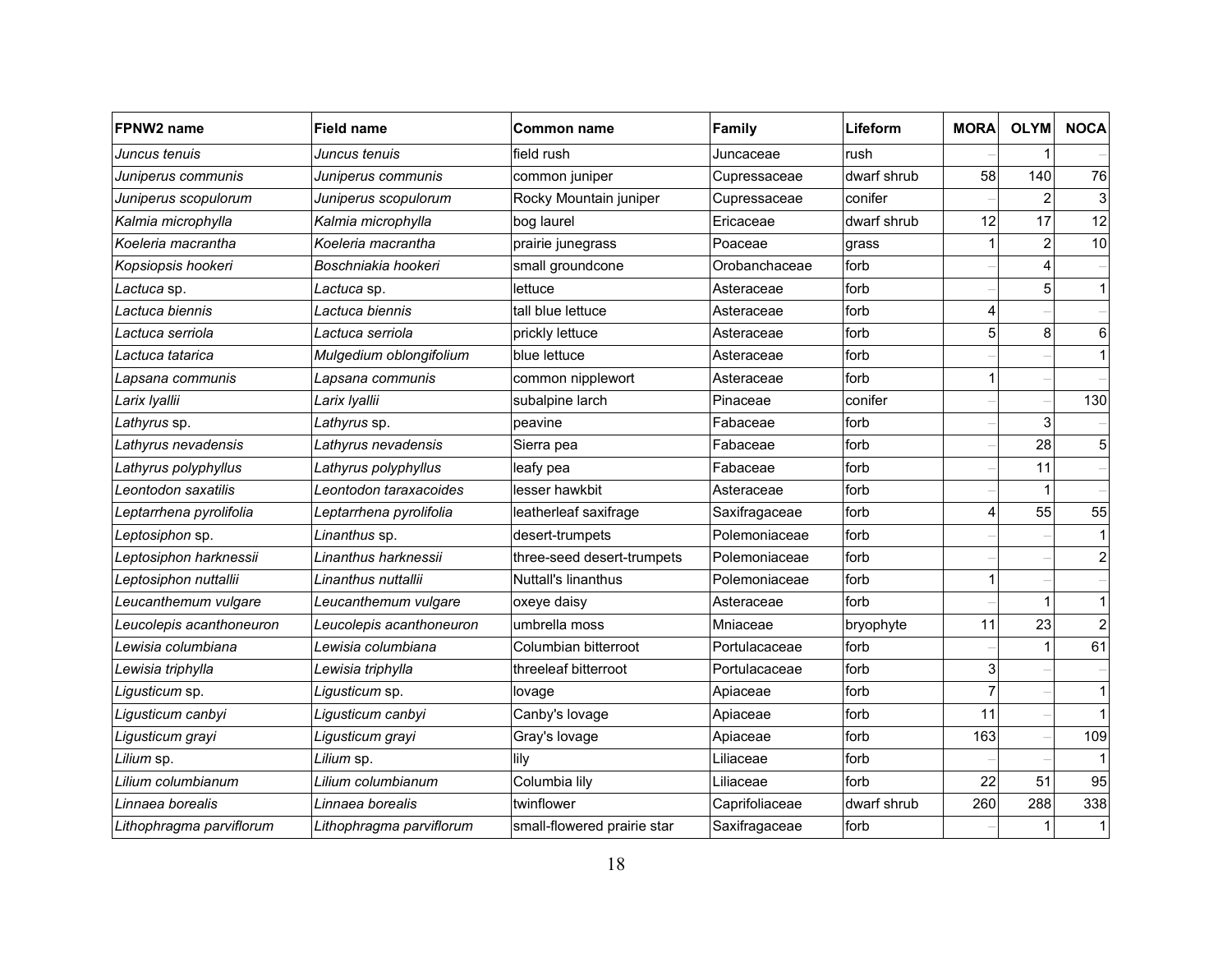| FPNW2 name               | <b>Field name</b>        | Common name                 | Family                | Lifeform    | <b>MORA</b> | <b>OLYM</b>    | <b>NOCA</b>             |
|--------------------------|--------------------------|-----------------------------|-----------------------|-------------|-------------|----------------|-------------------------|
| Juncus tenuis            | Juncus tenuis            | field rush                  | Juncaceae             | rush        |             |                |                         |
| Juniperus communis       | Juniperus communis       | common juniper              | Cupressaceae          | dwarf shrub | 58          | 140            | 76                      |
| Juniperus scopulorum     | Juniperus scopulorum     | Rocky Mountain juniper      | Cupressaceae          | conifer     |             |                | 3                       |
| Kalmia microphylla       | Kalmia microphylla       | bog laurel                  | Ericaceae             | dwarf shrub | 12          | 17             | 12                      |
| Koeleria macrantha       | Koeleria macrantha       | prairie junegrass           | Poaceae               | grass       |             | $\overline{2}$ | 10                      |
| Kopsiopsis hookeri       | Boschniakia hookeri      | small groundcone            | Orobanchaceae         | forb        |             |                |                         |
| Lactuca sp.              | Lactuca sp.              | lettuce                     | Asteraceae            | forb        |             | 5              | $\mathbf{1}$            |
| Lactuca biennis          | Lactuca biennis          | tall blue lettuce           | Asteraceae            | forb        | Δ           |                |                         |
| Lactuca serriola         | Lactuca serriola         | prickly lettuce             | Asteraceae            | forb        | 5           | 8              | 6                       |
| Lactuca tatarica         | Mulgedium oblongifolium  | blue lettuce                | Asteraceae            | forb        |             |                | 1                       |
| Lapsana communis         | Lapsana communis         | common nipplewort           | Asteraceae            | forb        |             |                |                         |
| Larix Iyallii            | Larix Iyallii            | subalpine larch             | Pinaceae              | conifer     |             |                | 130                     |
| Lathyrus sp.             | Lathyrus sp.             | peavine                     | Fabaceae              | forb        |             | 3              |                         |
| Lathyrus nevadensis      | Lathyrus nevadensis      | Sierra pea                  | Fabaceae              | forb        |             | 28             | 5 <sub>l</sub>          |
| Lathyrus polyphyllus     | Lathyrus polyphyllus     | leafy pea                   | Fabaceae              | forb        |             | 11             |                         |
| Leontodon saxatilis      | Leontodon taraxacoides   | lesser hawkbit              | Asteraceae            | forb        |             |                |                         |
| Leptarrhena pyrolifolia  | Leptarrhena pyrolifolia  | leatherleaf saxifrage       | Saxifragaceae         | forb        | Δ           | 55             | 55                      |
| Leptosiphon sp.          | Linanthus sp.            | desert-trumpets             | Polemoniaceae         | forb        |             |                | $\mathbf{1}$            |
| Leptosiphon harknessii   | Linanthus harknessii     | three-seed desert-trumpets  | Polemoniaceae         | forb        |             |                | $\overline{\mathbf{c}}$ |
| Leptosiphon nuttallii    | Linanthus nuttallii      | Nuttall's linanthus         | Polemoniaceae         | forb        |             |                |                         |
| Leucanthemum vulgare     | Leucanthemum vulgare     | oxeye daisy                 | Asteraceae            | forb        |             |                | $\mathbf{1}$            |
| Leucolepis acanthoneuron | Leucolepis acanthoneuron | umbrella moss               | Mniaceae              | bryophyte   | 11          | 23             | $\overline{a}$          |
| Lewisia columbiana       | Lewisia columbiana       | Columbian bitterroot        | Portulacaceae         | forb        |             |                | 61                      |
| Lewisia triphylla        | Lewisia triphylla        | threeleaf bitterroot        | Portulacaceae         | forb        | 3           |                |                         |
| Ligusticum sp.           | L <i>igusticum</i> sp.   | lovage                      | Apiaceae              | forb        | 7           |                | 1                       |
| Ligusticum canbyi        | Ligusticum canbyi        | Canby's lovage              | Apiaceae              | forb        | 11          |                | $\mathbf{1}$            |
| Ligusticum grayi         | Ligusticum grayi         | Gray's lovage               | Apiaceae              | forb        | 163         |                | 109                     |
| Lilium sp.               | Lilium sp.               | lily                        | Liliaceae             | forb        |             |                | 1                       |
| Lilium columbianum       | Lilium columbianum       | Columbia lily               | <sub>-</sub> iliaceae | forb        | 22          | 51             | 95                      |
| Linnaea borealis         | Linnaea borealis         | twinflower                  | Caprifoliaceae        | dwarf shrub | 260         | 288            | 338                     |
| Lithophragma parviflorum | Lithophragma parviflorum | small-flowered prairie star | Saxifragaceae         | forb        |             |                | 1 <sup>1</sup>          |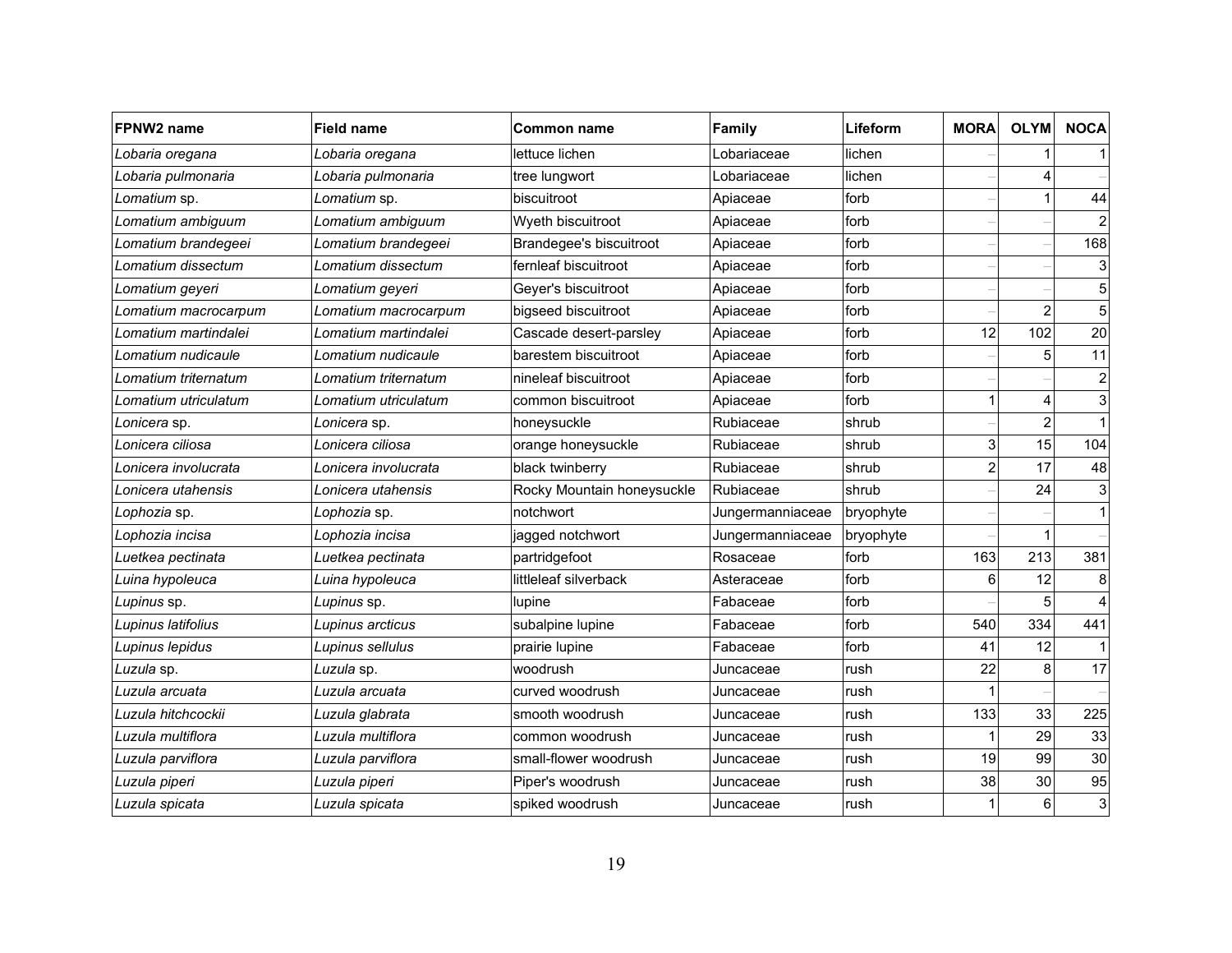| FPNW <sub>2</sub> name | Field name           | Common name                | <b>Family</b>    | Lifeform  | <b>MORA</b>    | <b>OLYM</b>    | <b>NOCA</b>             |
|------------------------|----------------------|----------------------------|------------------|-----------|----------------|----------------|-------------------------|
| Lobaria oregana        | Lobaria oregana      | lettuce lichen             | Lobariaceae      | lichen    |                |                | 11                      |
| Lobaria pulmonaria     | Lobaria pulmonaria   | tree lungwort              | _obariaceae      | lichen    |                |                |                         |
| Lomatium sp.           | Lomatium sp.         | biscuitroot                | Apiaceae         | forb      |                |                | 44                      |
| Lomatium ambiguum      | Lomatium ambiguum    | Wyeth biscuitroot          | Apiaceae         | forb      |                |                | $\overline{a}$          |
| Lomatium brandegeei    | Lomatium brandegeei  | Brandegee's biscuitroot    | Apiaceae         | forb      |                |                | 168                     |
| Lomatium dissectum     | Lomatium dissectum   | fernleaf biscuitroot       | Apiaceae         | forb      |                |                | 3                       |
| Lomatium geyeri        | Lomatium geyeri      | Geyer's biscuitroot        | Apiaceae         | forb      |                |                | $\overline{5}$          |
| Lomatium macrocarpum   | Lomatium macrocarpum | bigseed biscuitroot        | Apiaceae         | forb      |                | $\overline{2}$ | 5                       |
| Lomatium martindalei   | Lomatium martindalei | Cascade desert-parsley     | Apiaceae         | forb      | 12             | 102            | 20                      |
| Lomatium nudicaule     | Lomatium nudicaule   | barestem biscuitroot       | Apiaceae         | forb      |                | 5              | 11                      |
| Lomatium triternatum   | Lomatium triternatum | nineleaf biscuitroot       | Apiaceae         | forb      |                |                | $\overline{\mathbf{c}}$ |
| Lomatium utriculatum   | Lomatium utriculatum | common biscuitroot         | Apiaceae         | forb      |                | 4              | 3                       |
| Lonicera sp.           | L <i>onicera</i> sp. | honeysuckle                | Rubiaceae        | shrub     |                | $\overline{c}$ | $\mathbf{1}$            |
| Lonicera ciliosa       | Lonicera ciliosa     | orange honeysuckle         | Rubiaceae        | shrub     | 3              | 15             | 104                     |
| Lonicera involucrata   | Lonicera involucrata | black twinberry            | Rubiaceae        | shrub     | $\overline{c}$ | 17             | 48                      |
| Lonicera utahensis     | Lonicera utahensis   | Rocky Mountain honeysuckle | Rubiaceae        | shrub     |                | 24             | 3                       |
| Lophozia sp.           | Lophozia sp.         | notchwort                  | Jungermanniaceae | bryophyte |                |                | $\mathbf{1}$            |
| Lophozia incisa        | Lophozia incisa      | jagged notchwort           | Jungermanniaceae | bryophyte |                |                |                         |
| Luetkea pectinata      | Luetkea pectinata    | partridgefoot              | Rosaceae         | forb      | 163            | 213            | 381                     |
| Luina hypoleuca        | Luina hypoleuca      | littleleaf silverback      | Asteraceae       | forb      | 6              | 12             | 8                       |
| Lupinus sp.            | L <i>upinus</i> sp.  | lupine                     | Fabaceae         | forb      |                | 5              | $\overline{4}$          |
| Lupinus latifolius     | Lupinus arcticus     | subalpine lupine           | Fabaceae         | forb      | 540            | 334            | 441                     |
| Lupinus lepidus        | Lupinus sellulus     | prairie lupine             | Fabaceae         | forb      | 41             | 12             | 1                       |
| Luzula sp.             | <i>Luzula</i> sp.    | woodrush                   | Juncaceae        | rush      | 22             | 8              | 17                      |
| Luzula arcuata         | Luzula arcuata       | curved woodrush            | Juncaceae        | rush      |                |                |                         |
| Luzula hitchcockii     | Luzula glabrata      | smooth woodrush            | Juncaceae        | rush      | 133            | 33             | 225                     |
| Luzula multiflora      | Luzula multiflora    | common woodrush            | Juncaceae        | rush      |                | 29             | 33                      |
| Luzula parviflora      | Luzula parviflora    | small-flower woodrush      | Juncaceae        | rush      | 19             | 99             | 30                      |
| Luzula piperi          | Luzula piperi        | Piper's woodrush           | Juncaceae        | rush      | 38             | 30             | 95                      |
| Luzula spicata         | Luzula spicata       | spiked woodrush            | Juncaceae        | rush      |                | 6              | $\overline{3}$          |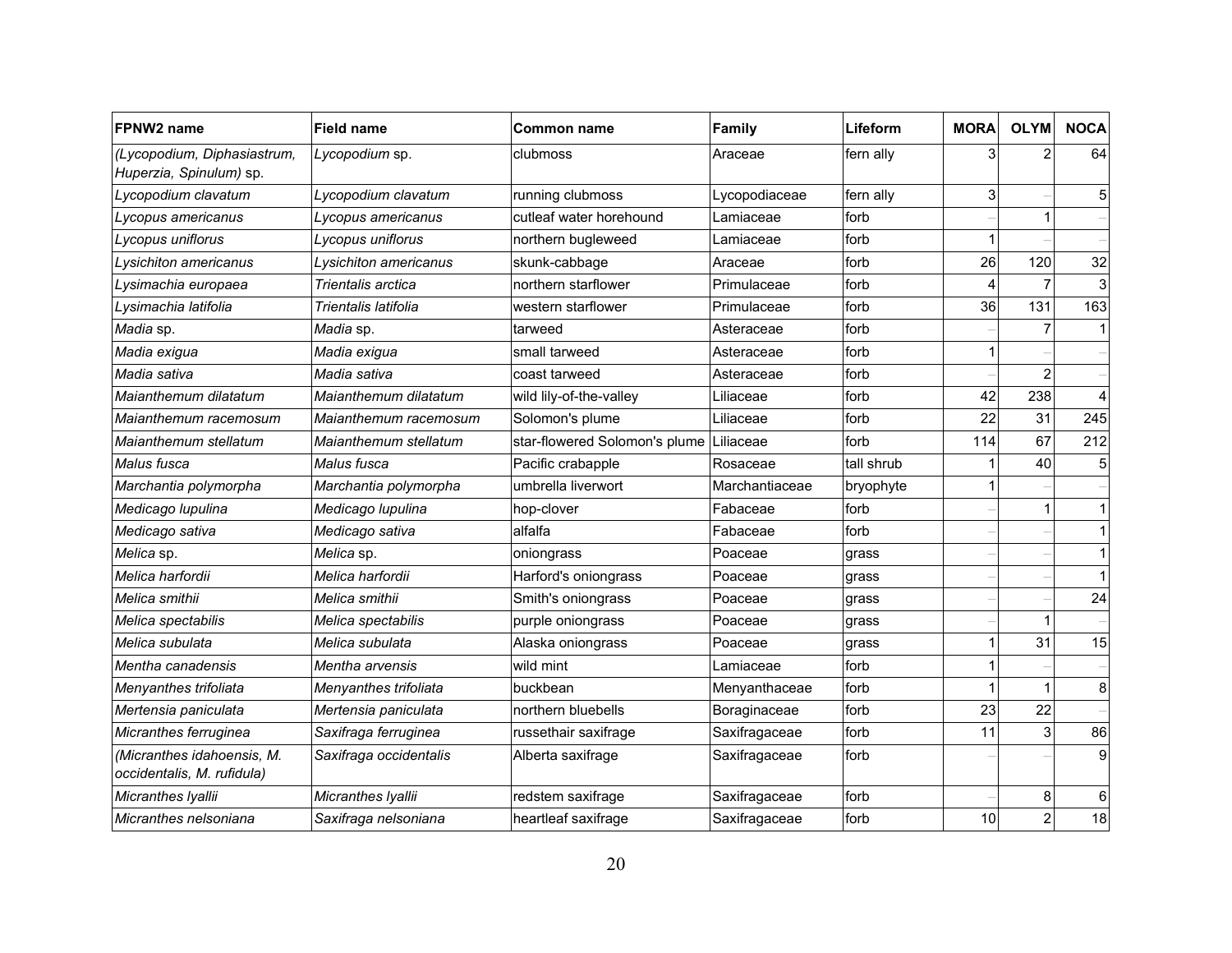| FPNW2 name                                               | <b>Field name</b>      | <b>Common name</b>                      | <b>Family</b>  | Lifeform   | <b>MORA</b> | <b>OLYM</b>    | <b>NOCA</b>  |
|----------------------------------------------------------|------------------------|-----------------------------------------|----------------|------------|-------------|----------------|--------------|
| (Lycopodium, Diphasiastrum,<br>Huperzia, Spinulum) sp.   | Lycopodium sp.         | clubmoss                                | Araceae        | fern ally  | 3           |                | 64           |
| Lycopodium clavatum                                      | Lycopodium clavatum    | running clubmoss                        | Lycopodiaceae  | fern ally  | 3           |                | 5            |
| Lycopus americanus                                       | Lycopus americanus     | cutleaf water horehound                 | Lamiaceae      | forb       |             |                |              |
| Lycopus uniflorus                                        | Lycopus uniflorus      | northern bugleweed                      | Lamiaceae      | forb       |             |                |              |
| Lysichiton americanus                                    | Lysichiton americanus  | skunk-cabbage                           | Araceae        | forb       | 26          | 120            | 32           |
| Lysimachia europaea                                      | Trientalis arctica     | northern starflower                     | Primulaceae    | forb       |             |                | 3            |
| Lysimachia latifolia                                     | Trientalis latifolia   | western starflower                      | Primulaceae    | forb       | 36          | 131            | 163          |
| Madia sp.                                                | Madia sp.              | tarweed                                 | Asteraceae     | forb       |             | 7              | 1            |
| Madia exigua                                             | Madia exigua           | small tarweed                           | Asteraceae     | forb       |             |                |              |
| Madia sativa                                             | Madia sativa           | coast tarweed                           | Asteraceae     | forb       |             | 2              |              |
| Maianthemum dilatatum                                    | Maianthemum dilatatum  | wild lily-of-the-valley                 | Liliaceae      | forb       | 42          | 238            | 4            |
| Maianthemum racemosum                                    | Maianthemum racemosum  | Solomon's plume                         | Liliaceae      | forb       | 22          | 31             | 245          |
| Maianthemum stellatum                                    | Maianthemum stellatum  | star-flowered Solomon's plume Liliaceae |                | forb       | 114         | 67             | 212          |
| Malus fusca                                              | Malus fusca            | Pacific crabapple                       | lRosaceae      | tall shrub |             | 40             | 5            |
| Marchantia polymorpha                                    | Marchantia polymorpha  | umbrella liverwort                      | Marchantiaceae | bryophyte  |             |                |              |
| Medicago lupulina                                        | Medicago lupulina      | hop-clover                              | lFabaceae      | forb       |             | 1              | $\mathbf{1}$ |
| Medicago sativa                                          | Medicago sativa        | alfalfa                                 | Fabaceae       | forb       |             |                | $\mathbf{1}$ |
| Melica sp.                                               | Melica sp.             | oniongrass                              | Poaceae        | grass      |             |                | 1            |
| Melica harfordii                                         | Melica harfordii       | Harford's oniongrass                    | Poaceae        | grass      |             |                | 1            |
| Melica smithii                                           | Melica smithii         | Smith's oniongrass                      | Poaceae        | grass      |             |                | 24           |
| Melica spectabilis                                       | Melica spectabilis     | purple oniongrass                       | Poaceae        | grass      |             |                |              |
| Melica subulata                                          | Melica subulata        | Alaska oniongrass                       | lPoaceae       | grass      |             | 31             | 15           |
| Mentha canadensis                                        | Mentha arvensis        | wild mint                               | Lamiaceae      | forb       |             |                |              |
| Menyanthes trifoliata                                    | Menyanthes trifoliata  | buckbean                                | Menyanthaceae  | forb       |             |                | 8            |
| Mertensia paniculata                                     | Mertensia paniculata   | northern bluebells                      | Boraginaceae   | forb       | 23          | 22             |              |
| Micranthes ferruginea                                    | Saxifraga ferruginea   | russethair saxifrage                    | Saxifragaceae  | forb       | 11          | $\overline{3}$ | 86           |
| (Micranthes idahoensis, M.<br>occidentalis, M. rufidula) | Saxifraga occidentalis | Alberta saxifrage                       | Saxifragaceae  | forb       |             |                | 9            |
| Micranthes Iyallii                                       | Micranthes Iyallii     | redstem saxifrage                       | Saxifragaceae  | forb       |             | 8              | $\,6\,$      |
| Micranthes nelsoniana                                    | Saxifraga nelsoniana   | heartleaf saxifrage                     | Saxifragaceae  | forb       | 10          | $\mathbf{2}$   | 18           |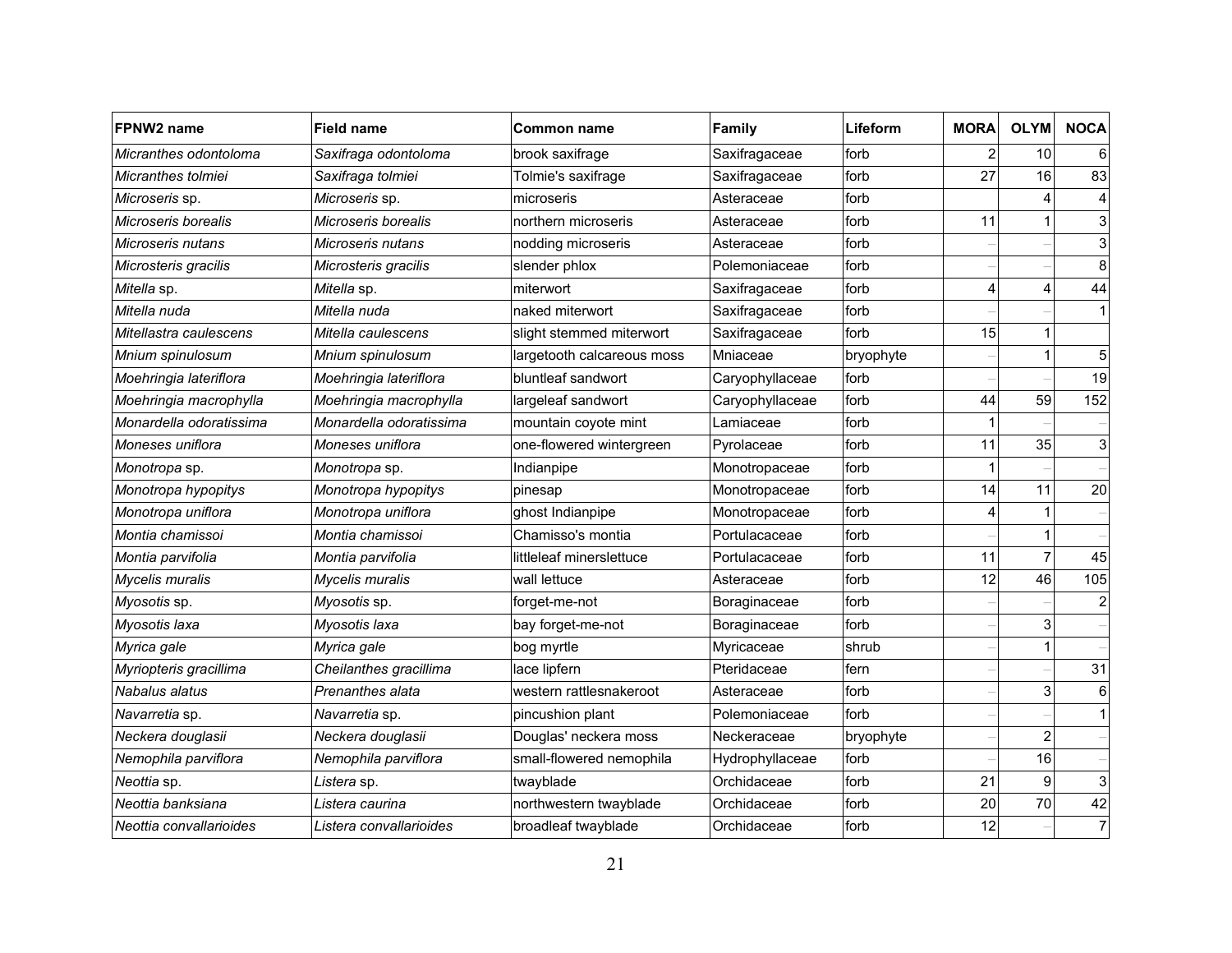| FPNW2 name              | <b>Field name</b>       | <b>Common name</b>         | <b>Family</b>       | Lifeform  | <b>MORA</b> | <b>OLYM</b>    | <b>NOCA</b>    |
|-------------------------|-------------------------|----------------------------|---------------------|-----------|-------------|----------------|----------------|
| Micranthes odontoloma   | Saxifraga odontoloma    | brook saxifrage            | Saxifragaceae       | forb      | 2           | 10             | 6              |
| Micranthes tolmiei      | Saxifraga tolmiei       | Tolmie's saxifrage         | Saxifragaceae       | forb      | 27          | 16             | 83             |
| Microseris sp.          | Microseris sp.          | microseris                 | Asteraceae          | forb      |             |                | 4              |
| Microseris borealis     | Microseris borealis     | northern microseris        | Asteraceae          | forb      | 11          | 1              | $\mathsf 3$    |
| Microseris nutans       | Microseris nutans       | nodding microseris         | Asteraceae          | forb      |             |                | 3              |
| Microsteris gracilis    | Microsteris gracilis    | slender phlox              | IPolemoniaceae      | forb      |             |                | 8              |
| Mitella sp.             | Mitella sp.             | miterwort                  | Saxifragaceae       | forb      | 4           | 4              | 44             |
| Mitella nuda            | Mitella nuda            | naked miterwort            | Saxifragaceae       | forb      |             |                | $\mathbf{1}$   |
| Mitellastra caulescens  | Mitella caulescens      | slight stemmed miterwort   | Saxifragaceae       | forb      | 15          | 1              |                |
| Mnium spinulosum        | Mnium spinulosum        | largetooth calcareous moss | Mniaceae            | bryophyte |             |                | 5              |
| Moehringia lateriflora  | Moehringia lateriflora  | bluntleaf sandwort         | Caryophyllaceae     | forb      |             |                | 19             |
| Moehringia macrophylla  | Moehringia macrophylla  | largeleaf sandwort         | Caryophyllaceae     | forb      | 44          | 59             | 152            |
| Monardella odoratissima | Monardella odoratissima | mountain coyote mint       | Lamiaceae           | forb      |             |                |                |
| Moneses uniflora        | Moneses uniflora        | one-flowered wintergreen   | Pyrolaceae          | forb      | 11          | 35             | 3              |
| Monotropa sp.           | Monotropa sp.           | Indianpipe                 | Monotropaceae       | forb      |             |                |                |
| Monotropa hypopitys     | Monotropa hypopitys     | pinesap                    | Monotropaceae       | forb      | 14          | 11             | 20             |
| Monotropa uniflora      | Monotropa uniflora      | ghost Indianpipe           | Monotropaceae       | forb      | Δ           |                |                |
| Montia chamissoi        | Montia chamissoi        | Chamisso's montia          | IPortulacaceae      | forb      |             |                |                |
| Montia parvifolia       | Montia parvifolia       | littleleaf minerslettuce   | Portulacaceae       | forb      | 11          | 7              | 45             |
| Mycelis muralis         | Mycelis muralis         | wall lettuce               | Asteraceae          | forb      | 12          | 46             | 105            |
| Myosotis sp.            | Myosotis sp.            | forget-me-not              | Boraginaceae        | forb      |             |                | $\overline{2}$ |
| Myosotis laxa           | Myosotis laxa           | bay forget-me-not          | Boraginaceae        | forb      |             | 3              |                |
| Myrica gale             | Myrica gale             | bog myrtle                 | Myricaceae          | shrub     |             |                |                |
| Myriopteris gracillima  | Cheilanthes gracillima  | lace lipfern               | <b>Pteridaceae</b>  | fern      |             |                | 31             |
| Nabalus alatus          | Prenanthes alata        | western rattlesnakeroot    | Asteraceae          | forb      |             | 3              | 6              |
| <i>Navarretia</i> sp.   | Navarretia sp.          | pincushion plant           | Polemoniaceae       | forb      |             |                | $\mathbf{1}$   |
| Neckera douglasii       | Neckera douglasii       | Douglas' neckera moss      | Neckeraceae         | bryophyte |             | $\overline{2}$ |                |
| Nemophila parviflora    | Nemophila parviflora    | small-flowered nemophila   | Hydrophyllaceae     | forb      |             | 16             |                |
| Neottia sp.             | <i>Listera</i> sp.      | twayblade                  | <b>Orchidaceae</b>  | forb      | 21          | 9              | $\mathsf 3$    |
| Neottia banksiana       | Listera caurina         | northwestern twayblade     | Orchidaceae         | forb      | 20          | 70             | 42             |
| Neottia convallarioides | Listera convallarioides | broadleaf twayblade        | <b>IOrchidaceae</b> | forb      | 12          |                | $\overline{7}$ |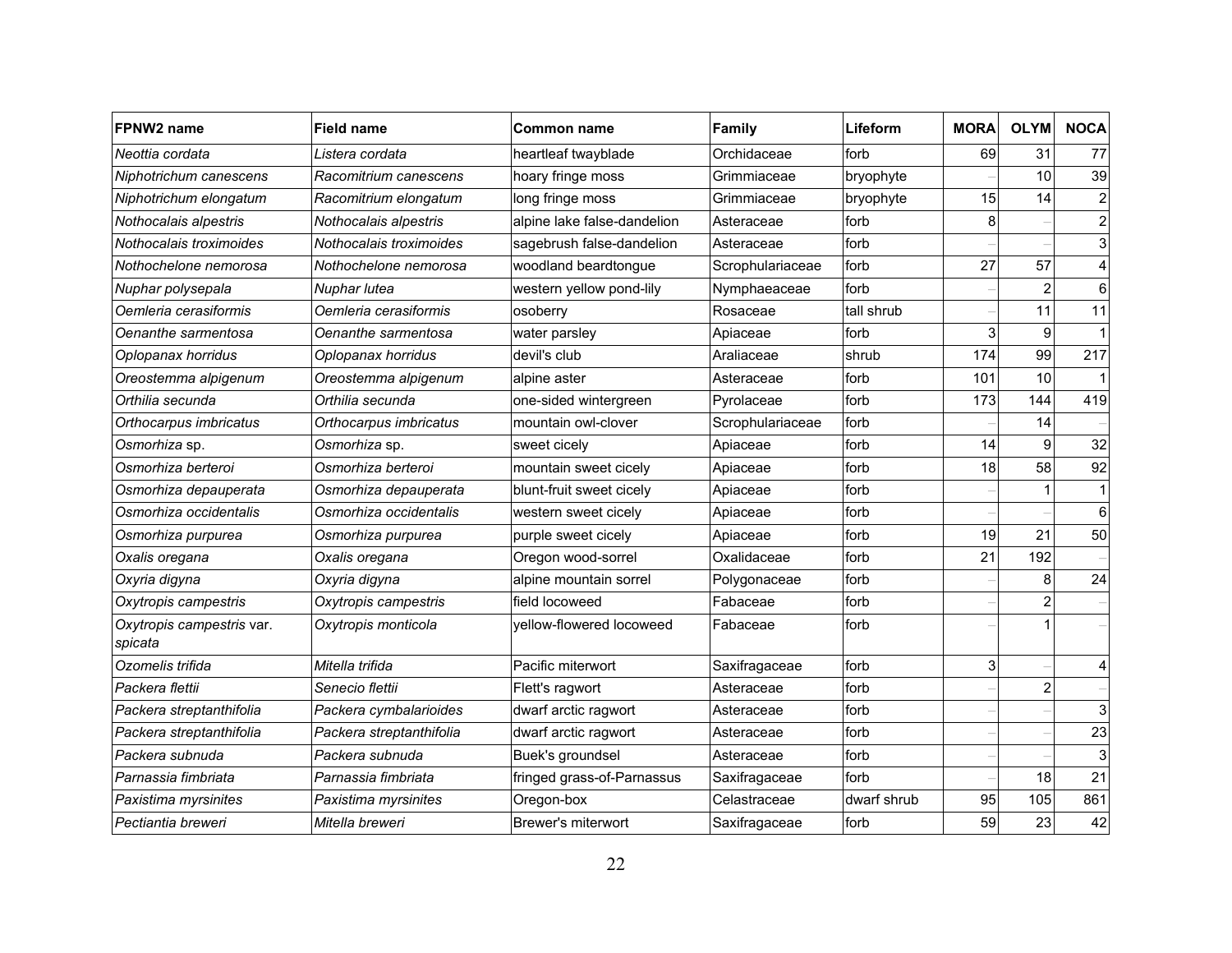| FPNW2 name                           | <b>Field name</b>        | <b>Common name</b>          | <b>Family</b>      | Lifeform    | <b>MORA</b> | <b>OLYM</b>    | <b>NOCA</b>      |
|--------------------------------------|--------------------------|-----------------------------|--------------------|-------------|-------------|----------------|------------------|
| Neottia cordata                      | Listera cordata          | heartleaf twayblade         | <b>Orchidaceae</b> | forb        | 69          | 31             | 77               |
| Niphotrichum canescens               | Racomitrium canescens    | hoary fringe moss           | Grimmiaceae        | bryophyte   |             | 10             | 39               |
| Niphotrichum elongatum               | Racomitrium elongatum    | long fringe moss            | Grimmiaceae        | bryophyte   | 15          | 14             | $\boldsymbol{2}$ |
| Nothocalais alpestris                | Nothocalais alpestris    | alpine lake false-dandelion | Asteraceae         | forb        | 8           |                | $\overline{c}$   |
| Nothocalais troximoides              | Nothocalais troximoides  | sagebrush false-dandelion   | lAsteraceae        | forb        |             |                | 3                |
| Nothochelone nemorosa                | Nothochelone nemorosa    | woodland beardtongue        | Scrophulariaceae   | forb        | 27          | 57             | 4                |
| Nuphar polysepala                    | Nuphar lutea             | western yellow pond-lily    | Nymphaeaceae       | forb        |             | $\overline{2}$ | $\,6$            |
| Oemleria cerasiformis                | Oemleria cerasiformis    | osoberry                    | Rosaceae           | tall shrub  |             | 11             | 11               |
| Oenanthe sarmentosa                  | Oenanthe sarmentosa      | water parsley               | Apiaceae           | forb        | 3           | 9              | $\mathbf{1}$     |
| Oplopanax horridus                   | Oplopanax horridus       | devil's club                | Araliaceae         | shrub       | 174         | 99             | 217              |
| Oreostemma alpigenum                 | Oreostemma alpigenum     | alpine aster                | Asteraceae         | forb        | 101         | 10             | $\mathbf{1}$     |
| Orthilia secunda                     | Orthilia secunda         | one-sided wintergreen       | Pyrolaceae         | forb        | 173         | 144            | 419              |
| Orthocarpus imbricatus               | Orthocarpus imbricatus   | mountain owl-clover         | Scrophulariaceae   | forb        |             | 14             |                  |
| Osmorhiza sp.                        | Osmorhiza sp.            | sweet cicely                | Apiaceae           | forb        | 14          | 9              | 32               |
| Osmorhiza berteroi                   | Osmorhiza berteroi       | mountain sweet cicely       | Apiaceae           | forb        | 18          | 58             | 92               |
| Osmorhiza depauperata                | Osmorhiza depauperata    | blunt-fruit sweet cicely    | Apiaceae           | forb        |             |                | 1                |
| Osmorhiza occidentalis               | Osmorhiza occidentalis   | western sweet cicely        | Apiaceae           | forb        |             |                | 6                |
| Osmorhiza purpurea                   | Osmorhiza purpurea       | purple sweet cicely         | Apiaceae           | forb        | 19          | 21             | 50               |
| Oxalis oregana                       | Oxalis oregana           | Oregon wood-sorrel          | Oxalidaceae        | forb        | 21          | 192            |                  |
| Oxyria digyna                        | Oxyria digyna            | alpine mountain sorrel      | Polygonaceae       | forb        |             | 8              | 24               |
| Oxytropis campestris                 | Oxytropis campestris     | field locoweed              | Fabaceae           | forb        |             | $\overline{c}$ |                  |
| Oxytropis campestris var.<br>spicata | Oxytropis monticola      | yellow-flowered locoweed    | Fabaceae           | forb        |             |                |                  |
| Ozomelis trifida                     | Mitella trifida          | Pacific miterwort           | Saxifragaceae      | forb        | 3           |                | 4                |
| Packera flettii                      | Senecio flettii          | Flett's ragwort             | Asteraceae         | forb        |             | $\overline{c}$ |                  |
| Packera streptanthifolia             | Packera cymbalarioides   | dwarf arctic ragwort        | Asteraceae         | forb        |             |                | 3                |
| Packera streptanthifolia             | Packera streptanthifolia | dwarf arctic ragwort        | Asteraceae         | forb        |             |                | 23               |
| Packera subnuda                      | Packera subnuda          | Buek's groundsel            | Asteraceae         | forb        |             |                | 3                |
| Parnassia fimbriata                  | Parnassia fimbriata      | fringed grass-of-Parnassus  | Saxifragaceae      | forb        |             | 18             | 21               |
| Paxistima myrsinites                 | Paxistima myrsinites     | Oregon-box                  | Celastraceae       | dwarf shrub | 95          | 105            | 861              |
| Pectiantia breweri                   | Mitella breweri          | Brewer's miterwort          | Saxifragaceae      | forb        | 59          | 23             | 42               |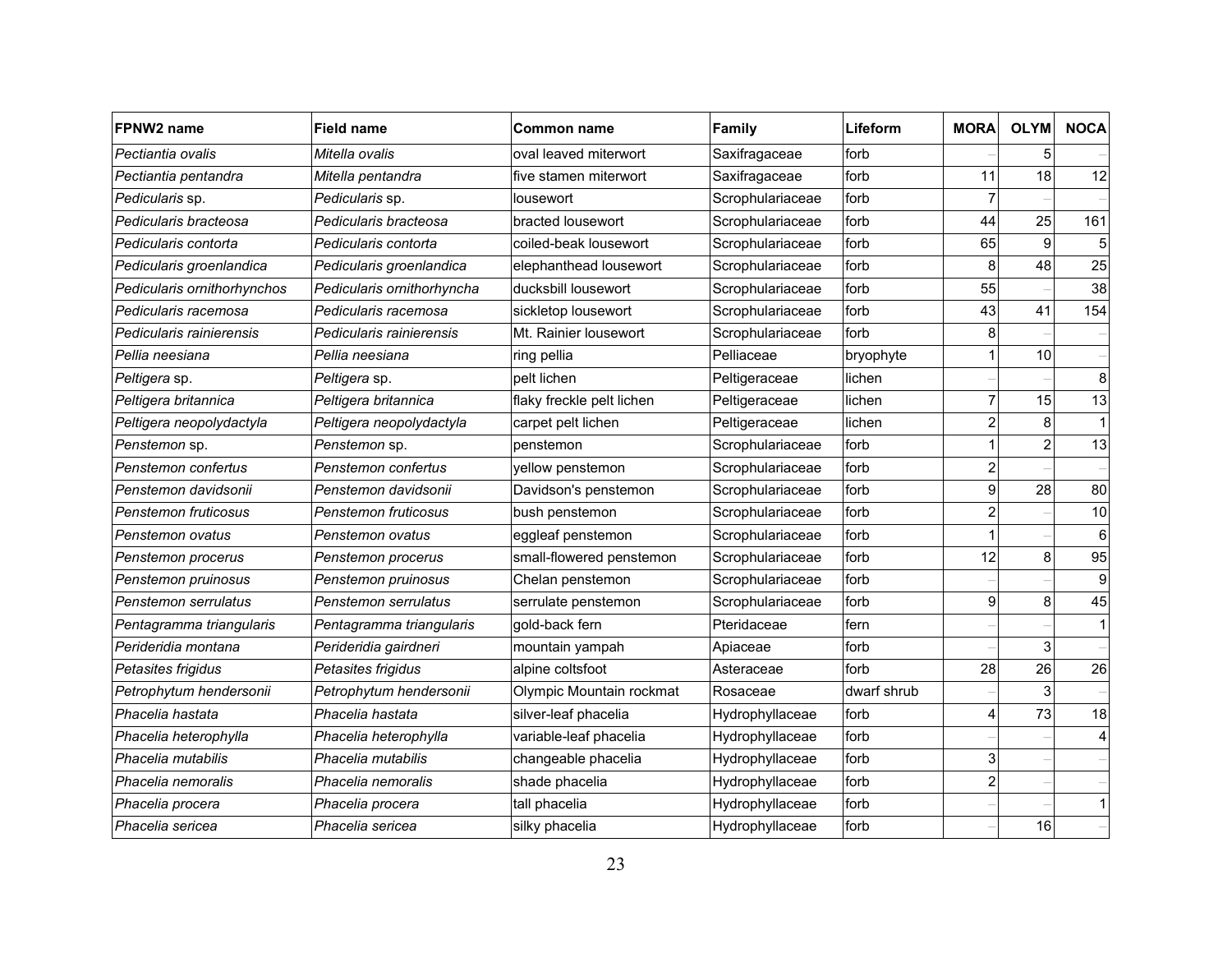| FPNW2 name                  | <b>Field name</b>          | <b>Common name</b>        | Family           | Lifeform    | <b>MORA</b>    | <b>OLYM</b> | <b>NOCA</b>  |
|-----------------------------|----------------------------|---------------------------|------------------|-------------|----------------|-------------|--------------|
| Pectiantia ovalis           | Mitella ovalis             | oval leaved miterwort     | Saxifragaceae    | forb        |                | 5           |              |
| Pectiantia pentandra        | Mitella pentandra          | five stamen miterwort     | Saxifragaceae    | forb        | 11             | 18          | 12           |
| Pedicularis sp.             | Pedicularis sp.            | lousewort                 | Scrophulariaceae | forb        |                |             |              |
| Pedicularis bracteosa       | Pedicularis bracteosa      | bracted lousewort         | Scrophulariaceae | forb        | 44             | 25          | 161          |
| Pedicularis contorta        | Pedicularis contorta       | coiled-beak lousewort     | Scrophulariaceae | forb        | 65             | 9           | $\mathbf 5$  |
| Pedicularis groenlandica    | Pedicularis groenlandica   | elephanthead lousewort    | Scrophulariaceae | forb        | 8 <sup>1</sup> | 48          | 25           |
| Pedicularis ornithorhynchos | Pedicularis ornithorhyncha | ducksbill lousewort       | Scrophulariaceae | forb        | 55             |             | 38           |
| Pedicularis racemosa        | Pedicularis racemosa       | sickletop lousewort       | Scrophulariaceae | forb        | 43             | 41          | 154          |
| Pedicularis rainierensis    | Pedicularis rainierensis   | Mt. Rainier lousewort     | Scrophulariaceae | forb        | 8              |             |              |
| Pellia neesiana             | Pellia neesiana            | ring pellia               | Pelliaceae       | bryophyte   |                | 10          |              |
| Peltigera sp.               | Peltigera sp.              | pelt lichen               | Peltigeraceae    | lichen      |                |             | 8            |
| Peltigera britannica        | Peltigera britannica       | flaky freckle pelt lichen | Peltigeraceae    | lichen      | 7              | 15          | 13           |
| Peltigera neopolydactyla    | Peltigera neopolydactyla   | carpet pelt lichen        | Peltigeraceae    | lichen      | $\overline{c}$ | 8           | $\mathbf 1$  |
| Penstemon sp.               | Penstemon sp.              | penstemon                 | Scrophulariaceae | forb        |                | 2           | 13           |
| Penstemon confertus         | Penstemon confertus        | yellow penstemon          | Scrophulariaceae | forb        | $\overline{2}$ |             |              |
| Penstemon davidsonii        | Penstemon davidsonii       | Davidson's penstemon      | Scrophulariaceae | forb        | 9              | 28          | 80           |
| Penstemon fruticosus        | Penstemon fruticosus       | bush penstemon            | Scrophulariaceae | forb        | $\overline{2}$ |             | 10           |
| Penstemon ovatus            | Penstemon ovatus           | eggleaf penstemon         | Scrophulariaceae | forb        |                |             | 6            |
| Penstemon procerus          | Penstemon procerus         | small-flowered penstemon  | Scrophulariaceae | forb        | 12             | 8           | 95           |
| Penstemon pruinosus         | Penstemon pruinosus        | Chelan penstemon          | Scrophulariaceae | forb        |                |             | 9            |
| Penstemon serrulatus        | Penstemon serrulatus       | serrulate penstemon       | Scrophulariaceae | forb        | 9              | 8           | 45           |
| Pentagramma triangularis    | Pentagramma triangularis   | gold-back fern            | Pteridaceae      | fern        |                |             | $\mathbf{1}$ |
| Perideridia montana         | Perideridia gairdneri      | mountain yampah           | Apiaceae         | forb        |                | 3           |              |
| Petasites frigidus          | Petasites frigidus         | alpine coltsfoot          | Asteraceae       | forb        | 28             | 26          | 26           |
| Petrophytum hendersonii     | Petrophytum hendersonii    | Olympic Mountain rockmat  | Rosaceae         | dwarf shrub |                | 3           |              |
| Phacelia hastata            | Phacelia hastata           | silver-leaf phacelia      | Hydrophyllaceae  | forb        | 4              | 73          | 18           |
| Phacelia heterophylla       | Phacelia heterophylla      | variable-leaf phacelia    | Hydrophyllaceae  | forb        |                |             | 4            |
| Phacelia mutabilis          | Phacelia mutabilis         | changeable phacelia       | Hydrophyllaceae  | forb        | 3              |             |              |
| Phacelia nemoralis          | Phacelia nemoralis         | shade phacelia            | Hydrophyllaceae  | forb        | $\overline{2}$ |             |              |
| Phacelia procera            | Phacelia procera           | tall phacelia             | Hydrophyllaceae  | forb        |                |             | $\mathbf{1}$ |
| Phacelia sericea            | Phacelia sericea           | silky phacelia            | Hydrophyllaceae  | forb        |                | 16          |              |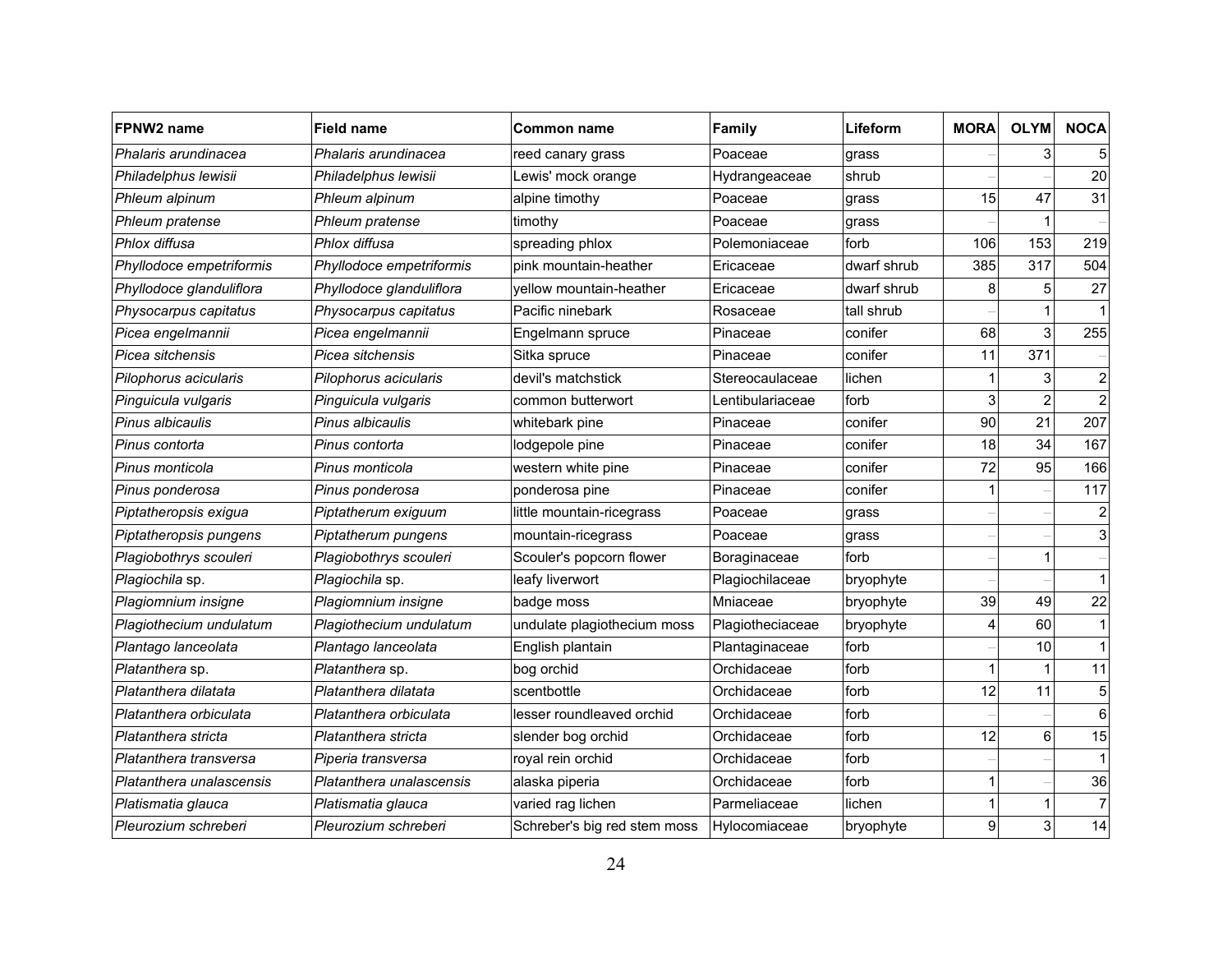| FPNW2 name               | <b>Field name</b>        | Common name                  | <b>Family</b>    | Lifeform    | <b>MORA</b> | <b>OLYM</b>    | <b>NOCA</b>    |
|--------------------------|--------------------------|------------------------------|------------------|-------------|-------------|----------------|----------------|
| Phalaris arundinacea     | Phalaris arundinacea     | reed canary grass            | Poaceae          | grass       |             |                | 5              |
| Philadelphus lewisii     | Philadelphus lewisii     | Lewis' mock orange           | Hydrangeaceae    | shrub       |             |                | 20             |
| Phleum alpinum           | Phleum alpinum           | alpine timothy               | Poaceae          | grass       | 15          | 47             | 31             |
| Phleum pratense          | Phleum pratense          | timothy                      | Poaceae          | grass       |             |                |                |
| Phlox diffusa            | Phlox diffusa            | spreading phlox              | Polemoniaceae    | forb        | 106         | 153            | 219            |
| Phyllodoce empetriformis | Phyllodoce empetriformis | pink mountain-heather        | Ericaceae        | dwarf shrub | 385         | 317            | 504            |
| Phyllodoce glanduliflora | Phyllodoce glanduliflora | yellow mountain-heather      | Ericaceae        | dwarf shrub | 8           | 5              | 27             |
| Physocarpus capitatus    | Physocarpus capitatus    | Pacific ninebark             | Rosaceae         | tall shrub  |             |                |                |
| Picea engelmannii        | Picea engelmannii        | Engelmann spruce             | Pinaceae         | conifer     | 68          | 3              | 255            |
| Picea sitchensis         | Picea sitchensis         | Sitka spruce                 | Pinaceae         | conifer     | 11          | 371            |                |
| Pilophorus acicularis    | Pilophorus acicularis    | devil's matchstick           | Stereocaulaceae  | lichen      |             | 3              | $\overline{c}$ |
| Pinguicula vulgaris      | Pinguicula vulgaris      | common butterwort            | Lentibulariaceae | forb        | 3           | $\overline{a}$ | $\overline{c}$ |
| Pinus albicaulis         | Pinus albicaulis         | whitebark pine               | Pinaceae         | conifer     | 90          | 21             | 207            |
| Pinus contorta           | Pinus contorta           | lodgepole pine               | Pinaceae         | conifer     | 18          | 34             | 167            |
| Pinus monticola          | Pinus monticola          | western white pine           | Pinaceae         | conifer     | 72          | 95             | 166            |
| Pinus ponderosa          | Pinus ponderosa          | ponderosa pine               | Pinaceae         | conifer     |             |                | 117            |
| Piptatheropsis exigua    | Piptatherum exiguum      | little mountain-ricegrass    | Poaceae          | grass       |             |                |                |
| Piptatheropsis pungens   | Piptatherum pungens      | mountain-ricegrass           | Poaceae          | grass       |             |                | 3              |
| Plagiobothrys scouleri   | Plagiobothrys scouleri   | Scouler's popcorn flower     | Boraginaceae     | forb        |             |                |                |
| Plagiochila sp.          | Plagiochila sp.          | leafy liverwort              | Plagiochilaceae  | bryophyte   |             |                |                |
| Plagiomnium insigne      | Plagiomnium insigne      | badge moss                   | Mniaceae         | bryophyte   | 39          | 49             | 22             |
| Plagiothecium undulatum  | Plagiothecium undulatum  | undulate plagiothecium moss  | Plagiotheciaceae | bryophyte   | Δ           | 60             |                |
| Plantago lanceolata      | Plantago lanceolata      | English plantain             | Plantaginaceae   | forb        |             | 10             |                |
| Platanthera sp.          | Platanthera sp.          | bog orchid                   | Orchidaceae      | forb        |             |                | 11             |
| Platanthera dilatata     | Platanthera dilatata     | scentbottle                  | Orchidaceae      | forb        | 12          | 11             | 5              |
| Platanthera orbiculata   | Platanthera orbiculata   | lesser roundleaved orchid    | Orchidaceae      | forb        |             |                | 6              |
| Platanthera stricta      | Platanthera stricta      | slender bog orchid           | Orchidaceae      | forb        | 12          | 6              | 15             |
| Platanthera transversa   | Piperia transversa       | royal rein orchid            | Orchidaceae      | forb        |             |                |                |
| Platanthera unalascensis | Platanthera unalascensis | alaska piperia               | Orchidaceae      | forb        |             |                | 36             |
| Platismatia glauca       | Platismatia glauca       | varied rag lichen            | Parmeliaceae     | lichen      |             |                | $\overline{7}$ |
| Pleurozium schreberi     | Pleurozium schreberi     | Schreber's big red stem moss | Hylocomiaceae    | bryophyte   | 9           | 3              | 14             |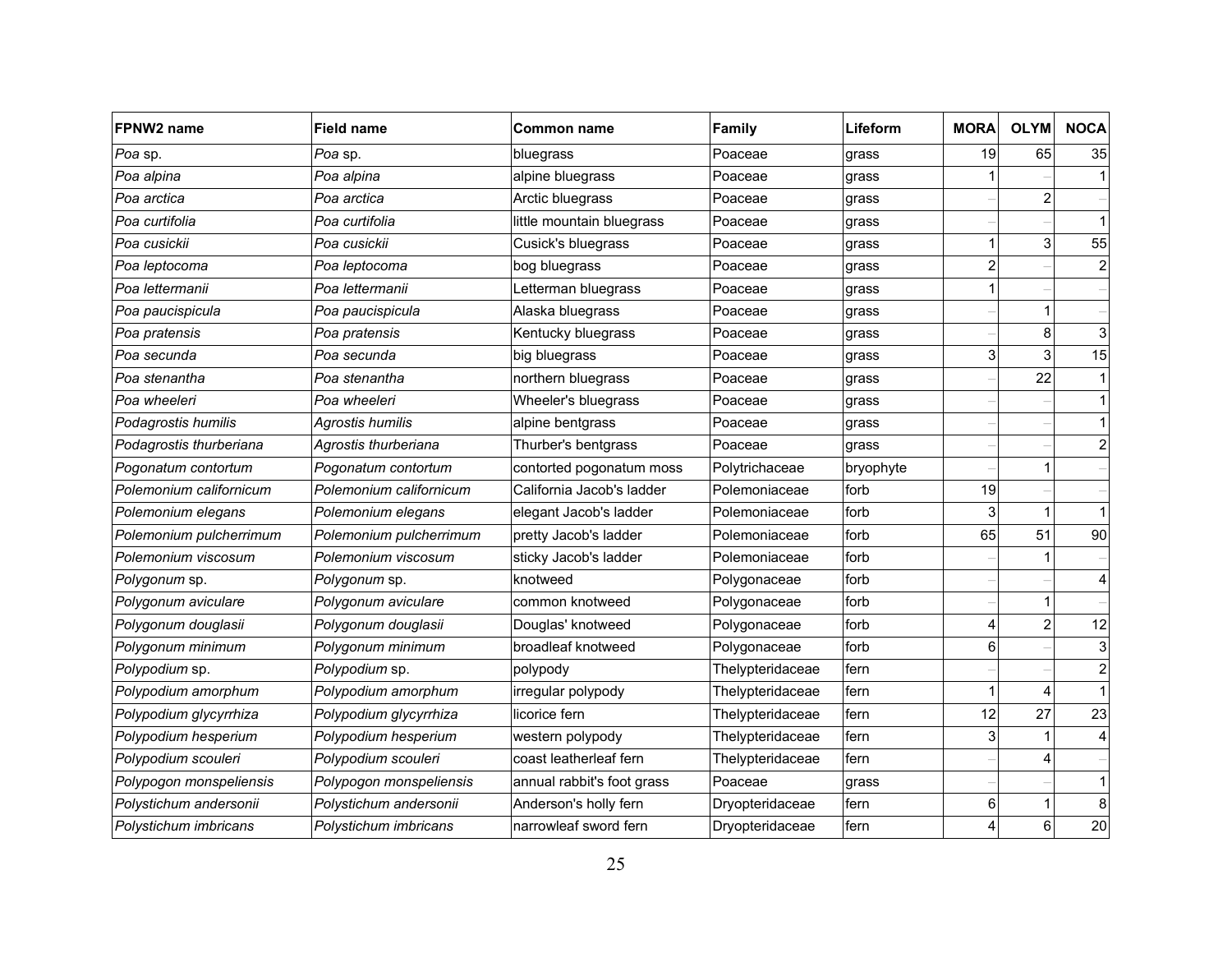| FPNW2 name              | <b>Field name</b>       | <b>Common name</b>         | Family           | Lifeform  | <b>MORA</b>    | <b>OLYM</b>    | <b>NOCA</b>             |
|-------------------------|-------------------------|----------------------------|------------------|-----------|----------------|----------------|-------------------------|
| Poa sp.                 | Poa sp.                 | bluegrass                  | Poaceae          | grass     | 19             | 65             | 35                      |
| Poa alpina              | Poa alpina              | alpine bluegrass           | Poaceae          | grass     |                |                | 1                       |
| Poa arctica             | Poa arctica             | Arctic bluegrass           | Poaceae          | grass     |                | 2              |                         |
| Poa curtifolia          | Poa curtifolia          | little mountain bluegrass  | Poaceae          | grass     |                |                | $\mathbf{1}$            |
| Poa cusickii            | Poa cusickii            | Cusick's bluegrass         | Poaceae          | grass     |                | 3              | 55                      |
| Poa leptocoma           | Poa leptocoma           | bog bluegrass              | Poaceae          | grass     | $\overline{a}$ |                | $\overline{\mathbf{c}}$ |
| Poa lettermanii         | Poa lettermanii         | Letterman bluegrass        | Poaceae          | grass     |                |                |                         |
| Poa paucispicula        | Poa paucispicula        | Alaska bluegrass           | Poaceae          | grass     |                | 1              |                         |
| Poa pratensis           | Poa pratensis           | Kentucky bluegrass         | Poaceae          | grass     |                | 8 <sup>1</sup> | 3                       |
| Poa secunda             | Poa secunda             | big bluegrass              | Poaceae          | grass     | 3              | 3              | 15                      |
| Poa stenantha           | Poa stenantha           | northern bluegrass         | Poaceae          | grass     |                | 22             | $\mathbf 1$             |
| Poa wheeleri            | Poa wheeleri            | Wheeler's bluegrass        | Poaceae          | grass     |                |                | $\mathbf{1}$            |
| Podagrostis humilis     | Agrostis humilis        | alpine bentgrass           | Poaceae          | grass     |                |                | 1                       |
| Podagrostis thurberiana | Agrostis thurberiana    | Thurber's bentgrass        | Poaceae          | grass     |                |                | $\boldsymbol{2}$        |
| Pogonatum contortum     | Pogonatum contortum     | contorted pogonatum moss   | Polytrichaceae   | bryophyte |                | 1              |                         |
| Polemonium californicum | Polemonium californicum | California Jacob's ladder  | Polemoniaceae    | forb      | 19             |                |                         |
| Polemonium elegans      | Polemonium elegans      | elegant Jacob's ladder     | Polemoniaceae    | forb      | 3              | 1              | 1                       |
| Polemonium pulcherrimum | Polemonium pulcherrimum | pretty Jacob's ladder      | Polemoniaceae    | forb      | 65             | 51             | 90                      |
| Polemonium viscosum     | Polemonium viscosum     | sticky Jacob's ladder      | Polemoniaceae    | forb      |                |                |                         |
| Polygonum sp.           | Polygonum sp.           | knotweed                   | Polygonaceae     | forb      |                |                | 4                       |
| Polygonum aviculare     | Polygonum aviculare     | common knotweed            | Polygonaceae     | forb      |                | 1              |                         |
| Polygonum douglasii     | Polygonum douglasii     | Douglas' knotweed          | Polygonaceae     | forb      | 4              | 2              | 12                      |
| Polygonum minimum       | Polygonum minimum       | broadleaf knotweed         | Polygonaceae     | forb      | 6              |                | 3                       |
| Polypodium sp.          | Polypodium sp.          | polypody                   | Thelypteridaceae | fern      |                |                | $\overline{c}$          |
| Polypodium amorphum     | Polypodium amorphum     | irregular polypody         | Thelypteridaceae | fern      |                | 4              | $\mathbf{1}$            |
| Polypodium glycyrrhiza  | Polypodium glycyrrhiza  | licorice fern              | Thelypteridaceae | fern      | 12             | 27             | 23                      |
| Polypodium hesperium    | Polypodium hesperium    | western polypody           | Thelypteridaceae | fern      | 3              |                | 4                       |
| Polypodium scouleri     | Polypodium scouleri     | coast leatherleaf fern     | Thelypteridaceae | fern      |                | 4              |                         |
| Polypogon monspeliensis | Polypogon monspeliensis | annual rabbit's foot grass | Poaceae          | grass     |                |                | 1                       |
| Polystichum andersonii  | Polystichum andersonii  | Anderson's holly fern      | Dryopteridaceae  | fern      | 6              | 1              | 8                       |
| Polystichum imbricans   | Polystichum imbricans   | narrowleaf sword fern      | Dryopteridaceae  | fern      | $\overline{4}$ | 6              | 20                      |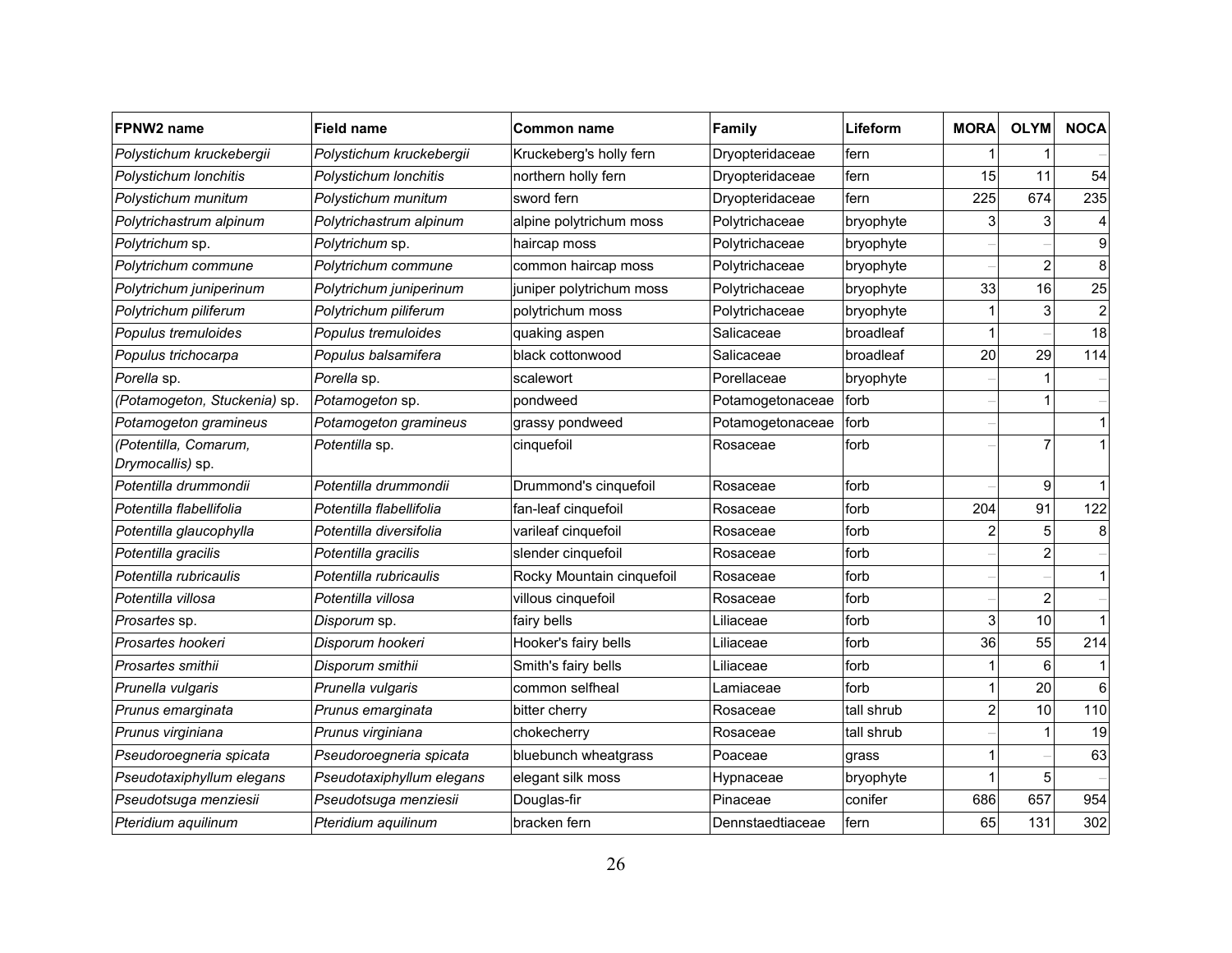| FPNW2 name                                | <b>Field name</b>         | Common name               | <b>Family</b>    | Lifeform   | <b>MORA</b>    | <b>OLYM</b>    | <b>NOCA</b>             |
|-------------------------------------------|---------------------------|---------------------------|------------------|------------|----------------|----------------|-------------------------|
| Polystichum kruckebergii                  | Polystichum kruckebergii  | Kruckeberg's holly fern   | Dryopteridaceae  | fern       |                |                |                         |
| Polystichum lonchitis                     | Polystichum lonchitis     | northern holly fern       | Dryopteridaceae  | fern       | 15             | 11             | 54                      |
| Polystichum munitum                       | Polystichum munitum       | sword fern                | Dryopteridaceae  | fern       | 225            | 674            | 235                     |
| Polytrichastrum alpinum                   | Polytrichastrum alpinum   | alpine polytrichum moss   | Polytrichaceae   | bryophyte  |                | 3              | 4                       |
| Polytrichum sp.                           | Polytrichum sp.           | haircap moss              | Polytrichaceae   | bryophyte  |                |                | 9                       |
| Polytrichum commune                       | Polytrichum commune       | common haircap moss       | Polytrichaceae   | bryophyte  |                | $\overline{c}$ | 8                       |
| Polytrichum juniperinum                   | Polytrichum juniperinum   | juniper polytrichum moss  | Polytrichaceae   | bryophyte  | 33             | 16             | 25                      |
| Polytrichum piliferum                     | Polytrichum piliferum     | polytrichum moss          | Polytrichaceae   | bryophyte  |                | 3              | $\overline{\mathbf{c}}$ |
| Populus tremuloides                       | Populus tremuloides       | quaking aspen             | Salicaceae       | broadleaf  |                |                | $\overline{18}$         |
| Populus trichocarpa                       | Populus balsamifera       | black cottonwood          | Salicaceae       | broadleaf  | 20             | 29             | 114                     |
| Porella sp.                               | Porella sp.               | scalewort                 | Porellaceae      | bryophyte  |                |                |                         |
| (Potamogeton, Stuckenia) sp.              | Potamogeton sp.           | pondweed                  | Potamogetonaceae | forb       |                |                |                         |
| Potamogeton gramineus                     | Potamogeton gramineus     | grassy pondweed           | Potamogetonaceae | forb       |                |                |                         |
| (Potentilla, Comarum,<br>Drymocallis) sp. | Potentilla sp.            | cinquefoil                | Rosaceae         | forb       |                | 7              |                         |
| Potentilla drummondii                     | Potentilla drummondii     | Drummond's cinquefoil     | Rosaceae         | forb       |                | 9              |                         |
| Potentilla flabellifolia                  | Potentilla flabellifolia  | fan-leaf cinquefoil       | Rosaceae         | forb       | 204            | 91             | 122                     |
| Potentilla glaucophylla                   | Potentilla diversifolia   | varileaf cinquefoil       | Rosaceae         | forb       |                | 5              | 8                       |
| Potentilla gracilis                       | Potentilla gracilis       | slender cinquefoil        | Rosaceae         | forb       |                | $\overline{a}$ |                         |
| Potentilla rubricaulis                    | Potentilla rubricaulis    | Rocky Mountain cinquefoil | Rosaceae         | forb       |                |                |                         |
| Potentilla villosa                        | Potentilla villosa        | villous cinquefoil        | Rosaceae         | forb       |                | $\overline{2}$ |                         |
| Prosartes sp.                             | <i>Disporum</i> sp.       | fairy bells               | ∟iliaceae        | forb       | 3              | 10             |                         |
| Prosartes hookeri                         | Disporum hookeri          | Hooker's fairy bells      | _iliaceae        | forb       | 36             | 55             | 214                     |
| Prosartes smithii                         | Disporum smithii          | Smith's fairy bells       | Liliaceae        | forb       |                | 6              |                         |
| Prunella vulgaris                         | Prunella vulgaris         | common selfheal           | Lamiaceae        | forb       |                | 20             | 6                       |
| Prunus emarginata                         | Prunus emarginata         | bitter cherry             | Rosaceae         | tall shrub | $\overline{2}$ | 10             | 110                     |
| Prunus virginiana                         | Prunus virginiana         | chokecherry               | Rosaceae         | tall shrub |                |                | 19                      |
| Pseudoroegneria spicata                   | Pseudoroegneria spicata   | bluebunch wheatgrass      | Poaceae          | grass      |                |                | 63                      |
| Pseudotaxiphyllum elegans                 | Pseudotaxiphyllum elegans | elegant silk moss         | Hypnaceae        | bryophyte  |                | 5              |                         |
| Pseudotsuga menziesii                     | Pseudotsuga menziesii     | Douglas-fir               | Pinaceae         | conifer    | 686            | 657            | 954                     |
| Pteridium aquilinum                       | Pteridium aquilinum       | bracken fern              | Dennstaedtiaceae | fern       | 65             | 131            | 302                     |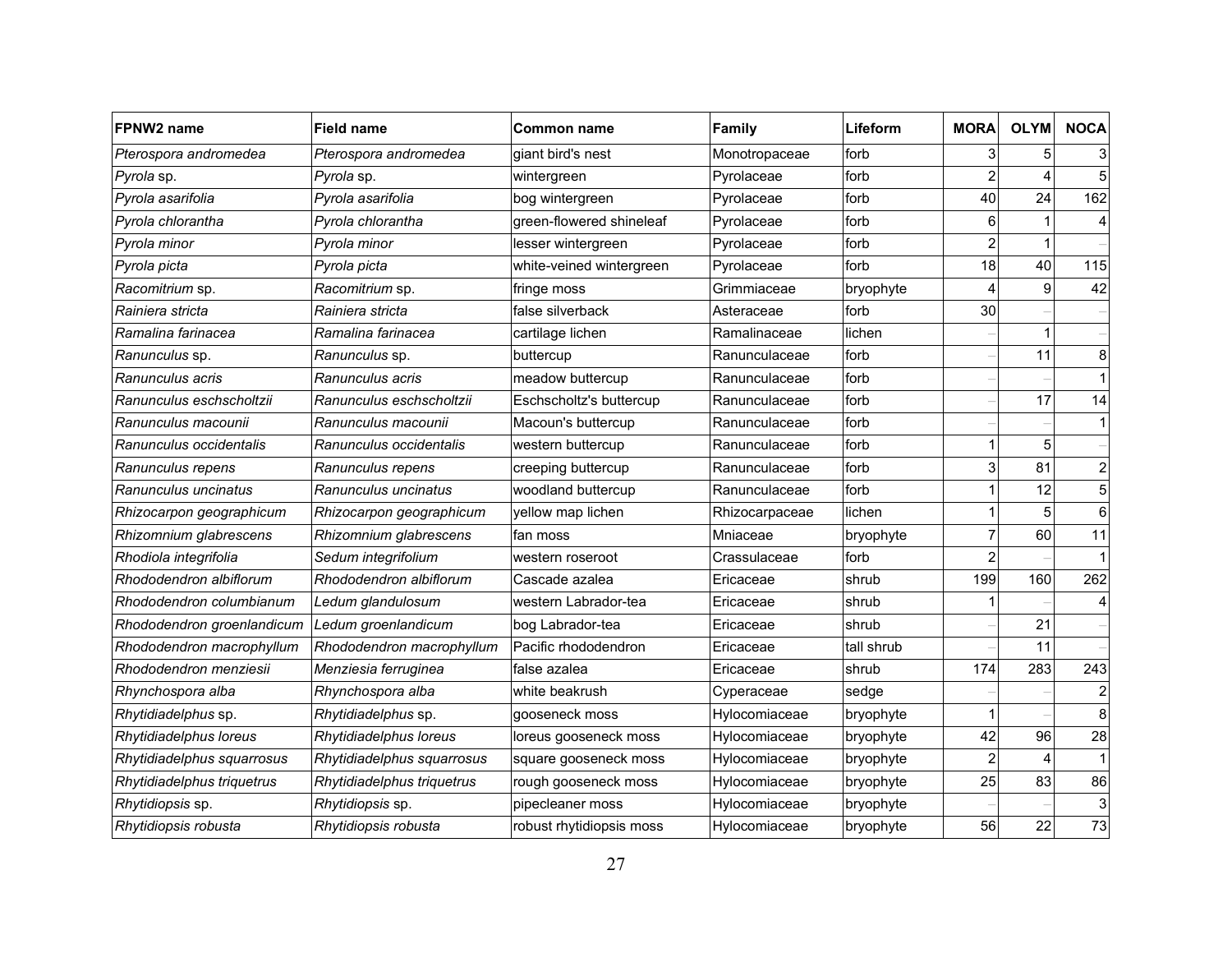| FPNW2 name                 | <b>Field name</b>          | Common name              | Family         | Lifeform   | <b>MORA</b>    | <b>OLYM</b> | <b>NOCA</b>               |
|----------------------------|----------------------------|--------------------------|----------------|------------|----------------|-------------|---------------------------|
| Pterospora andromedea      | Pterospora andromedea      | giant bird's nest        | Monotropaceae  | forb       |                | 5           | 3                         |
| Pyrola sp.                 | Pyrola sp.                 | wintergreen              | Pyrolaceae     | forb       | $\mathfrak{p}$ |             | 5                         |
| Pyrola asarifolia          | Pyrola asarifolia          | bog wintergreen          | Pyrolaceae     | forb       | 40             | 24          | 162                       |
| Pyrola chlorantha          | Pyrola chlorantha          | green-flowered shineleaf | Pyrolaceae     | forb       | 6              |             | 4                         |
| Pyrola minor               | Pyrola minor               | lesser wintergreen       | Pyrolaceae     | forb       | $\overline{2}$ |             |                           |
| Pyrola picta               | Pyrola picta               | white-veined wintergreen | Pyrolaceae     | forb       | 18             | 40          | 115                       |
| Racomitrium sp.            | Racomitrium sp.            | fringe moss              | Grimmiaceae    | bryophyte  |                | 9           | 42                        |
| Rainiera stricta           | Rainiera stricta           | false silverback         | Asteraceae     | forb       | 30             |             |                           |
| Ramalina farinacea         | Ramalina farinacea         | cartilage lichen         | Ramalinaceae   | lichen     |                |             |                           |
| Ranunculus sp.             | Ranunculus sp.             | buttercup                | Ranunculaceae  | forb       |                | 11          | 8                         |
| Ranunculus acris           | Ranunculus acris           | meadow buttercup         | Ranunculaceae  | forb       |                |             | $\mathbf{1}$              |
| Ranunculus eschscholtzii   | Ranunculus eschscholtzii   | Eschscholtz's buttercup  | Ranunculaceae  | forb       |                | 17          | 14                        |
| Ranunculus macounii        | Ranunculus macounii        | Macoun's buttercup       | Ranunculaceae  | forb       |                |             | 1                         |
| Ranunculus occidentalis    | Ranunculus occidentalis    | western buttercup        | Ranunculaceae  | forb       |                | 5           |                           |
| Ranunculus repens          | Ranunculus repens          | creeping buttercup       | Ranunculaceae  | forb       | 3              | 81          | $\overline{\mathbf{c}}$   |
| Ranunculus uncinatus       | Ranunculus uncinatus       | woodland buttercup       | Ranunculaceae  | forb       |                | 12          | 5                         |
| Rhizocarpon geographicum   | Rhizocarpon geographicum   | yellow map lichen        | Rhizocarpaceae | lichen     |                | 5           | 6                         |
| Rhizomnium glabrescens     | Rhizomnium glabrescens     | fan moss                 | Mniaceae       | bryophyte  |                | 60          | 11                        |
| Rhodiola integrifolia      | Sedum integrifolium        | western roseroot         | Crassulaceae   | forb       | 2              |             | 1                         |
| Rhododendron albiflorum    | Rhododendron albiflorum    | Cascade azalea           | Ericaceae      | shrub      | 199            | 160         | 262                       |
| Rhododendron columbianum   | Ledum glandulosum          | western Labrador-tea     | Ericaceae      | shrub      |                |             | 4                         |
| Rhododendron groenlandicum | Ledum groenlandicum        | bog Labrador-tea         | Ericaceae      | shrub      |                | 21          |                           |
| Rhododendron macrophyllum  | Rhododendron macrophyllum  | Pacific rhododendron     | Ericaceae      | tall shrub |                | 11          |                           |
| Rhododendron menziesii     | Menziesia ferruginea       | false azalea             | Ericaceae      | shrub      | 174            | 283         | 243                       |
| Rhynchospora alba          | Rhynchospora alba          | white beakrush           | Cyperaceae     | sedge      |                |             | 2                         |
| Rhytidiadelphus sp.        | Rhytidiadelphus sp.        | gooseneck moss           | Hylocomiaceae  | bryophyte  |                |             | 8                         |
| Rhytidiadelphus loreus     | Rhytidiadelphus loreus     | loreus gooseneck moss    | Hylocomiaceae  | bryophyte  | 42             | 96          | 28                        |
| Rhytidiadelphus squarrosus | Rhytidiadelphus squarrosus | square gooseneck moss    | Hylocomiaceae  | bryophyte  | $\mathfrak{p}$ |             | 1                         |
| Rhytidiadelphus triquetrus | Rhytidiadelphus triquetrus | rough gooseneck moss     | Hylocomiaceae  | bryophyte  | 25             | 83          | 86                        |
| Rhytidiopsis sp.           | Rhytidiopsis sp.           | pipecleaner moss         | Hylocomiaceae  | bryophyte  |                |             | $\ensuremath{\mathsf{3}}$ |
| Rhytidiopsis robusta       | Rhytidiopsis robusta       | robust rhytidiopsis moss | Hylocomiaceae  | bryophyte  | 56             | 22          | 73                        |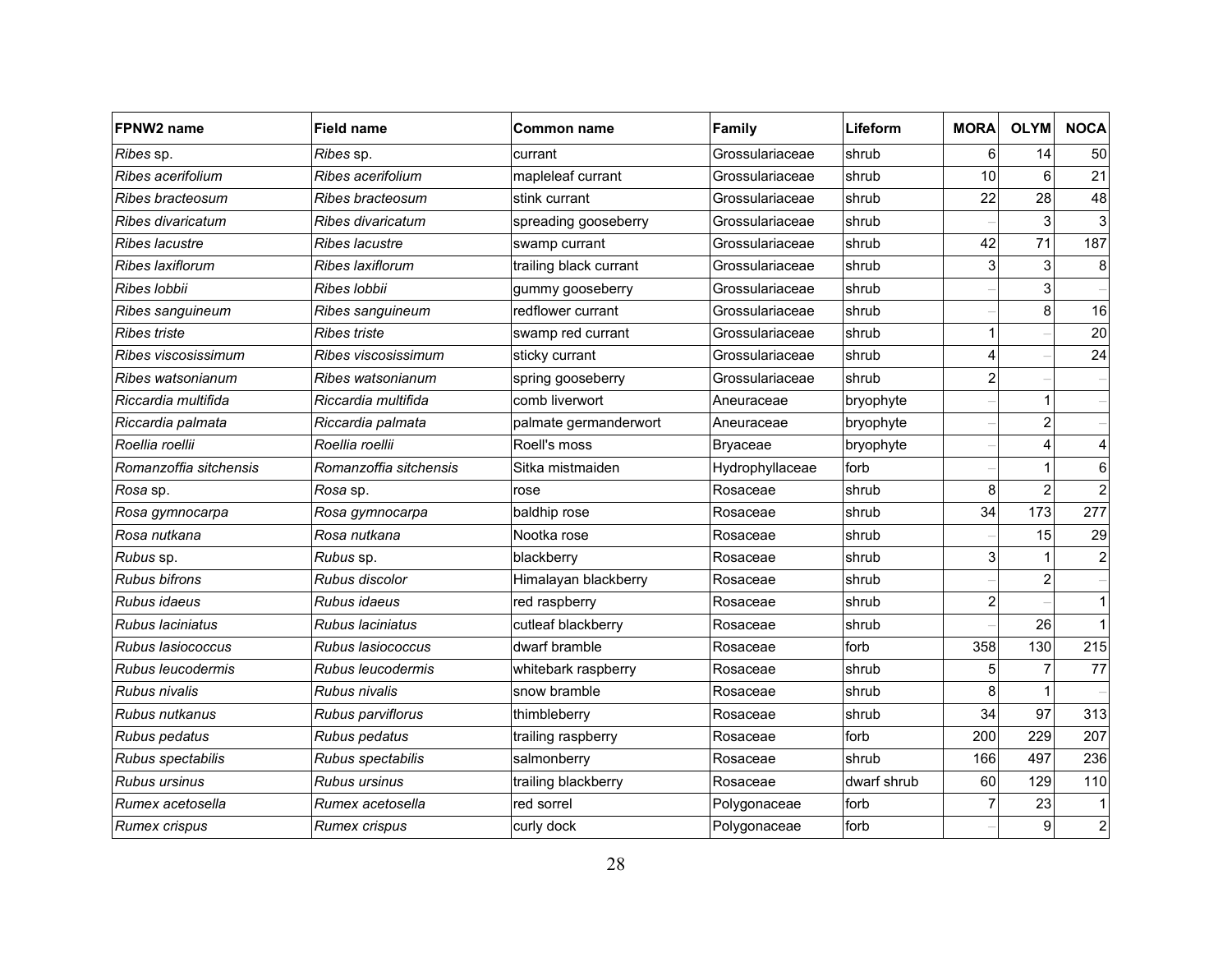| FPNW2 name             | <b>Field name</b>      | Common name            | Family          | Lifeform    | <b>MORA</b>    | <b>OLYM</b>      | <b>NOCA</b>             |
|------------------------|------------------------|------------------------|-----------------|-------------|----------------|------------------|-------------------------|
| Ribes sp.              | Ribes sp.              | currant                | Grossulariaceae | shrub       | 6              | 14               | 50                      |
| Ribes acerifolium      | Ribes acerifolium      | mapleleaf currant      | Grossulariaceae | shrub       | 10             | 6                | 21                      |
| Ribes bracteosum       | Ribes bracteosum       | stink currant          | Grossulariaceae | shrub       | 22             | 28               | 48                      |
| Ribes divaricatum      | Ribes divaricatum      | spreading gooseberry   | Grossulariaceae | shrub       |                | 3                | $\mathbf{3}$            |
| Ribes lacustre         | Ribes lacustre         | swamp currant          | Grossulariaceae | shrub       | 42             | 71               | 187                     |
| Ribes laxiflorum       | Ribes laxiflorum       | trailing black currant | Grossulariaceae | shrub       | 3              | 3                | 8                       |
| Ribes lobbii           | Ribes lobbii           | gummy gooseberry       | Grossulariaceae | shrub       |                | 3                |                         |
| Ribes sanguineum       | Ribes sanguineum       | redflower currant      | Grossulariaceae | shrub       |                | 8                | 16                      |
| <b>Ribes triste</b>    | <b>Ribes triste</b>    | swamp red currant      | Grossulariaceae | shrub       |                |                  | 20                      |
| Ribes viscosissimum    | Ribes viscosissimum    | sticky currant         | Grossulariaceae | shrub       | 4              |                  | 24                      |
| Ribes watsonianum      | Ribes watsonianum      | spring gooseberry      | Grossulariaceae | shrub       | 2              |                  |                         |
| Riccardia multifida    | Riccardia multifida    | comb liverwort         | Aneuraceae      | bryophyte   |                |                  |                         |
| Riccardia palmata      | Riccardia palmata      | palmate germanderwort  | Aneuraceae      | bryophyte   |                | $\boldsymbol{2}$ |                         |
| Roellia roellii        | Roellia roellii        | Roell's moss           | <b>Bryaceae</b> | bryophyte   |                | 4                | 4                       |
| Romanzoffia sitchensis | Romanzoffia sitchensis | Sitka mistmaiden       | Hydrophyllaceae | forb        |                |                  | 6                       |
| Rosa sp.               | Rosa sp.               | rose                   | Rosaceae        | shrub       | 8              | 2                | $\overline{a}$          |
| Rosa gymnocarpa        | Rosa gymnocarpa        | baldhip rose           | Rosaceae        | shrub       | 34             | 173              | 277                     |
| Rosa nutkana           | Rosa nutkana           | Nootka rose            | Rosaceae        | shrub       |                | 15               | 29                      |
| Rubus sp.              | Rubus sp.              | blackberry             | Rosaceae        | shrub       | 3              |                  | $\overline{\mathbf{c}}$ |
| Rubus bifrons          | Rubus discolor         | Himalayan blackberry   | Rosaceae        | shrub       |                | 2                |                         |
| Rubus idaeus           | Rubus idaeus           | red raspberry          | Rosaceae        | shrub       | $\overline{2}$ |                  | $\mathbf{1}$            |
| Rubus laciniatus       | Rubus laciniatus       | cutleaf blackberry     | Rosaceae        | shrub       |                | 26               | $\mathbf{1}$            |
| Rubus Iasiococcus      | Rubus Iasiococcus      | dwarf bramble          | Rosaceae        | forb        | 358            | 130              | 215                     |
| Rubus leucodermis      | Rubus leucodermis      | whitebark raspberry    | Rosaceae        | shrub       | 5              |                  | 77                      |
| Rubus nivalis          | Rubus nivalis          | snow bramble           | Rosaceae        | shrub       | 8              |                  |                         |
| Rubus nutkanus         | Rubus parviflorus      | thimbleberry           | Rosaceae        | shrub       | 34             | 97               | 313                     |
| Rubus pedatus          | Rubus pedatus          | trailing raspberry     | Rosaceae        | forb        | 200            | 229              | 207                     |
| Rubus spectabilis      | Rubus spectabilis      | salmonberry            | Rosaceae        | shrub       | 166            | 497              | 236                     |
| <b>Rubus ursinus</b>   | Rubus ursinus          | trailing blackberry    | Rosaceae        | dwarf shrub | 60             | 129              | 110                     |
| Rumex acetosella       | Rumex acetosella       | red sorrel             | Polygonaceae    | forb        |                | 23               | $\mathbf{1}$            |
| Rumex crispus          | Rumex crispus          | curly dock             | Polygonaceae    | forb        |                | $\boldsymbol{9}$ | $\mathbf{2}$            |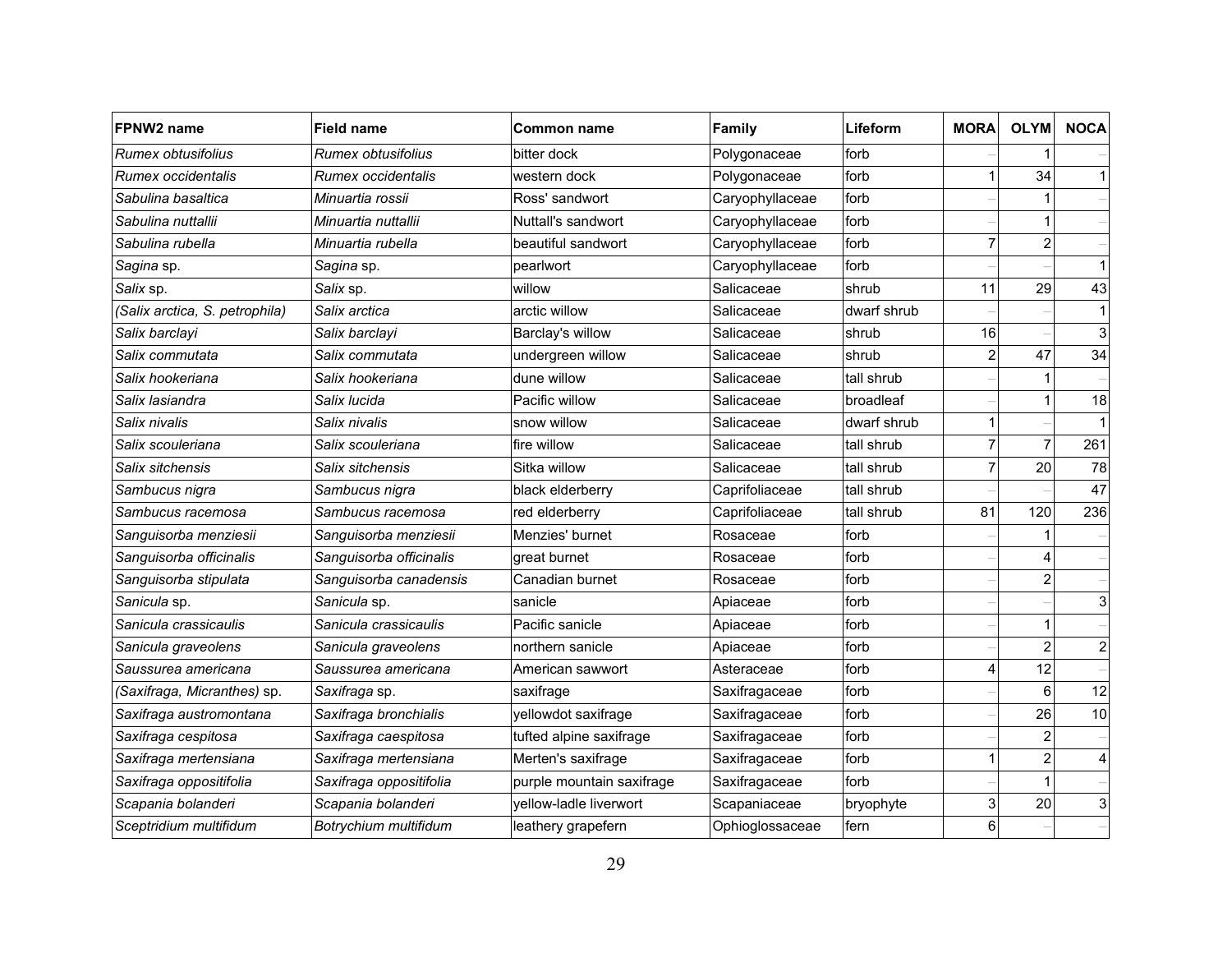| FPNW2 name                     | <b>Field name</b>       | <b>Common name</b>        | <b>Family</b>   | Lifeform    | <b>MORA</b>    | <b>OLYM</b>    | <b>NOCA</b>    |
|--------------------------------|-------------------------|---------------------------|-----------------|-------------|----------------|----------------|----------------|
| <b>Rumex obtusifolius</b>      | Rumex obtusifolius      | bitter dock               | Polygonaceae    | forb        |                |                |                |
| Rumex occidentalis             | Rumex occidentalis      | western dock              | Polygonaceae    | forb        |                | 34             | 1              |
| Sabulina basaltica             | Minuartia rossii        | Ross' sandwort            | Caryophyllaceae | forb        |                |                |                |
| Sabulina nuttallii             | Minuartia nuttallii     | Nuttall's sandwort        | Caryophyllaceae | forb        |                |                |                |
| Sabulina rubella               | Minuartia rubella       | beautiful sandwort        | Caryophyllaceae | forb        | $\overline{7}$ | $\overline{2}$ |                |
| Sagina sp.                     | Sagina sp.              | pearlwort                 | Caryophyllaceae | forb        |                |                |                |
| Salix sp.                      | Salix sp.               | willow                    | Salicaceae      | shrub       | 11             | 29             | 43             |
| (Salix arctica, S. petrophila) | Salix arctica           | arctic willow             | Salicaceae      | dwarf shrub |                |                | $\mathbf{1}$   |
| Salix barclayi                 | Salix barclayi          | Barclay's willow          | Salicaceae      | shrub       | 16             |                | 3              |
| Salix commutata                | Salix commutata         | undergreen willow         | Salicaceae      | shrub       | $\overline{2}$ | 47             | 34             |
| Salix hookeriana               | Salix hookeriana        | dune willow               | Salicaceae      | tall shrub  |                |                |                |
| Salix lasiandra                | Salix lucida            | Pacific willow            | Salicaceae      | broadleaf   |                | $\mathbf{1}$   | 18             |
| Salix nivalis                  | Salix nivalis           | snow willow               | Salicaceae      | dwarf shrub |                |                |                |
| Salix scouleriana              | Salix scouleriana       | fire willow               | Salicaceae      | tall shrub  | 7              | 7              | 261            |
| Salix sitchensis               | Salix sitchensis        | Sitka willow              | Salicaceae      | tall shrub  | $\overline{7}$ | 20             | 78             |
| Sambucus nigra                 | Sambucus nigra          | black elderberry          | Caprifoliaceae  | tall shrub  |                |                | 47             |
| Sambucus racemosa              | Sambucus racemosa       | red elderberry            | Caprifoliaceae  | tall shrub  | 81             | 120            | 236            |
| Sanguisorba menziesii          | Sanguisorba menziesii   | Menzies' burnet           | lRosaceae       | forb        |                |                |                |
| Sanguisorba officinalis        | Sanguisorba officinalis | great burnet              | Rosaceae        | forb        |                |                |                |
| Sanguisorba stipulata          | Sanguisorba canadensis  | Canadian burnet           | lRosaceae       | forb        |                | $\overline{c}$ |                |
| Sanicula sp.                   | Sanicula sp.            | sanicle                   | Apiaceae        | forb        |                |                | 3              |
| Sanicula crassicaulis          | Sanicula crassicaulis   | Pacific sanicle           | Apiaceae        | forb        |                | 1              |                |
| Sanicula graveolens            | Sanicula graveolens     | northern sanicle          | Apiaceae        | forb        |                | $\overline{2}$ | $\overline{c}$ |
| Saussurea americana            | Saussurea americana     | American sawwort          | Asteraceae      | forb        | Δ              | 12             |                |
| (Saxifraga, Micranthes) sp.    | Saxifraga sp.           | saxifrage                 | Saxifragaceae   | forb        |                | 6              | 12             |
| Saxifraga austromontana        | Saxifraga bronchialis   | yellowdot saxifrage       | Saxifragaceae   | forb        |                | 26             | 10             |
| Saxifraga cespitosa            | Saxifraga caespitosa    | tufted alpine saxifrage   | Saxifragaceae   | forb        |                | $\overline{c}$ |                |
| Saxifraga mertensiana          | Saxifraga mertensiana   | Merten's saxifrage        | Saxifragaceae   | forb        |                | $\overline{c}$ | 4              |
| Saxifraga oppositifolia        | Saxifraga oppositifolia | purple mountain saxifrage | Saxifragaceae   | forb        |                |                |                |
| Scapania bolanderi             | Scapania bolanderi      | yellow-ladle liverwort    | Scapaniaceae    | bryophyte   | 3              | 20             | 3              |
| Sceptridium multifidum         | Botrychium multifidum   | leathery grapefern        | Ophioglossaceae | fern        | $6 \mid$       |                |                |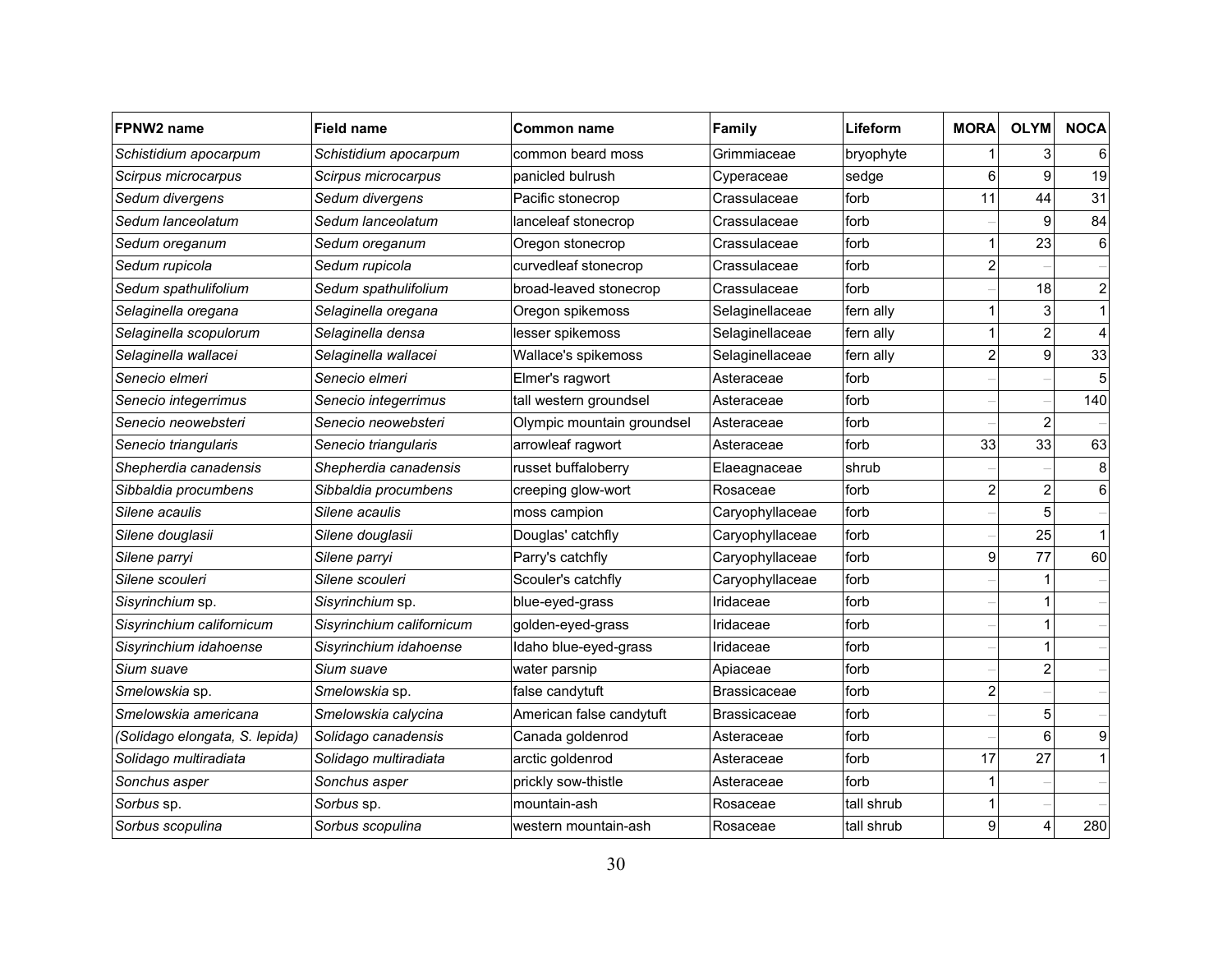| FPNW2 name                     | <b>Field name</b>         | Common name                | Family              | Lifeform   | <b>MORA</b>    | <b>OLYM</b>    | <b>NOCA</b>             |
|--------------------------------|---------------------------|----------------------------|---------------------|------------|----------------|----------------|-------------------------|
| Schistidium apocarpum          | Schistidium apocarpum     | common beard moss          | Grimmiaceae         | bryophyte  |                | 3              | 6                       |
| Scirpus microcarpus            | Scirpus microcarpus       | panicled bulrush           | Cyperaceae          | sedge      | 6              | 9              | 19                      |
| Sedum divergens                | Sedum divergens           | Pacific stonecrop          | Crassulaceae        | forb       | 11             | 44             | 31                      |
| Sedum Ianceolatum              | Sedum lanceolatum         | lanceleaf stonecrop        | Crassulaceae        | forb       |                | 9              | 84                      |
| Sedum oreganum                 | Sedum oreganum            | Oregon stonecrop           | Crassulaceae        | forb       |                | 23             | $\,6\,$                 |
| Sedum rupicola                 | Sedum rupicola            | curvedleaf stonecrop       | Crassulaceae        | forb       | $\overline{2}$ |                |                         |
| Sedum spathulifolium           | Sedum spathulifolium      | broad-leaved stonecrop     | Crassulaceae        | forb       |                | 18             | $\overline{\mathbf{c}}$ |
| Selaginella oregana            | Selaginella oregana       | Oregon spikemoss           | Selaginellaceae     | fern ally  | 1              | 3              | $\mathbf{1}$            |
| Selaginella scopulorum         | Selaginella densa         | lesser spikemoss           | Selaginellaceae     | fern ally  |                | $\mathbf{2}$   | $\overline{4}$          |
| Selaginella wallacei           | Selaginella wallacei      | Wallace's spikemoss        | Selaginellaceae     | fern ally  | 2              | 9              | 33                      |
| Senecio elmeri                 | Senecio elmeri            | Elmer's ragwort            | Asteraceae          | forb       |                |                | $\mathbf 5$             |
| Senecio integerrimus           | Senecio integerrimus      | tall western groundsel     | Asteraceae          | forb       |                |                | 140                     |
| Senecio neowebsteri            | Senecio neowebsteri       | Olympic mountain groundsel | Asteraceae          | forb       |                | $\overline{c}$ |                         |
| Senecio triangularis           | Senecio triangularis      | arrowleaf ragwort          | Asteraceae          | forb       | 33             | 33             | 63                      |
| Shepherdia canadensis          | Shepherdia canadensis     | russet buffaloberry        | Elaeagnaceae        | shrub      |                |                | 8                       |
| Sibbaldia procumbens           | Sibbaldia procumbens      | creeping glow-wort         | Rosaceae            | forb       | $\overline{2}$ | $\overline{c}$ | 6                       |
| Silene acaulis                 | Silene acaulis            | moss campion               | Caryophyllaceae     | forb       |                | 5              |                         |
| Silene douglasii               | Silene douglasii          | Douglas' catchfly          | Caryophyllaceae     | forb       |                | 25             | $\mathbf 1$             |
| Silene parryi                  | Silene parryi             | Parry's catchfly           | Caryophyllaceae     | forb       | 9              | 77             | 60                      |
| Silene scouleri                | Silene scouleri           | Scouler's catchfly         | Caryophyllaceae     | forb       |                |                |                         |
| Sisyrinchium sp.               | Sisyrinchium sp.          | blue-eyed-grass            | Iridaceae           | forb       |                | 1              |                         |
| Sisyrinchium californicum      | Sisyrinchium californicum | golden-eyed-grass          | Iridaceae           | forb       |                | 1              |                         |
| Sisyrinchium idahoense         | Sisyrinchium idahoense    | Idaho blue-eyed-grass      | Iridaceae           | forb       |                |                |                         |
| Sium suave                     | Sium suave                | water parsnip              | Apiaceae            | forb       |                | $\overline{c}$ |                         |
| Smelowskia sp.                 | Smelowskia sp.            | false candytuft            | <b>Brassicaceae</b> | forb       | $\overline{2}$ |                |                         |
| Smelowskia americana           | Smelowskia calycina       | American false candytuft   | <b>Brassicaceae</b> | forb       |                | 5              |                         |
| (Solidago elongata, S. lepida) | Solidago canadensis       | Canada goldenrod           | Asteraceae          | forb       |                | 6              | 9                       |
| Solidago multiradiata          | Solidago multiradiata     | arctic goldenrod           | Asteraceae          | forb       | 17             | 27             | $\mathbf{1}$            |
| Sonchus asper                  | Sonchus asper             | prickly sow-thistle        | Asteraceae          | forb       |                |                |                         |
| Sorbus sp.                     | Sorbus sp.                | mountain-ash               | Rosaceae            | tall shrub |                |                |                         |
| Sorbus scopulina               | Sorbus scopulina          | western mountain-ash       | Rosaceae            | tall shrub | 9              | 4              | 280                     |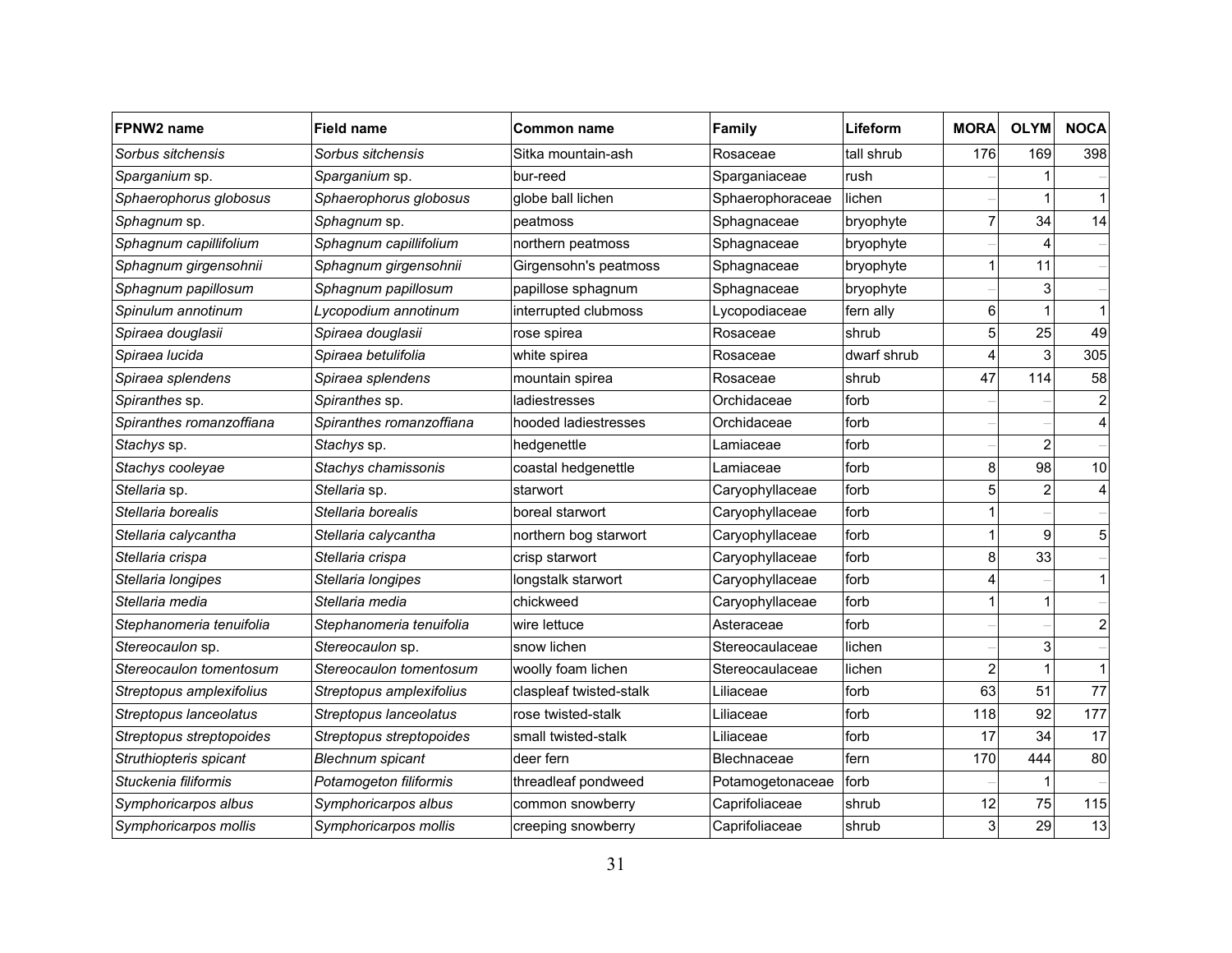| FPNW2 name               | <b>Field name</b>        | Common name             | Family           | Lifeform    | <b>MORA</b> | <b>OLYM</b>    | <b>NOCA</b>             |
|--------------------------|--------------------------|-------------------------|------------------|-------------|-------------|----------------|-------------------------|
| Sorbus sitchensis        | Sorbus sitchensis        | Sitka mountain-ash      | Rosaceae         | tall shrub  | 176         | 169            | 398                     |
| Sparganium sp.           | Sparganium sp.           | bur-reed                | Sparganiaceae    | rush        |             |                |                         |
| Sphaerophorus globosus   | Sphaerophorus globosus   | globe ball lichen       | Sphaerophoraceae | lichen      |             |                | 1                       |
| Sphagnum sp.             | <i>Sphagnum</i> sp.      | peatmoss                | Sphagnaceae      | bryophyte   |             | 34             | 14                      |
| Sphagnum capillifolium   | Sphagnum capillifolium   | northern peatmoss       | Sphagnaceae      | bryophyte   |             |                |                         |
| Sphagnum girgensohnii    | Sphagnum girgensohnii    | Girgensohn's peatmoss   | Sphagnaceae      | bryophyte   |             | 11             |                         |
| Sphagnum papillosum      | Sphagnum papillosum      | papillose sphagnum      | Sphagnaceae      | bryophyte   |             | 3              |                         |
| Spinulum annotinum       | Lycopodium annotinum     | interrupted clubmoss    | Lycopodiaceae    | fern ally   | 6           |                | $\mathbf{1}$            |
| Spiraea douglasii        | Spiraea douglasii        | rose spirea             | Rosaceae         | shrub       | 5           | 25             | 49                      |
| Spiraea lucida           | Spiraea betulifolia      | white spirea            | Rosaceae         | dwarf shrub | Δ           | 3              | 305                     |
| Spiraea splendens        | Spiraea splendens        | mountain spirea         | Rosaceae         | shrub       | 47          | 114            | 58                      |
| Spiranthes sp.           | Spiranthes sp.           | ladiestresses           | Orchidaceae      | forb        |             |                | $\overline{\mathbf{c}}$ |
| Spiranthes romanzoffiana | Spiranthes romanzoffiana | hooded ladiestresses    | Orchidaceae      | forb        |             |                | 4                       |
| Stachys sp.              | Stachys sp.              | hedgenettle             | Lamiaceae        | forb        |             | $\overline{2}$ |                         |
| Stachys cooleyae         | Stachys chamissonis      | coastal hedgenettle     | Lamiaceae        | forb        | 8           | 98             | 10                      |
| Stellaria sp.            | <i>Stellaria</i> sp.     | starwort                | Caryophyllaceae  | forb        | 5           | $\overline{c}$ | 4                       |
| Stellaria borealis       | Stellaria borealis       | boreal starwort         | Caryophyllaceae  | forb        |             |                |                         |
| Stellaria calycantha     | Stellaria calycantha     | northern bog starwort   | Caryophyllaceae  | forb        |             | 9              | 5                       |
| Stellaria crispa         | Stellaria crispa         | crisp starwort          | Caryophyllaceae  | forb        | 8           | 33             |                         |
| Stellaria longipes       | Stellaria longipes       | longstalk starwort      | Caryophyllaceae  | forb        |             |                | $\mathbf{1}$            |
| Stellaria media          | Stellaria media          | chickweed               | Caryophyllaceae  | forb        |             | 1              |                         |
| Stephanomeria tenuifolia | Stephanomeria tenuifolia | wire lettuce            | Asteraceae       | forb        |             |                | $\overline{a}$          |
| Stereocaulon sp.         | Stereocaulon sp.         | snow lichen             | Stereocaulaceae  | lichen      |             | 3              |                         |
| Stereocaulon tomentosum  | Stereocaulon tomentosum  | woolly foam lichen      | Stereocaulaceae  | lichen      |             |                | $\mathbf{1}$            |
| Streptopus amplexifolius | Streptopus amplexifolius | claspleaf twisted-stalk | Liliaceae        | forb        | 63          | 51             | 77                      |
| Streptopus lanceolatus   | Streptopus lanceolatus   | rose twisted-stalk      | Liliaceae        | forb        | 118         | 92             | 177                     |
| Streptopus streptopoides | Streptopus streptopoides | small twisted-stalk     | Liliaceae        | forb        | 17          | 34             | 17                      |
| Struthiopteris spicant   | <b>Blechnum</b> spicant  | deer fern               | Blechnaceae      | fern        | 170         | 444            | 80                      |
| Stuckenia filiformis     | Potamogeton filiformis   | threadleaf pondweed     | Potamogetonaceae | forb        |             |                |                         |
| Symphoricarpos albus     | Symphoricarpos albus     | common snowberry        | Caprifoliaceae   | shrub       | 12          | 75             | 115                     |
| Symphoricarpos mollis    | Symphoricarpos mollis    | creeping snowberry      | Caprifoliaceae   | shrub       | 3           | 29             | 13                      |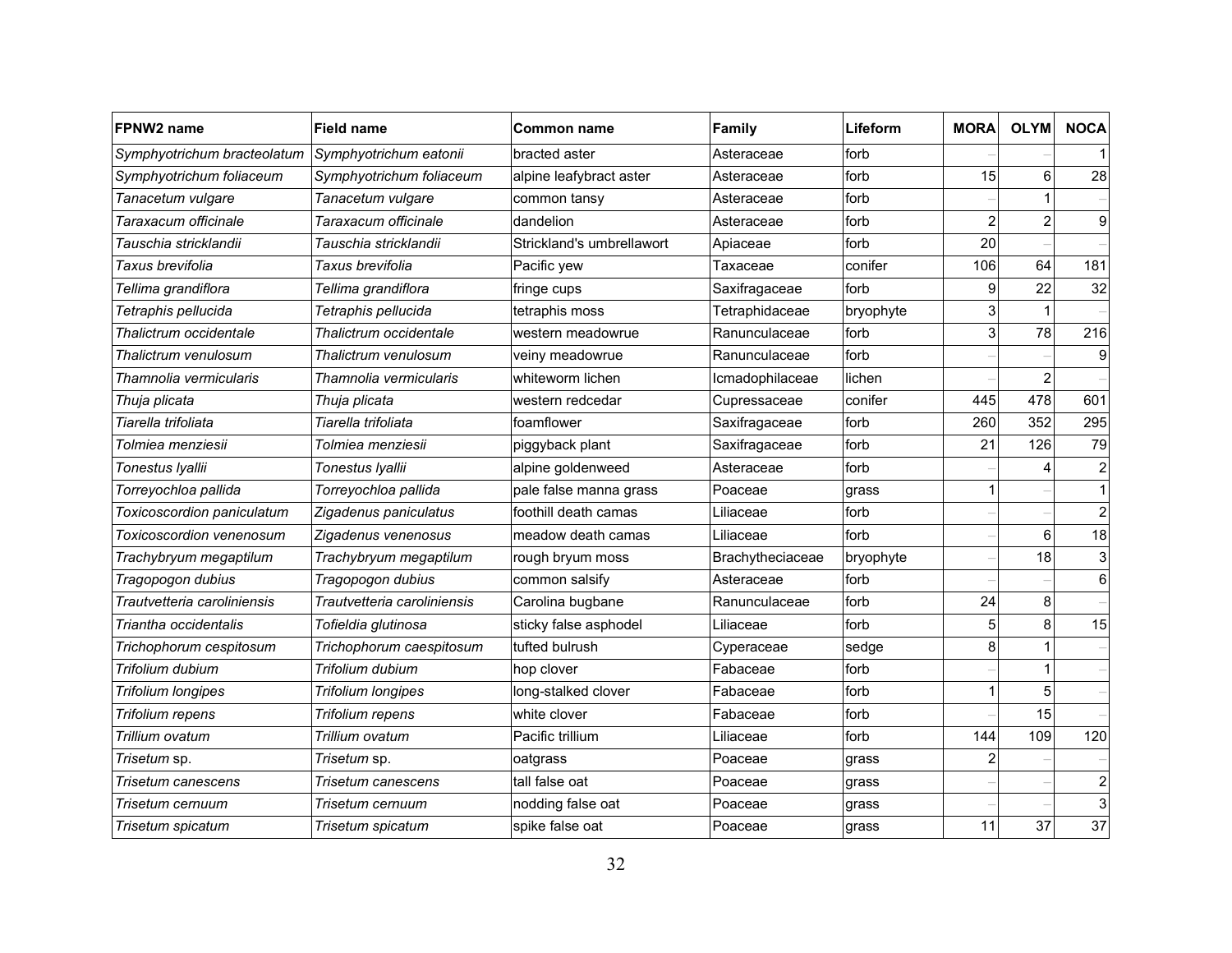| FPNW2 name                  | <b>Field name</b>           | Common name               | Family           | Lifeform  | <b>MORA</b> | <b>OLYM</b>    | <b>NOCA</b>             |
|-----------------------------|-----------------------------|---------------------------|------------------|-----------|-------------|----------------|-------------------------|
| Symphyotrichum bracteolatum | Symphyotrichum eatonii      | bracted aster             | Asteraceae       | forb      |             |                | $\mathbf{1}$            |
| Symphyotrichum foliaceum    | Symphyotrichum foliaceum    | alpine leafybract aster   | Asteraceae       | forb      | 15          | 6              | 28                      |
| Tanacetum vulgare           | Tanacetum vulgare           | common tansy              | Asteraceae       | forb      |             |                |                         |
| Taraxacum officinale        | Taraxacum officinale        | dandelion                 | Asteraceae       | forb      | 2           | $\overline{c}$ | 9                       |
| Tauschia stricklandii       | Tauschia stricklandii       | Strickland's umbrellawort | Apiaceae         | forb      | 20          |                |                         |
| Taxus brevifolia            | Taxus brevifolia            | Pacific yew               | Taxaceae         | conifer   | 106         | 64             | 181                     |
| Tellima grandiflora         | Tellima grandiflora         | fringe cups               | Saxifragaceae    | forb      | 9           | 22             | 32                      |
| Tetraphis pellucida         | Tetraphis pellucida         | tetraphis moss            | Tetraphidaceae   | bryophyte | 3           |                |                         |
| Thalictrum occidentale      | Thalictrum occidentale      | western meadowrue         | Ranunculaceae    | forb      | 3           | 78             | 216                     |
| Thalictrum venulosum        | Thalictrum venulosum        | veiny meadowrue           | Ranunculaceae    | forb      |             |                | 9                       |
| Thamnolia vermicularis      | Thamnolia vermicularis      | whiteworm lichen          | Icmadophilaceae  | lichen    |             | 2              |                         |
| Thuja plicata               | Thuja plicata               | western redcedar          | Cupressaceae     | conifer   | 445         | 478            | 601                     |
| Tiarella trifoliata         | Tiarella trifoliata         | foamflower                | Saxifragaceae    | forb      | 260         | 352            | 295                     |
| Tolmiea menziesii           | Tolmiea menziesii           | piggyback plant           | Saxifragaceae    | forb      | 21          | 126            | 79                      |
| Tonestus Iyallii            | Tonestus Iyallii            | alpine goldenweed         | Asteraceae       | forb      |             |                | $\overline{\mathbf{c}}$ |
| Torreyochloa pallida        | Torreyochloa pallida        | pale false manna grass    | Poaceae          | grass     |             |                | $\mathbf{1}$            |
| Toxicoscordion paniculatum  | Zigadenus paniculatus       | foothill death camas      | Liliaceae        | forb      |             |                | $\overline{a}$          |
| Toxicoscordion venenosum    | Zigadenus venenosus         | meadow death camas        | Liliaceae        | forb      |             | 6              | 18                      |
| Trachybryum megaptilum      | Trachybryum megaptilum      | rough bryum moss          | Brachytheciaceae | bryophyte |             | 18             | 3                       |
| Tragopogon dubius           | Tragopogon dubius           | common salsify            | Asteraceae       | forb      |             |                | 6                       |
| Trautvetteria caroliniensis | Trautvetteria caroliniensis | Carolina bugbane          | Ranunculaceae    | forb      | 24          | 8              |                         |
| Triantha occidentalis       | Tofieldia glutinosa         | sticky false asphodel     | Liliaceae        | forb      | 5           | 8              | 15                      |
| Trichophorum cespitosum     | Trichophorum caespitosum    | tufted bulrush            | Cyperaceae       | sedge     | 8           |                |                         |
| Trifolium dubium            | Trifolium dubium            | hop clover                | Fabaceae         | forb      |             |                |                         |
| Trifolium longipes          | Trifolium longipes          | long-stalked clover       | Fabaceae         | forb      |             | 5              |                         |
| Trifolium repens            | Trifolium repens            | white clover              | Fabaceae         | forb      |             | 15             |                         |
| Trillium ovatum             | Trillium ovatum             | Pacific trillium          | Liliaceae        | forb      | 144         | 109            | 120                     |
| Trisetum sp.                | Trisetum sp.                | oatgrass                  | Poaceae          | grass     | 2           |                |                         |
| Trisetum canescens          | Trisetum canescens          | tall false oat            | Poaceae          | grass     |             |                | $\overline{\mathbf{c}}$ |
| Trisetum cernuum            | Trisetum cernuum            | nodding false oat         | Poaceae          | grass     |             |                | 3                       |
| Trisetum spicatum           | Trisetum spicatum           | spike false oat           | Poaceae          | grass     | 11          | 37             | $\overline{37}$         |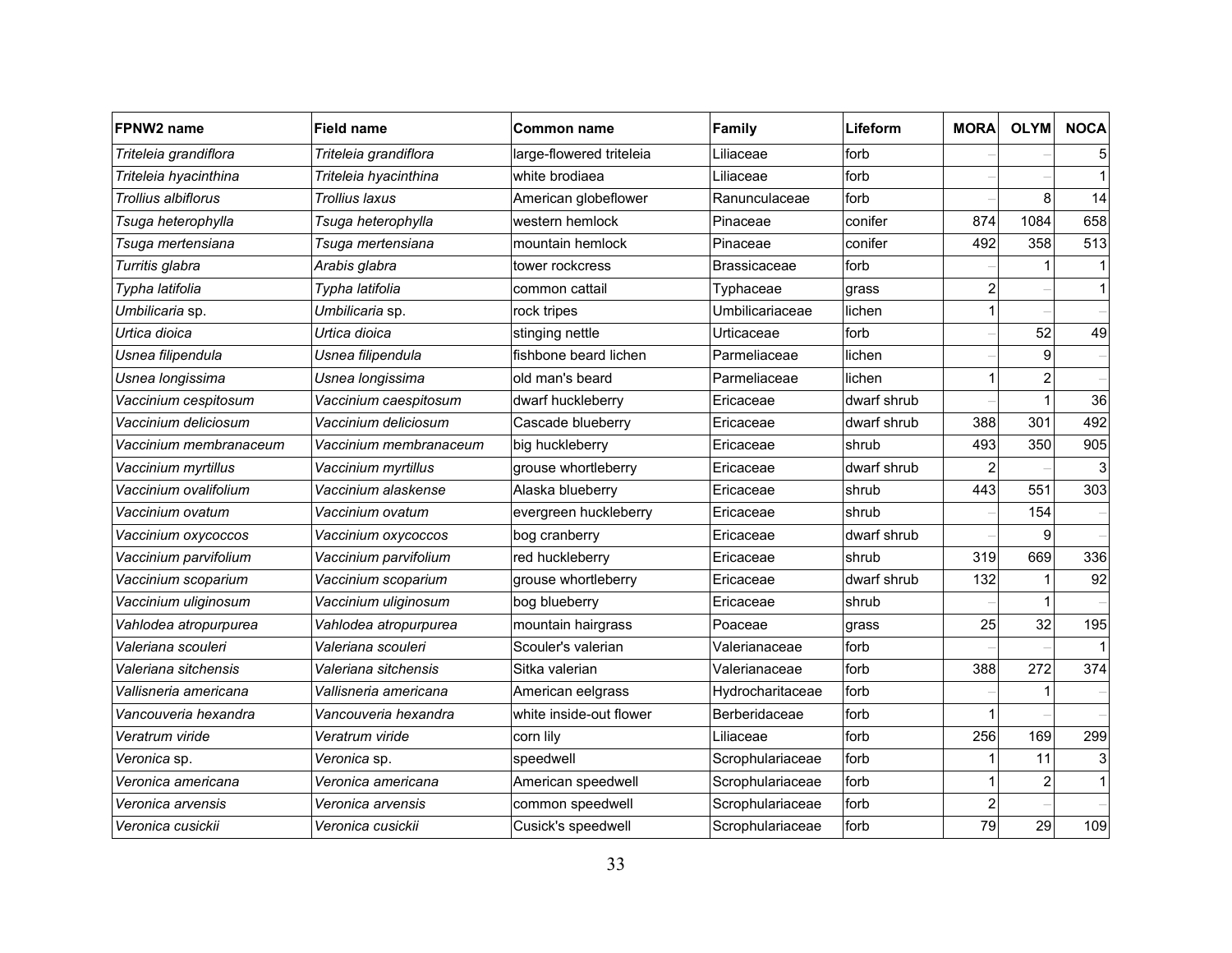| FPNW2 name             | <b>Field name</b>      | Common name              | Family              | Lifeform    | <b>MORA</b>    | <b>OLYM</b>    | <b>NOCA</b> |
|------------------------|------------------------|--------------------------|---------------------|-------------|----------------|----------------|-------------|
| Triteleia grandiflora  | Triteleia grandiflora  | large-flowered triteleia | Liliaceae           | forb        |                |                | 5           |
| Triteleia hyacinthina  | Triteleia hyacinthina  | white brodiaea           | Liliaceae           | forb        |                |                |             |
| Trollius albiflorus    | Trollius laxus         | American globeflower     | Ranunculaceae       | forb        |                | 8              | 14          |
| Tsuga heterophylla     | Tsuga heterophylla     | western hemlock          | Pinaceae            | conifer     | 874            | 1084           | 658         |
| Tsuga mertensiana      | Tsuga mertensiana      | mountain hemlock         | Pinaceae            | conifer     | 492            | 358            | 513         |
| Turritis glabra        | Arabis glabra          | tower rockcress          | <b>Brassicaceae</b> | forb        |                |                |             |
| Typha latifolia        | Typha latifolia        | common cattail           | Typhaceae           | grass       | 2              |                |             |
| Umbilicaria sp.        | Umbilicaria sp.        | rock tripes              | Umbilicariaceae     | lichen      |                |                |             |
| Urtica dioica          | Urtica dioica          | stinging nettle          | Urticaceae          | forb        |                | 52             | 49          |
| Usnea filipendula      | Usnea filipendula      | fishbone beard lichen    | Parmeliaceae        | lichen      |                | 9              |             |
| Usnea longissima       | Usnea longissima       | old man's beard          | Parmeliaceae        | lichen      |                | $\overline{a}$ |             |
| Vaccinium cespitosum   | Vaccinium caespitosum  | dwarf huckleberry        | Ericaceae           | dwarf shrub |                |                | 36          |
| Vaccinium deliciosum   | Vaccinium deliciosum   | Cascade blueberry        | Ericaceae           | dwarf shrub | 388            | 301            | 492         |
| Vaccinium membranaceum | Vaccinium membranaceum | big huckleberry          | Ericaceae           | shrub       | 493            | 350            | 905         |
| Vaccinium myrtillus    | Vaccinium myrtillus    | grouse whortleberry      | Ericaceae           | dwarf shrub | $\mathcal{P}$  |                |             |
| Vaccinium ovalifolium  | Vaccinium alaskense    | Alaska blueberry         | Ericaceae           | shrub       | 443            | 551            | 303         |
| Vaccinium ovatum       | Vaccinium ovatum       | evergreen huckleberry    | Ericaceae           | shrub       |                | 154            |             |
| Vaccinium oxycoccos    | Vaccinium oxycoccos    | bog cranberry            | Ericaceae           | dwarf shrub |                | 9              |             |
| Vaccinium parvifolium  | Vaccinium parvifolium  | red huckleberry          | Ericaceae           | shrub       | 319            | 669            | 336         |
| Vaccinium scoparium    | Vaccinium scoparium    | grouse whortleberry      | Ericaceae           | dwarf shrub | 132            |                | 92          |
| Vaccinium uliginosum   | Vaccinium uliginosum   | bog blueberry            | Ericaceae           | shrub       |                |                |             |
| Vahlodea atropurpurea  | Vahlodea atropurpurea  | mountain hairgrass       | Poaceae             | grass       | 25             | 32             | 195         |
| Valeriana scouleri     | Valeriana scouleri     | Scouler's valerian       | Valerianaceae       | forb        |                |                |             |
| Valeriana sitchensis   | Valeriana sitchensis   | Sitka valerian           | Valerianaceae       | forb        | 388            | 272            | 374         |
| Vallisneria americana  | Vallisneria americana  | American eelgrass        | Hydrocharitaceae    | forb        |                |                |             |
| Vancouveria hexandra   | Vancouveria hexandra   | white inside-out flower  | Berberidaceae       | forb        |                |                |             |
| Veratrum viride        | Veratrum viride        | corn lily                | Liliaceae           | forb        | 256            | 169            | 299         |
| <i>Veronica</i> sp.    | Veronica sp.           | speedwell                | Scrophulariaceae    | forb        |                | 11             |             |
| Veronica americana     | Veronica americana     | American speedwell       | Scrophulariaceae    | forb        |                | 2              |             |
| Veronica arvensis      | Veronica arvensis      | common speedwell         | Scrophulariaceae    | forb        | $\overline{2}$ |                |             |
| Veronica cusickii      | Veronica cusickii      | Cusick's speedwell       | Scrophulariaceae    | forb        | 79             | 29             | 109         |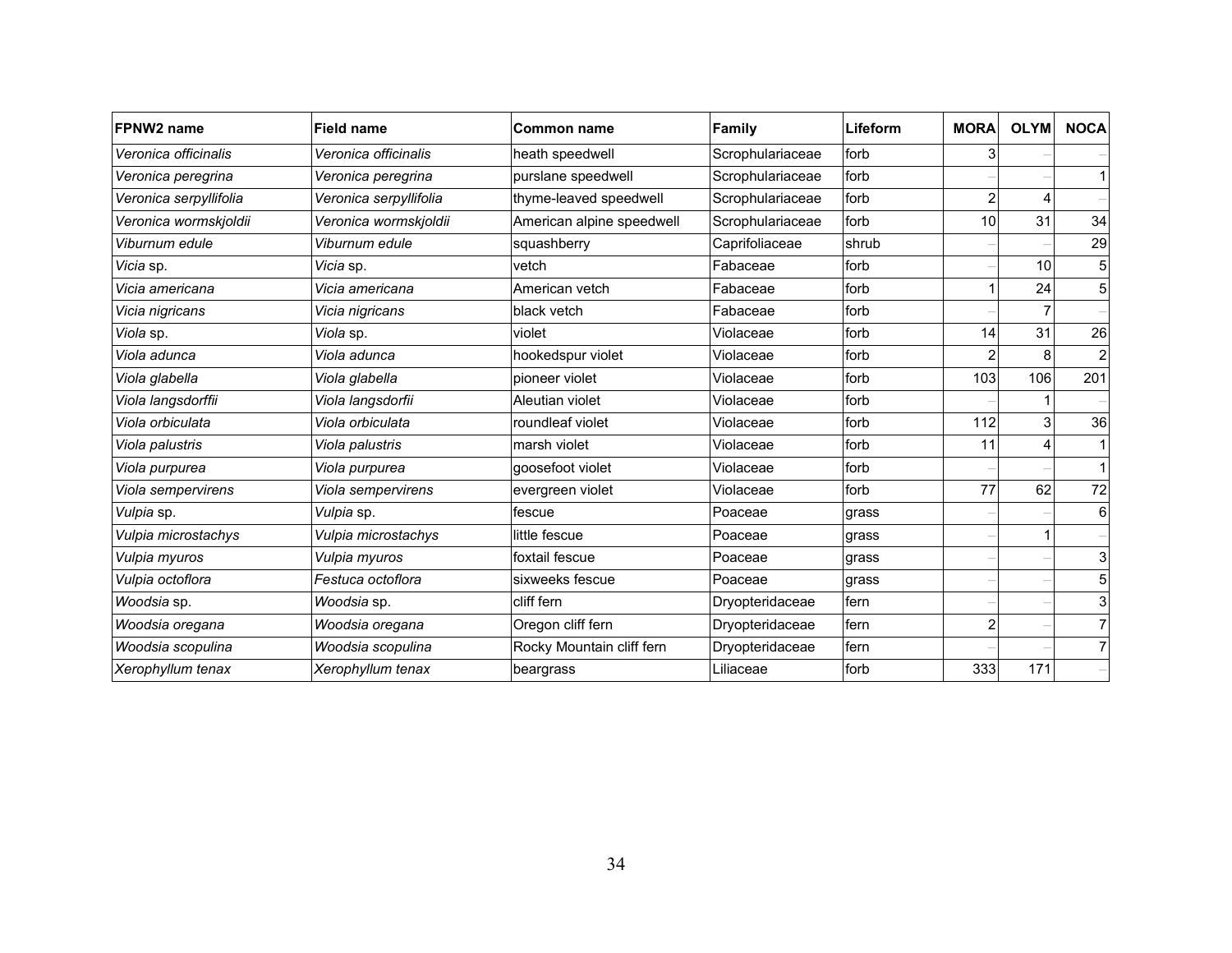| <b>FPNW2</b> name      | <b>Field name</b>      | <b>Common name</b>        | Family           | Lifeform | <b>MORA</b> | <b>OLYM</b> | <b>NOCA</b>    |
|------------------------|------------------------|---------------------------|------------------|----------|-------------|-------------|----------------|
| Veronica officinalis   | Veronica officinalis   | heath speedwell           | Scrophulariaceae | forb     |             |             |                |
| Veronica peregrina     | Veronica peregrina     | purslane speedwell        | Scrophulariaceae | forb     |             |             | 11             |
| Veronica serpyllifolia | Veronica serpyllifolia | thyme-leaved speedwell    | Scrophulariaceae | forb     |             | 4           |                |
| Veronica wormskjoldii  | Veronica wormskjoldii  | American alpine speedwell | Scrophulariaceae | forb     | 10          | 31          | 34             |
| Viburnum edule         | Viburnum edule         | squashberry               | Caprifoliaceae   | shrub    |             |             | 29             |
| Vicia sp.              | Vicia sp.              | vetch                     | Fabaceae         | forb     |             | 10          | 5 <sub>l</sub> |
| Vicia americana        | Vicia americana        | American vetch            | Fabaceae         | forb     |             | 24          | 5              |
| Vicia nigricans        | Vicia nigricans        | black vetch               | Fabaceae         | forb     |             |             |                |
| Viola sp.              | Viola sp.              | violet                    | Violaceae        | forb     | 14          | 31          | 26             |
| Viola adunca           | Viola adunca           | hookedspur violet         | Violaceae        | forb     |             | 8           | $\overline{a}$ |
| Viola glabella         | Viola glabella         | pioneer violet            | Violaceae        | forb     | 103         | 106         | 201            |
| Viola langsdorffii     | Viola langsdorfii      | Aleutian violet           | Violaceae        | forb     |             |             |                |
| Viola orbiculata       | Viola orbiculata       | roundleaf violet          | Violaceae        | forb     | 112         | 3           | 36             |
| Viola palustris        | Viola palustris        | marsh violet              | Violaceae        | forb     | 11          | 4           | 11             |
| Viola purpurea         | Viola purpurea         | goosefoot violet          | Violaceae        | forb     |             |             | 1 <sup>1</sup> |
| Viola sempervirens     | Viola sempervirens     | evergreen violet          | Violaceae        | forb     | 77          | 62          | 72             |
| Vulpia sp.             | Vulpia sp.             | fescue                    | Poaceae          | grass    |             |             | $6 \mid$       |
| Vulpia microstachys    | Vulpia microstachys    | little fescue             | Poaceae          | grass    |             |             |                |
| Vulpia myuros          | Vulpia myuros          | foxtail fescue            | Poaceae          | grass    |             |             | 3              |
| Vulpia octoflora       | Festuca octoflora      | sixweeks fescue           | Poaceae          | grass    |             |             | 5 <sup>1</sup> |
| Woodsia sp.            | <i>Woodsia</i> sp.     | cliff fern                | Dryopteridaceae  | fern     |             |             | 3              |
| Woodsia oregana        | Woodsia oregana        | Oregon cliff fern         | Dryopteridaceae  | fern     |             |             | $\overline{7}$ |
| Woodsia scopulina      | Woodsia scopulina      | Rocky Mountain cliff fern | Dryopteridaceae  | fern     |             |             | 71             |
| Xerophyllum tenax      | Xerophyllum tenax      | beargrass                 | Liliaceae        | forb     | 333         | 171         |                |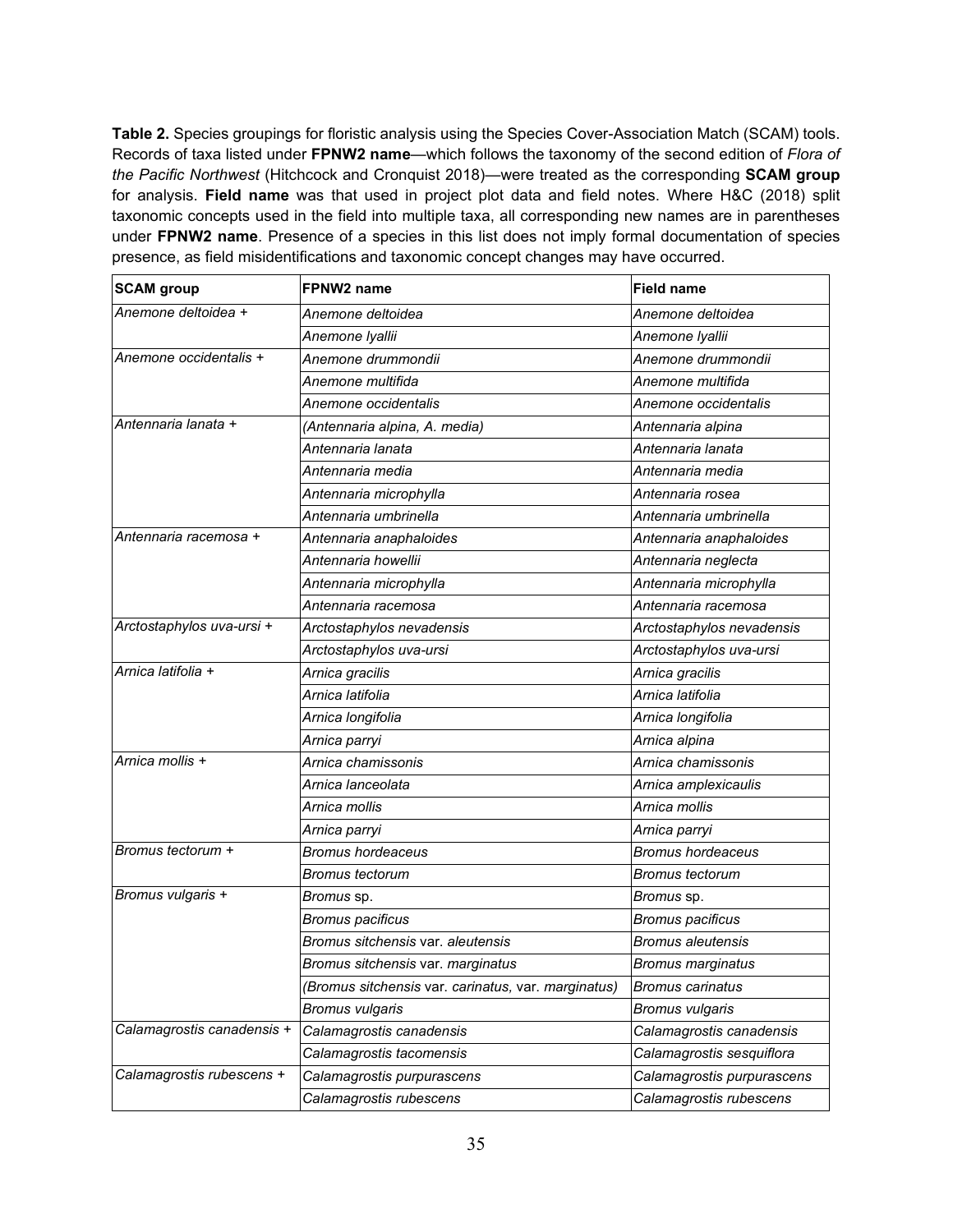**Table 2.** Species groupings for floristic analysis using the Species Cover-Association Match (SCAM) tools. Records of taxa listed under **FPNW2 name**—which follows the taxonomy of the second edition of *Flora of the Pacific Northwest* (Hitchcock and Cronquist 2018)—were treated as the corresponding **SCAM group** for analysis. **Field name** was that used in project plot data and field notes. Where H&C (2018) split taxonomic concepts used in the field into multiple taxa, all corresponding new names are in parentheses under **FPNW2 name**. Presence of a species in this list does not imply formal documentation of species presence, as field misidentifications and taxonomic concept changes may have occurred.

| <b>SCAM</b> group          | FPNW2 name                                          | <b>Field name</b>          |
|----------------------------|-----------------------------------------------------|----------------------------|
| Anemone deltoidea +        | Anemone deltoidea                                   | Anemone deltoidea          |
|                            | Anemone Iyallii                                     | Anemone Iyallii            |
| Anemone occidentalis +     | Anemone drummondii                                  | Anemone drummondii         |
|                            | Anemone multifida                                   | Anemone multifida          |
|                            | Anemone occidentalis                                | Anemone occidentalis       |
| Antennaria lanata +        | (Antennaria alpina, A. media)                       | Antennaria alpina          |
|                            | Antennaria lanata                                   | Antennaria lanata          |
|                            | Antennaria media                                    | Antennaria media           |
|                            | Antennaria microphylla                              | Antennaria rosea           |
|                            | Antennaria umbrinella                               | Antennaria umbrinella      |
| Antennaria racemosa +      | Antennaria anaphaloides                             | Antennaria anaphaloides    |
|                            | Antennaria howellii                                 | Antennaria neglecta        |
|                            | Antennaria microphylla                              | Antennaria microphylla     |
|                            | Antennaria racemosa                                 | Antennaria racemosa        |
| Arctostaphylos uva-ursi +  | Arctostaphylos nevadensis                           | Arctostaphylos nevadensis  |
|                            | Arctostaphylos uva-ursi                             | Arctostaphylos uva-ursi    |
| Arnica latifolia +         | Arnica gracilis                                     | Arnica gracilis            |
|                            | Arnica latifolia                                    | Arnica latifolia           |
|                            | Arnica longifolia                                   | Arnica longifolia          |
|                            | Arnica parryi                                       | Arnica alpina              |
| Arnica mollis +            | Arnica chamissonis                                  | Arnica chamissonis         |
|                            | Arnica lanceolata                                   | Arnica amplexicaulis       |
|                            | Arnica mollis                                       | Arnica mollis              |
|                            | Arnica parryi                                       | Arnica parryi              |
| Bromus tectorum +          | <b>Bromus hordeaceus</b>                            | <b>Bromus hordeaceus</b>   |
|                            | Bromus tectorum                                     | Bromus tectorum            |
| Bromus vulgaris +          | Bromus sp.                                          | Bromus sp.                 |
|                            | <b>Bromus pacificus</b>                             | <b>Bromus pacificus</b>    |
|                            | Bromus sitchensis var, aleutensis                   | <b>Bromus aleutensis</b>   |
|                            | Bromus sitchensis var. marginatus                   | <b>Bromus marginatus</b>   |
|                            | (Bromus sitchensis var. carinatus, var. marginatus) | <b>Bromus carinatus</b>    |
|                            | <b>Bromus vulgaris</b>                              | <b>Bromus vulgaris</b>     |
| Calamagrostis canadensis + | Calamagrostis canadensis                            | Calamagrostis canadensis   |
|                            | Calamagrostis tacomensis                            | Calamagrostis sesquiflora  |
| Calamagrostis rubescens +  | Calamagrostis purpurascens                          | Calamagrostis purpurascens |
|                            | Calamagrostis rubescens                             | Calamagrostis rubescens    |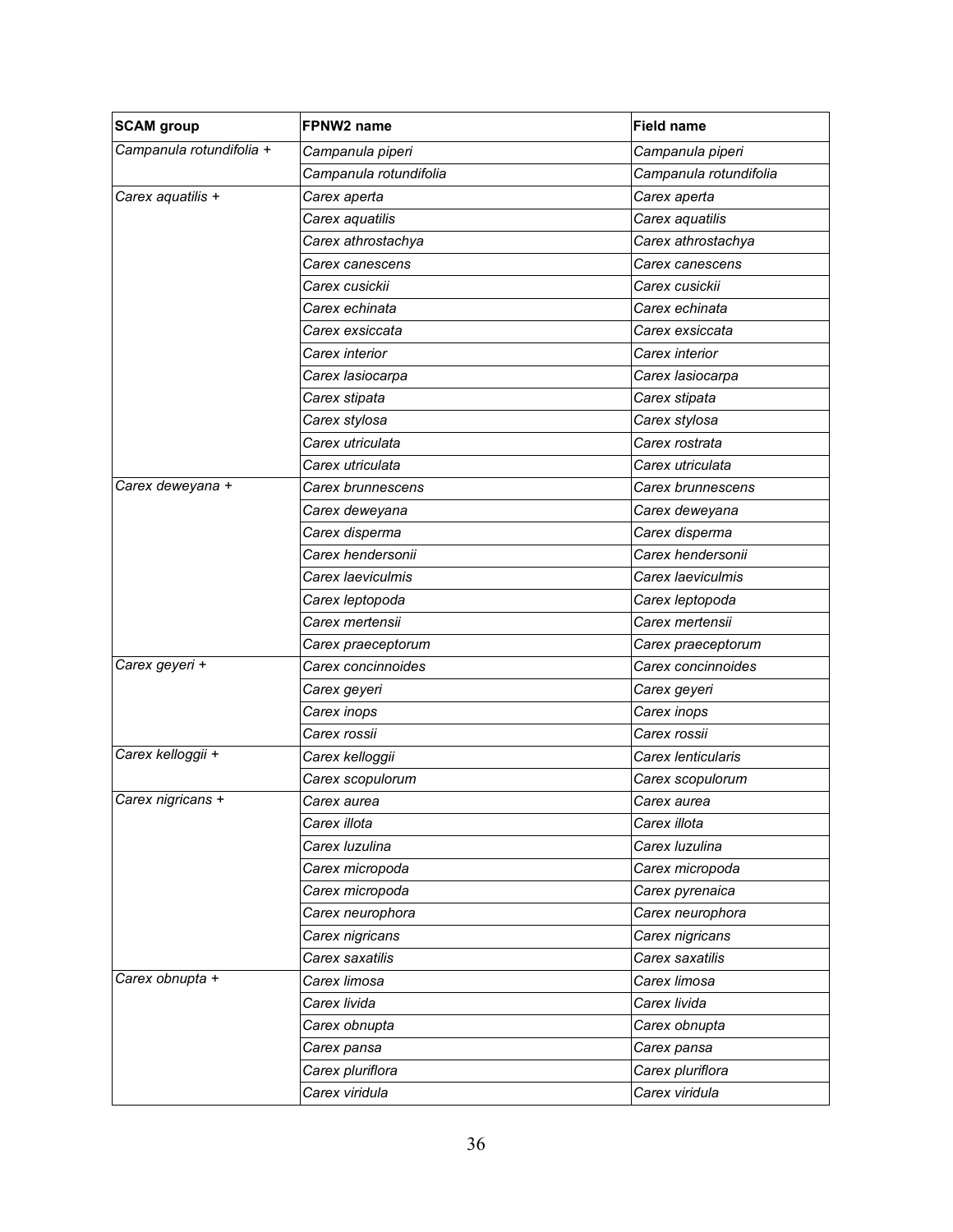| <b>SCAM</b> group        | FPNW2 name             | <b>Field name</b>      |
|--------------------------|------------------------|------------------------|
| Campanula rotundifolia + | Campanula piperi       | Campanula piperi       |
|                          | Campanula rotundifolia | Campanula rotundifolia |
| Carex aquatilis +        | Carex aperta           | Carex aperta           |
|                          | Carex aquatilis        | Carex aquatilis        |
|                          | Carex athrostachya     | Carex athrostachya     |
|                          | Carex canescens        | Carex canescens        |
|                          | Carex cusickii         | Carex cusickii         |
|                          | Carex echinata         | Carex echinata         |
|                          | Carex exsiccata        | Carex exsiccata        |
|                          | Carex interior         | Carex interior         |
|                          | Carex lasiocarpa       | Carex lasiocarpa       |
|                          | Carex stipata          | Carex stipata          |
|                          | Carex stylosa          | Carex stylosa          |
|                          | Carex utriculata       | Carex rostrata         |
|                          | Carex utriculata       | Carex utriculata       |
| Carex deweyana +         | Carex brunnescens      | Carex brunnescens      |
|                          | Carex deweyana         | Carex deweyana         |
|                          | Carex disperma         | Carex disperma         |
|                          | Carex hendersonii      | Carex hendersonii      |
|                          | Carex laeviculmis      | Carex laeviculmis      |
|                          | Carex leptopoda        | Carex leptopoda        |
|                          | Carex mertensii        | Carex mertensii        |
|                          | Carex praeceptorum     | Carex praeceptorum     |
| Carex geyeri +           | Carex concinnoides     | Carex concinnoides     |
|                          | Carex geyeri           | Carex geyeri           |
|                          | Carex inops            | Carex inops            |
|                          | Carex rossii           | Carex rossii           |
| Carex kelloggii +        | Carex kelloggii        | Carex lenticularis     |
|                          | Carex scopulorum       | Carex scopulorum       |
| Carex nigricans +        | Carex aurea            | Carex aurea            |
|                          | Carex illota           | Carex illota           |
|                          | Carex luzulina         | Carex luzulina         |
|                          | Carex micropoda        | Carex micropoda        |
|                          | Carex micropoda        | Carex pyrenaica        |
|                          | Carex neurophora       | Carex neurophora       |
|                          | Carex nigricans        | Carex nigricans        |
|                          | Carex saxatilis        | Carex saxatilis        |
| Carex obnupta +          | Carex limosa           | Carex limosa           |
|                          | Carex livida           | Carex livida           |
|                          | Carex obnupta          | Carex obnupta          |
|                          | Carex pansa            | Carex pansa            |
|                          | Carex pluriflora       | Carex pluriflora       |
|                          | Carex viridula         | Carex viridula         |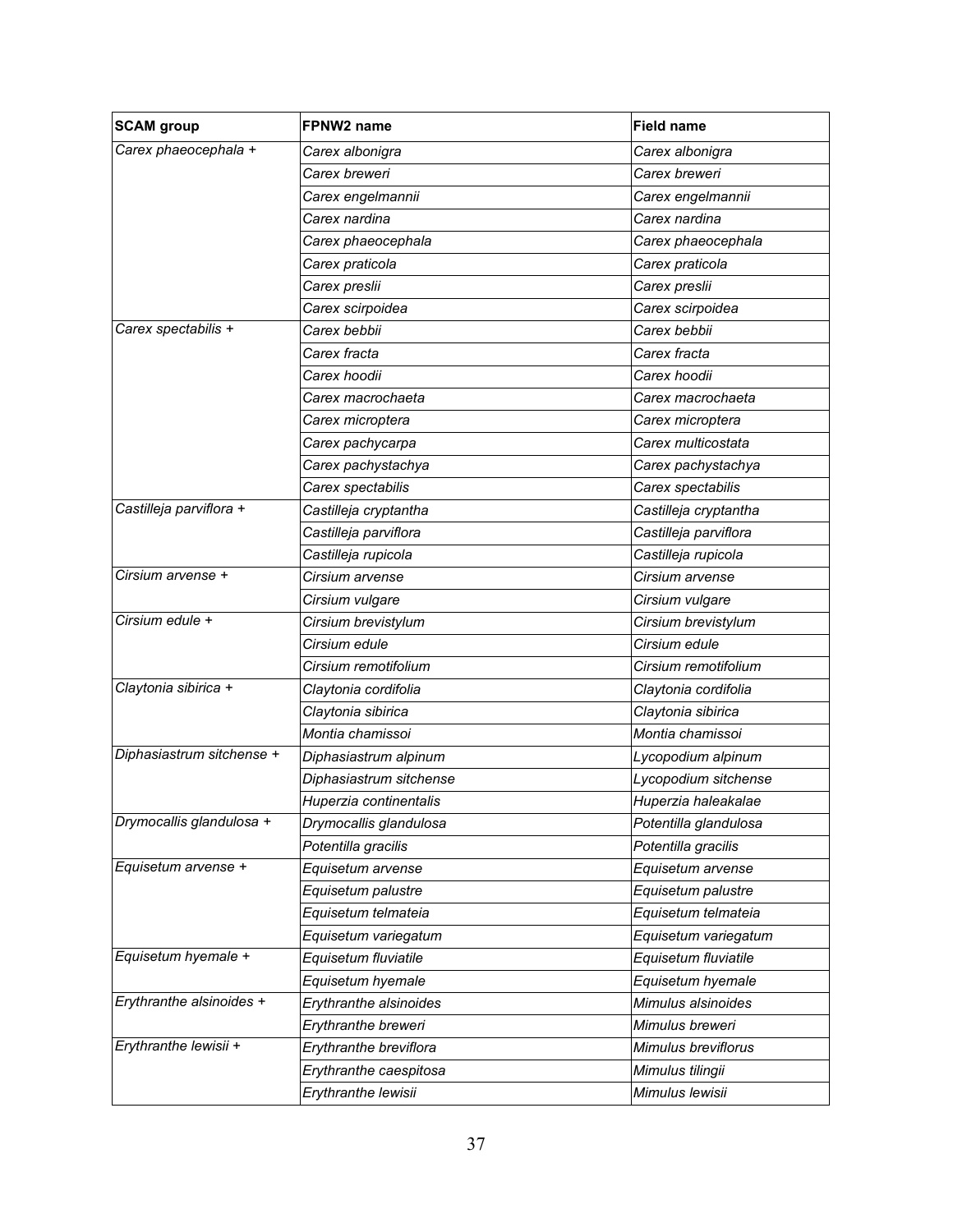| <b>SCAM</b> group         | <b>FPNW2</b> name       |              | <b>Field name</b>     |
|---------------------------|-------------------------|--------------|-----------------------|
| Carex phaeocephala +      | Carex albonigra         |              | Carex albonigra       |
|                           | Carex breweri           |              | Carex breweri         |
|                           | Carex engelmannii       |              | Carex engelmannii     |
|                           | Carex nardina           |              | Carex nardina         |
|                           | Carex phaeocephala      |              | Carex phaeocephala    |
|                           | Carex praticola         |              | Carex praticola       |
|                           | Carex preslii           |              | Carex preslii         |
|                           | Carex scirpoidea        |              | Carex scirpoidea      |
| Carex spectabilis +       | Carex bebbii            | Carex bebbii |                       |
|                           | Carex fracta            |              | Carex fracta          |
|                           | Carex hoodii            |              | Carex hoodii          |
|                           | Carex macrochaeta       |              | Carex macrochaeta     |
|                           | Carex microptera        |              | Carex microptera      |
|                           | Carex pachycarpa        |              | Carex multicostata    |
|                           | Carex pachystachya      |              | Carex pachystachya    |
|                           | Carex spectabilis       |              | Carex spectabilis     |
| Castilleja parviflora +   | Castilleja cryptantha   |              | Castilleja cryptantha |
|                           | Castilleja parviflora   |              | Castilleja parviflora |
|                           | Castilleja rupicola     |              | Castilleja rupicola   |
| Cirsium arvense +         | Cirsium arvense         |              | Cirsium arvense       |
|                           | Cirsium vulgare         |              | Cirsium vulgare       |
| Cirsium edule +           | Cirsium brevistylum     |              | Cirsium brevistylum   |
|                           | Cirsium edule           |              | Cirsium edule         |
|                           | Cirsium remotifolium    |              | Cirsium remotifolium  |
| Claytonia sibirica +      | Claytonia cordifolia    |              | Claytonia cordifolia  |
|                           | Claytonia sibirica      |              | Claytonia sibirica    |
|                           | Montia chamissoi        |              | Montia chamissoi      |
| Diphasiastrum sitchense + | Diphasiastrum alpinum   |              | Lycopodium alpinum    |
|                           | Diphasiastrum sitchense |              | Lycopodium sitchense  |
|                           | Huperzia continentalis  |              | Huperzia haleakalae   |
| Drymocallis glandulosa +  | Drymocallis glandulosa  |              | Potentilla glandulosa |
|                           | Potentilla gracilis     |              | Potentilla gracilis   |
| Equisetum arvense +       | Equisetum arvense       |              | Equisetum arvense     |
|                           | Equisetum palustre      |              | Equisetum palustre    |
|                           | Equisetum telmateia     |              | Equisetum telmateia   |
|                           | Equisetum variegatum    |              | Equisetum variegatum  |
| Equisetum hyemale +       | Equisetum fluviatile    |              | Equisetum fluviatile  |
|                           | Equisetum hyemale       |              | Equisetum hyemale     |
| Erythranthe alsinoides +  | Erythranthe alsinoides  |              | Mimulus alsinoides    |
|                           | Erythranthe breweri     |              | Mimulus breweri       |
| Erythranthe lewisii +     | Erythranthe breviflora  |              | Mimulus breviflorus   |
|                           | Erythranthe caespitosa  |              | Mimulus tilingii      |
|                           | Erythranthe lewisii     |              | Mimulus lewisii       |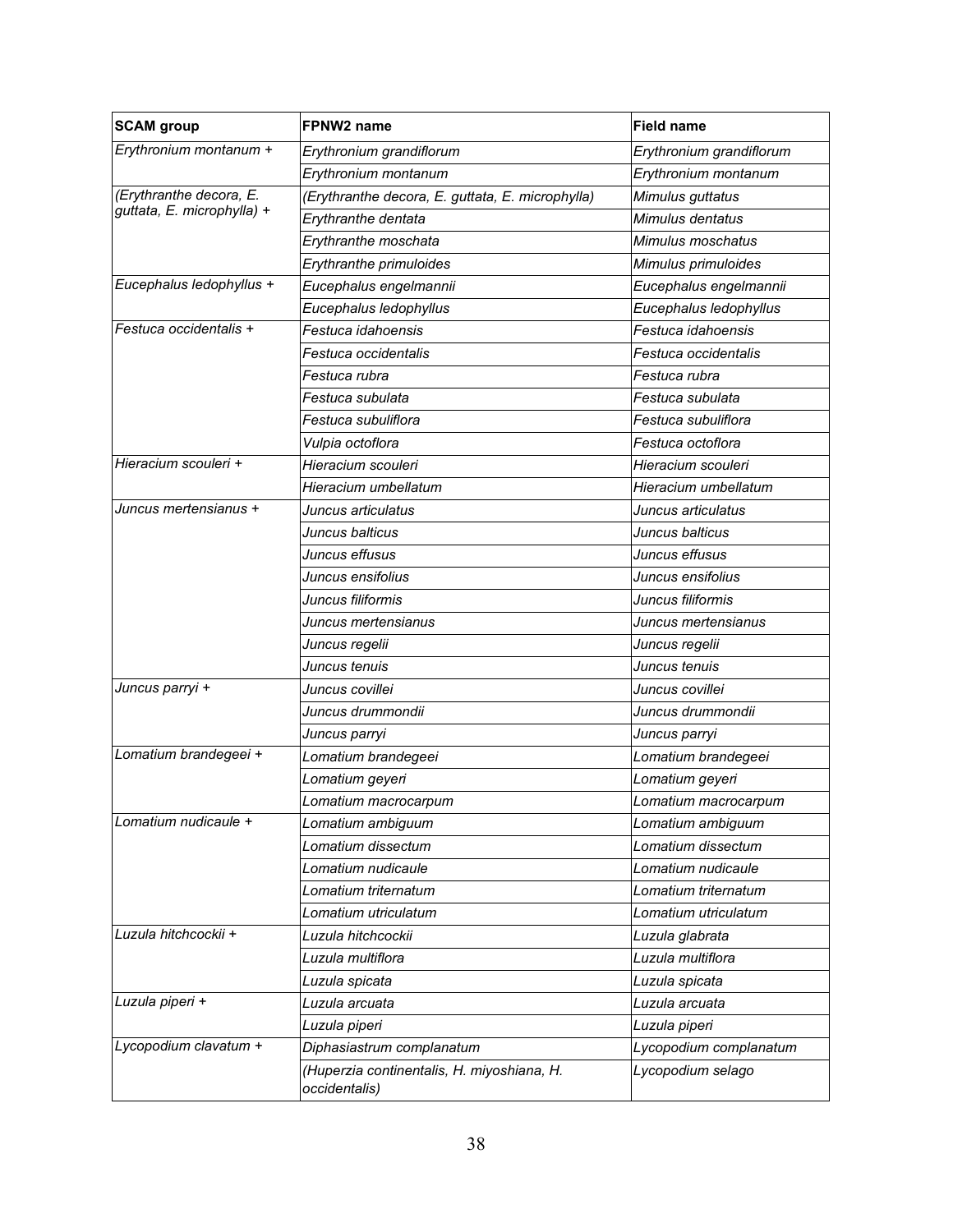| <b>SCAM</b> group          | FPNW2 name                                                  | <b>Field name</b>        |
|----------------------------|-------------------------------------------------------------|--------------------------|
| Erythronium montanum +     | Erythronium grandiflorum                                    | Erythronium grandiflorum |
|                            | Erythronium montanum                                        | Erythronium montanum     |
| (Erythranthe decora, E.    | (Erythranthe decora, E. guttata, E. microphylla)            | Mimulus guttatus         |
| guttata, E. microphylla) + | Erythranthe dentata                                         | Mimulus dentatus         |
|                            | Erythranthe moschata                                        | Mimulus moschatus        |
|                            | Erythranthe primuloides                                     | Mimulus primuloides      |
| Eucephalus ledophyllus +   | Eucephalus engelmannii                                      | Eucephalus engelmannii   |
|                            | Eucephalus ledophyllus                                      | Eucephalus ledophyllus   |
| Festuca occidentalis +     | Festuca idahoensis                                          | Festuca idahoensis       |
|                            | Festuca occidentalis                                        | Festuca occidentalis     |
|                            | Festuca rubra                                               | Festuca rubra            |
|                            | Festuca subulata                                            | Festuca subulata         |
|                            | Festuca subuliflora                                         | Festuca subuliflora      |
|                            | Vulpia octoflora                                            | Festuca octoflora        |
| Hieracium scouleri +       | Hieracium scouleri                                          | Hieracium scouleri       |
|                            | Hieracium umbellatum                                        | Hieracium umbellatum     |
| Juncus mertensianus +      | Juncus articulatus                                          | Juncus articulatus       |
|                            | Juncus balticus                                             | Juncus balticus          |
|                            | Juncus effusus                                              | Juncus effusus           |
|                            | Juncus ensifolius                                           | Juncus ensifolius        |
|                            | Juncus filiformis                                           | Juncus filiformis        |
|                            | Juncus mertensianus                                         | Juncus mertensianus      |
|                            | Juncus regelii                                              | Juncus regelii           |
|                            | Juncus tenuis                                               | Juncus tenuis            |
| Juncus parryi +            | Juncus covillei                                             | Juncus covillei          |
|                            | Juncus drummondii                                           | Juncus drummondii        |
|                            | Juncus parryi                                               | Juncus parryi            |
| Lomatium brandegeei +      | Lomatium brandegeei                                         | Lomatium brandegeei      |
|                            | Lomatium geyeri                                             | Lomatium geyeri          |
|                            | Lomatium macrocarpum                                        | Lomatium macrocarpum     |
| Lomatium nudicaule +       | Lomatium ambiguum                                           | Lomatium ambiguum        |
|                            | Lomatium dissectum                                          | Lomatium dissectum       |
|                            | Lomatium nudicaule                                          | Lomatium nudicaule       |
|                            | Lomatium triternatum                                        | Lomatium triternatum     |
|                            | Lomatium utriculatum                                        | Lomatium utriculatum     |
| Luzula hitchcockii +       | Luzula hitchcockii                                          | Luzula glabrata          |
|                            | Luzula multiflora                                           | Luzula multiflora        |
|                            | Luzula spicata                                              | Luzula spicata           |
| Luzula piperi +            | Luzula arcuata                                              | Luzula arcuata           |
|                            | Luzula piperi                                               | Luzula piperi            |
| Lycopodium clavatum +      | Diphasiastrum complanatum                                   | Lycopodium complanatum   |
|                            | (Huperzia continentalis, H. miyoshiana, H.<br>occidentalis) | Lycopodium selago        |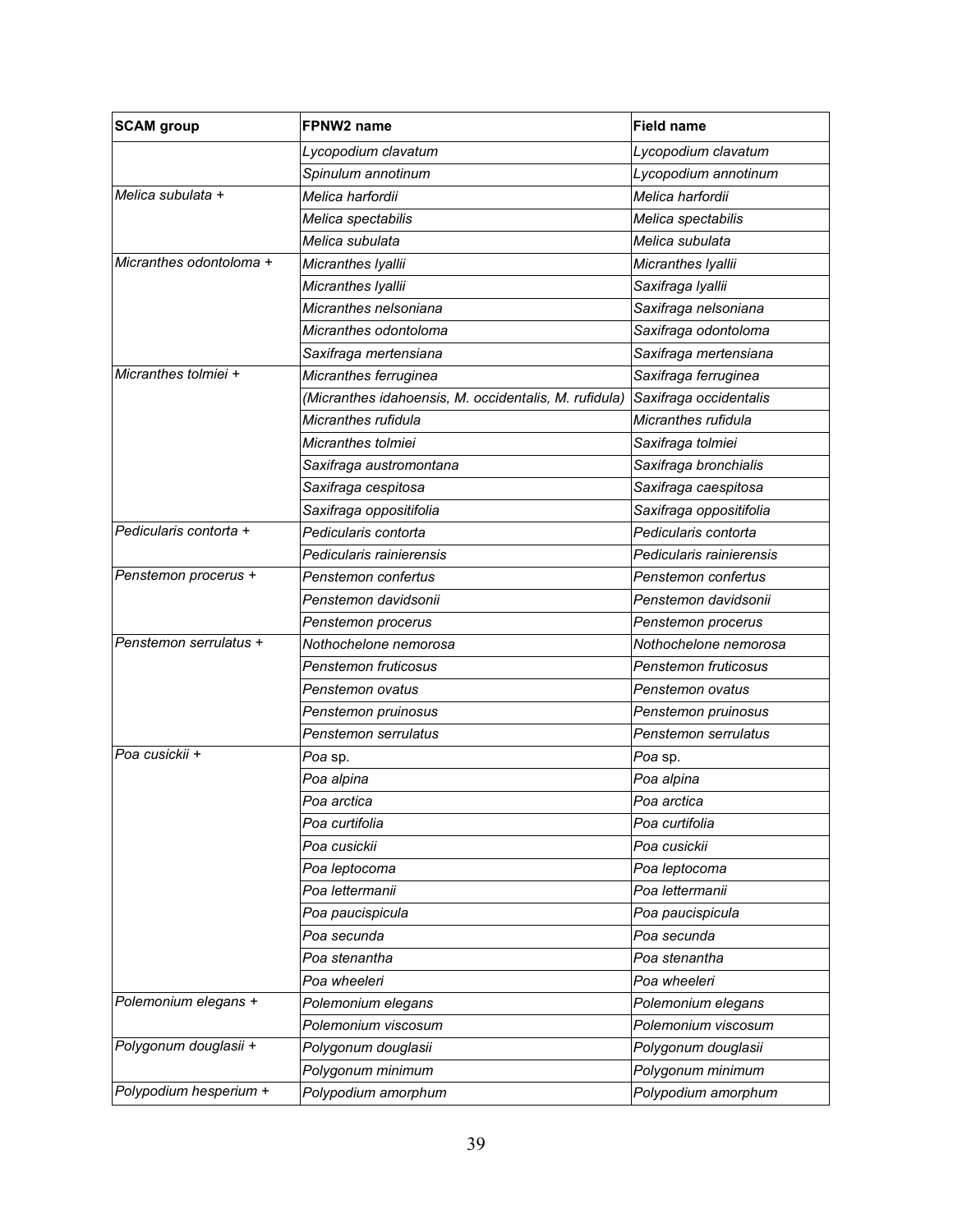| <b>SCAM</b> group       | FPNW2 name                                            | <b>Field name</b>        |
|-------------------------|-------------------------------------------------------|--------------------------|
|                         | Lycopodium clavatum                                   | Lycopodium clavatum      |
|                         | Spinulum annotinum                                    | Lycopodium annotinum     |
| Melica subulata +       | Melica harfordii                                      | Melica harfordii         |
|                         | Melica spectabilis                                    | Melica spectabilis       |
|                         | Melica subulata                                       | Melica subulata          |
| Micranthes odontoloma + | Micranthes Iyallii                                    | Micranthes Iyallii       |
|                         | Micranthes Iyallii                                    | Saxifraga Iyallii        |
|                         | Micranthes nelsoniana                                 | Saxifraga nelsoniana     |
|                         | Micranthes odontoloma                                 | Saxifraga odontoloma     |
|                         | Saxifraga mertensiana                                 | Saxifraga mertensiana    |
| Micranthes tolmiei +    | Micranthes ferruginea                                 | Saxifraga ferruginea     |
|                         | (Micranthes idahoensis, M. occidentalis, M. rufidula) | Saxifraga occidentalis   |
|                         | Micranthes rufidula                                   | Micranthes rufidula      |
|                         | Micranthes tolmiei                                    | Saxifraga tolmiei        |
|                         | Saxifraga austromontana                               | Saxifraga bronchialis    |
|                         | Saxifraga cespitosa                                   | Saxifraga caespitosa     |
|                         | Saxifraga oppositifolia                               | Saxifraga oppositifolia  |
| Pedicularis contorta +  | Pedicularis contorta                                  | Pedicularis contorta     |
|                         | Pedicularis rainierensis                              | Pedicularis rainierensis |
| Penstemon procerus +    | Penstemon confertus                                   | Penstemon confertus      |
|                         | Penstemon davidsonii                                  | Penstemon davidsonii     |
|                         | Penstemon procerus                                    | Penstemon procerus       |
| Penstemon serrulatus +  | Nothochelone nemorosa                                 | Nothochelone nemorosa    |
|                         | Penstemon fruticosus                                  | Penstemon fruticosus     |
|                         | Penstemon ovatus                                      | Penstemon ovatus         |
|                         | Penstemon pruinosus                                   | Penstemon pruinosus      |
|                         | Penstemon serrulatus                                  | Penstemon serrulatus     |
| Poa cusickii +          | <i>Poa</i> sp.                                        | Poa sp.                  |
|                         | Poa alpina                                            | Poa alpina               |
|                         | Poa arctica                                           | Poa arctica              |
|                         | Poa curtifolia                                        | Poa curtifolia           |
|                         | Poa cusickii                                          | Poa cusickii             |
|                         | Poa leptocoma                                         | Poa leptocoma            |
|                         | Poa lettermanii                                       | Poa lettermanii          |
|                         | Poa paucispicula                                      | Poa paucispicula         |
|                         | Poa secunda                                           | Poa secunda              |
|                         | Poa stenantha                                         | Poa stenantha            |
|                         | Poa wheeleri                                          | Poa wheeleri             |
| Polemonium elegans +    | Polemonium elegans                                    | Polemonium elegans       |
|                         | Polemonium viscosum                                   | Polemonium viscosum      |
| Polygonum douglasii +   | Polygonum douglasii                                   | Polygonum douglasii      |
|                         | Polygonum minimum                                     | Polygonum minimum        |
| Polypodium hesperium +  | Polypodium amorphum                                   | Polypodium amorphum      |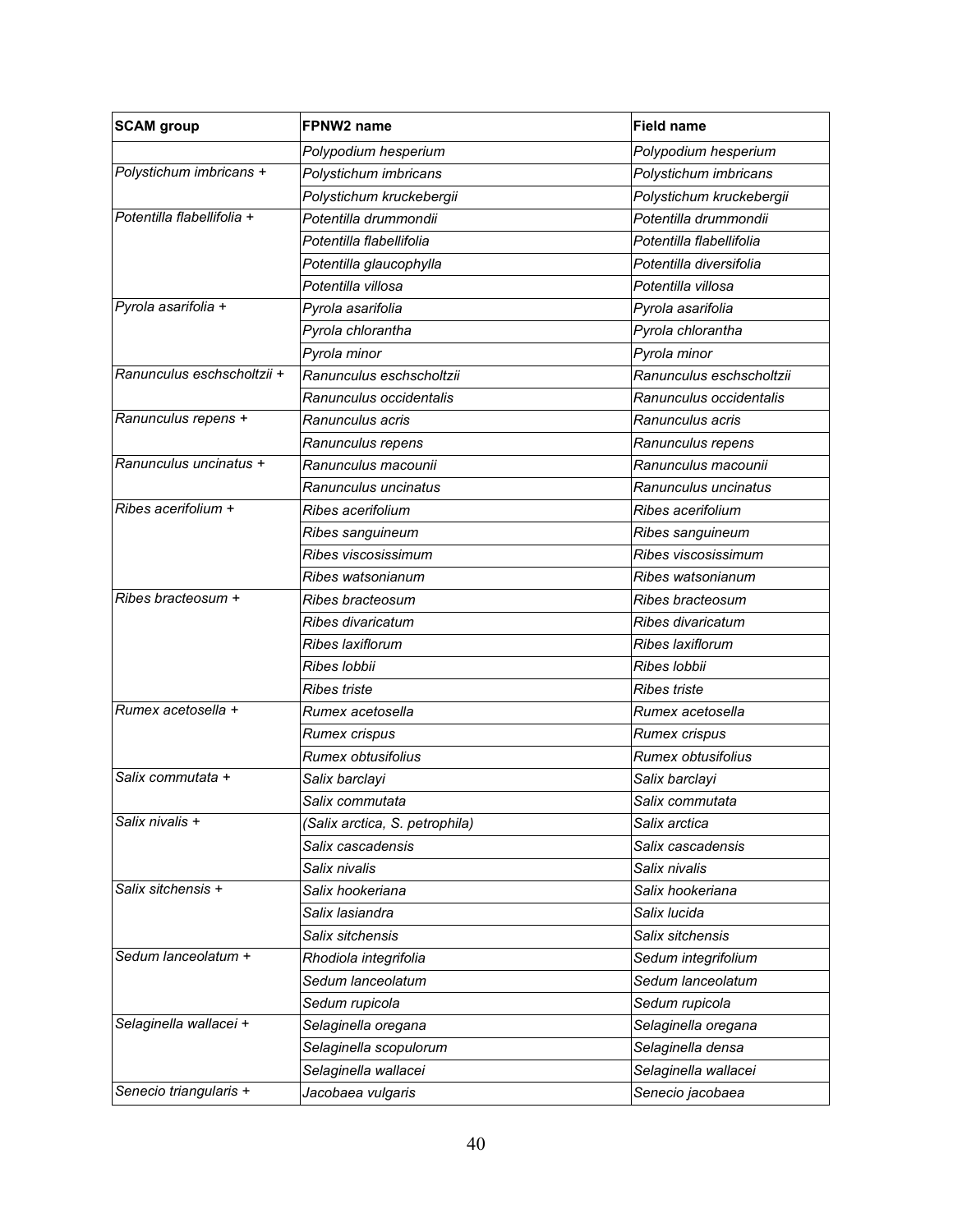| <b>SCAM</b> group          | FPNW2 name                     | <b>Field name</b>         |
|----------------------------|--------------------------------|---------------------------|
|                            | Polypodium hesperium           | Polypodium hesperium      |
| Polystichum imbricans +    | Polystichum imbricans          | Polystichum imbricans     |
|                            | Polystichum kruckebergii       | Polystichum kruckebergii  |
| Potentilla flabellifolia + | Potentilla drummondii          | Potentilla drummondii     |
|                            | Potentilla flabellifolia       | Potentilla flabellifolia  |
|                            | Potentilla glaucophylla        | Potentilla diversifolia   |
|                            | Potentilla villosa             | Potentilla villosa        |
| Pyrola asarifolia +        | Pyrola asarifolia              | Pyrola asarifolia         |
|                            | Pyrola chlorantha              | Pyrola chlorantha         |
|                            | Pyrola minor                   | Pyrola minor              |
| Ranunculus eschscholtzii + | Ranunculus eschscholtzii       | Ranunculus eschscholtzii  |
|                            | Ranunculus occidentalis        | Ranunculus occidentalis   |
| Ranunculus repens +        | Ranunculus acris               | Ranunculus acris          |
|                            | Ranunculus repens              | Ranunculus repens         |
| Ranunculus uncinatus +     | Ranunculus macounii            | Ranunculus macounii       |
|                            | Ranunculus uncinatus           | Ranunculus uncinatus      |
| Ribes acerifolium +        | Ribes acerifolium              | Ribes acerifolium         |
|                            | Ribes sanguineum               | Ribes sanguineum          |
|                            | Ribes viscosissimum            | Ribes viscosissimum       |
|                            | Ribes watsonianum              | Ribes watsonianum         |
| Ribes bracteosum +         | Ribes bracteosum               | Ribes bracteosum          |
|                            | Ribes divaricatum              | Ribes divaricatum         |
|                            | Ribes laxiflorum               | Ribes laxiflorum          |
|                            | Ribes lobbii                   | Ribes lobbii              |
|                            | <b>Ribes triste</b>            | <b>Ribes triste</b>       |
| Rumex acetosella +         | Rumex acetosella               | Rumex acetosella          |
|                            | Rumex crispus                  | Rumex crispus             |
|                            | <b>Rumex obtusifolius</b>      | <b>Rumex obtusifolius</b> |
| Salix commutata +          | Salix barclayi                 | Salix barclayi            |
|                            | Salix commutata                | Salix commutata           |
| Salix nivalis +            | (Salix arctica, S. petrophila) | Salix arctica             |
|                            | Salix cascadensis              | Salix cascadensis         |
|                            | Salix nivalis                  | Salix nivalis             |
| Salix sitchensis +         | Salix hookeriana               | Salix hookeriana          |
|                            | Salix lasiandra                | Salix lucida              |
|                            | Salix sitchensis               | Salix sitchensis          |
| Sedum lanceolatum +        | Rhodiola integrifolia          | Sedum integrifolium       |
|                            | Sedum lanceolatum              | Sedum lanceolatum         |
|                            | Sedum rupicola                 | Sedum rupicola            |
| Selaginella wallacei +     | Selaginella oregana            | Selaginella oregana       |
|                            | Selaginella scopulorum         | Selaginella densa         |
|                            | Selaginella wallacei           | Selaginella wallacei      |
| Senecio triangularis +     | Jacobaea vulgaris              | Senecio jacobaea          |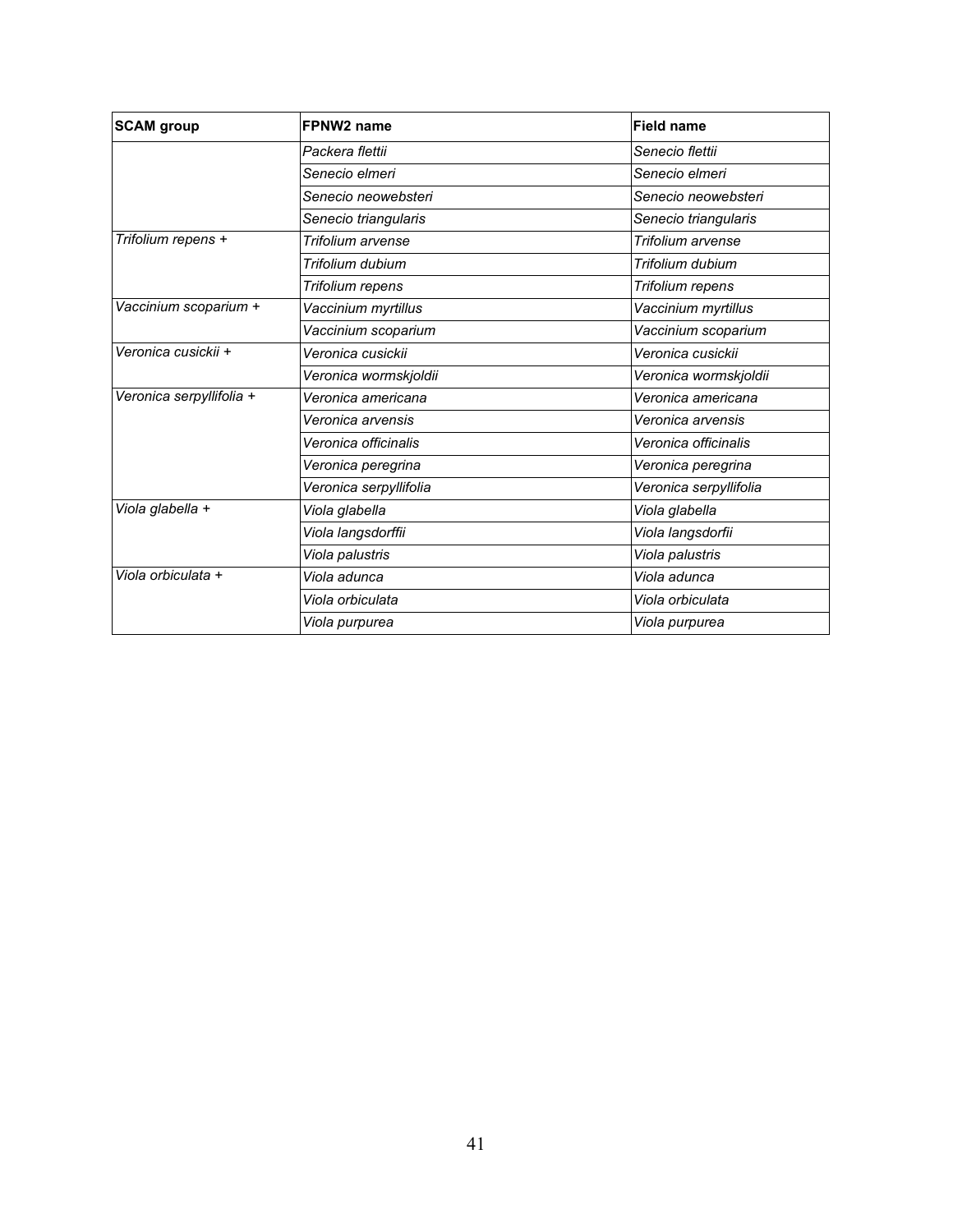| <b>SCAM</b> group        | FPNW2 name             | <b>Field name</b>      |
|--------------------------|------------------------|------------------------|
|                          | Packera flettii        | Senecio flettii        |
|                          | Senecio elmeri         | Senecio elmeri         |
|                          | Senecio neowebsteri    | Senecio neowebsteri    |
|                          | Senecio triangularis   | Senecio triangularis   |
| Trifolium repens +       | Trifolium arvense      | Trifolium arvense      |
|                          | Trifolium dubium       | Trifolium dubium       |
|                          | Trifolium repens       | Trifolium repens       |
| Vaccinium scoparium +    | Vaccinium myrtillus    | Vaccinium myrtillus    |
|                          | Vaccinium scoparium    | Vaccinium scoparium    |
| Veronica cusickii +      | Veronica cusickii      | Veronica cusickii      |
|                          | Veronica wormskjoldii  | Veronica wormskjoldii  |
| Veronica serpyllifolia + | Veronica americana     | Veronica americana     |
|                          | Veronica arvensis      | Veronica arvensis      |
|                          | Veronica officinalis   | Veronica officinalis   |
|                          | Veronica peregrina     | Veronica peregrina     |
|                          | Veronica serpyllifolia | Veronica serpyllifolia |
| Viola glabella +         | Viola glabella         | Viola glabella         |
|                          | Viola langsdorffii     | Viola langsdorfii      |
|                          | Viola palustris        | Viola palustris        |
| Viola orbiculata +       | Viola adunca           | Viola adunca           |
|                          | Viola orbiculata       | Viola orbiculata       |
|                          | Viola purpurea         | Viola purpurea         |